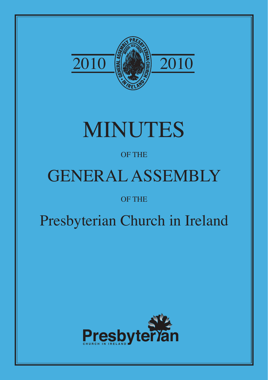

# MINUTES

# OF THE

# GENERAL ASSEMBLY

# OF THE

# Presbyterian Church in Ireland

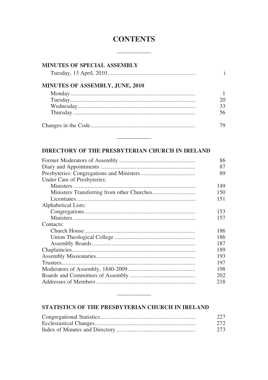### **CONTENTS**

| <b>MINUTES OF SPECIAL ASSEMBLY</b>     |    |
|----------------------------------------|----|
|                                        |    |
| <b>MINUTES OF ASSEMBLY, JUNE, 2010</b> |    |
|                                        |    |
|                                        | 20 |
|                                        | 33 |
|                                        | 56 |
|                                        | 79 |

### DIRECTORY OF THE PRESBYTERIAN CHURCH IN IRELAND

|                             | 86  |
|-----------------------------|-----|
|                             | 87  |
|                             | 89  |
| Under Care of Presbyteries: |     |
|                             | 149 |
|                             | 150 |
|                             | 151 |
| Alphabetical Lists:         |     |
|                             | 153 |
|                             | 157 |
| Contacts:                   |     |
|                             | 186 |
|                             | 186 |
|                             | 187 |
|                             | 189 |
|                             | 193 |
|                             | 197 |
|                             | 198 |
|                             | 202 |
|                             | 218 |
|                             |     |

#### STATISTICS OF THE PRESBYTERIAN CHURCH IN IRELAND

| 227 |
|-----|
| 272 |
| 273 |

<u> De Carlos de Carlos de Carlos de Carlos de Carlos de Carlos de Carlos de Carlos de Carlos de Carlos de Carlos de Carlos de Carlos de Carlos de Carlos de Carlos de Carlos de Carlos de Carlos de Carlos de Carlos de Carlos </u>

 $\overline{\phantom{a}}$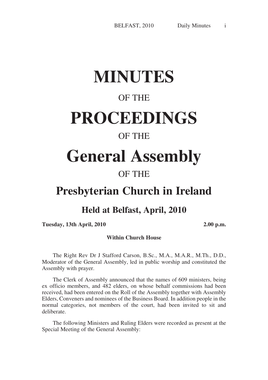# **MINUTES**

## OF THE

# **PROCEEDINGS**

## OF THE

# **General Assembly**

# OF THE

# **Presbyterian Church in Ireland**

### **Held at Belfast, April, 2010**

**Tuesday, 13th April, 2010 2.00 p.m.**

#### **Within Church House**

The Right Rev Dr J Stafford Carson, B.Sc., M.A., M.A.R., M.Th., D.D., Moderator of the General Assembly, led in public worship and constituted the Assembly with prayer.

The Clerk of Assembly announced that the names of 609 ministers, being ex officio members, and 482 elders, on whose behalf commissions had been received, had been entered on the Roll of the Assembly together with Assembly Elders, Conveners and nominees of the Business Board. In addition people in the normal categories, not members of the court, had been invited to sit and deliberate.

The following Ministers and Ruling Elders were recorded as present at the Special Meeting of the General Assembly: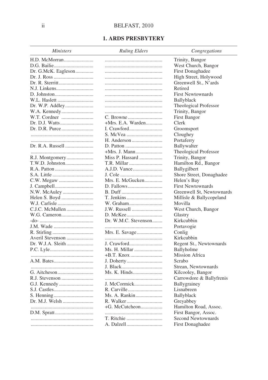#### **1. ARDS PRESBYTERY**

| <b>Ministers</b>    | <b>Ruling Elders</b> | Congregations             |
|---------------------|----------------------|---------------------------|
|                     |                      | Trinity, Bangor           |
|                     |                      | West Church, Bangor       |
| Dr. G.McK. Eagleson |                      | <b>First Donaghadee</b>   |
|                     |                      | High Street, Holywood     |
|                     |                      | Greenwell St., N'ards     |
|                     |                      | Retired                   |
|                     |                      | <b>First Newtownards</b>  |
|                     |                      | Ballyblack                |
|                     |                      |                           |
| Dr. W.P. Addley     |                      | Theological Professor     |
|                     |                      | Trinity, Bangor           |
|                     |                      | <b>First Bangor</b>       |
|                     | $+Mrs$ . E.A. Warden | Clerk                     |
|                     |                      | Groomsport                |
|                     |                      | Cloughey                  |
|                     |                      | Portaferry                |
| Dr. R.A. Russell    |                      | Ballywalter               |
|                     |                      | Theological Professor     |
|                     | Miss P. Hassard      | Trinity, Bangor           |
|                     | T.R. Millar          | Hamilton Rd., Bangor      |
|                     |                      | Ballygilbert              |
|                     |                      | Shore Street, Donaghadee  |
|                     | Mrs. E. McGucken     | Helen's Bay               |
|                     |                      | <b>First Newtownards</b>  |
|                     |                      | Greenwell St, Newtownards |
|                     |                      | Millisle & Ballycopeland  |
|                     | W. Graham            | Movilla                   |
|                     | J.W. Russell         | West Church, Bangor       |
|                     |                      | Glastry                   |
|                     | Dr. W.M.C. Stevenson | Kirkcubbin                |
|                     |                      | Portavogie                |
|                     | Mrs. E. Savage       | Conlig                    |
| Averil Stevenson    |                      | Kirkcubbin                |
|                     | J. Crawford          | Regent St., Newtownards   |
|                     | Ms. H. Millar        | Ballyholme                |
|                     |                      | Mission Africa            |
|                     |                      | Scrabo                    |
|                     |                      | Strean, Newtownards       |
|                     | Ms. K. Hinds         | Kilcooley, Bangor         |
|                     |                      | Carrowdore & Ballyfrenis  |
|                     | J. McCormick         | Ballygrainey              |
|                     | R. Carville          | Lisnabreen                |
|                     | Ms. A. Rankin        | Ballyblack                |
|                     |                      | Greyabbey                 |
|                     |                      | Hamilton Road, Assoc.     |
|                     |                      | First Bangor, Assoc.      |
|                     | T. Ritchie           | Second Newtownards        |
|                     | A. Dalzell           |                           |
|                     |                      | <b>First Donaghadee</b>   |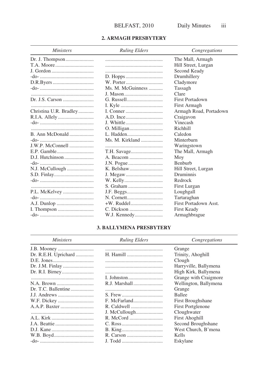#### 2. ARMAGH PRESBYTERY

| <i>Ministers</i>       | <b>Ruling Elders</b> | Congregations          |
|------------------------|----------------------|------------------------|
|                        |                      | The Mall, Armagh       |
|                        |                      | Hill Street, Lurgan    |
|                        |                      | Second Keady           |
|                        |                      | Drumhillery            |
|                        |                      | Cladymore              |
|                        | Ms. M. McGuinness    | Tassagh                |
|                        |                      | Clare                  |
|                        |                      | <b>First Portadown</b> |
|                        |                      | First Armagh           |
| Christina U.R. Bradley |                      | Armagh Road, Portadown |
|                        |                      | Craigavon              |
|                        |                      | Vinecash               |
|                        |                      | Richhill               |
| B. Ann McDonald        |                      | Caledon                |
|                        | Ms. M. Kirkland      | Minterburn             |
|                        |                      | Waringstown            |
|                        |                      | The Mall, Armagh       |
|                        |                      | Moy                    |
|                        |                      | <b>Benburb</b>         |
|                        |                      | Hill Street, Lurgan    |
|                        |                      | Druminnis              |
|                        |                      | Redrock                |
|                        | S. Graham            | First Lurgan           |
|                        |                      | Loughgall              |
|                        |                      | Tartaraghan            |
|                        |                      | First Portadown Asst.  |
|                        |                      | <b>First Keady</b>     |
|                        | W.J. Kennedy         | Armaghbrague           |

#### **3. BALLYMENA PRESBYTERY**

| <i>Ministers</i>     | <b>Ruling Elders</b> | Congregations            |
|----------------------|----------------------|--------------------------|
|                      |                      | Grange                   |
| Dr. R.E.H. Uprichard | H. Hamill            | Trinity, Ahoghill        |
|                      |                      | Clough                   |
| Dr. J.M. Finlay      |                      | Harryville, Ballymena    |
|                      |                      | High Kirk, Ballymena     |
|                      |                      | Grange with Craigmore    |
|                      |                      | Wellington, Ballymena    |
| Dr. T.C. Ballentine  |                      | Grange                   |
|                      |                      | <b>Ballee</b>            |
|                      |                      | First Broughshane        |
|                      |                      | <b>First Portglenone</b> |
|                      |                      | Cloughwater              |
|                      |                      | <b>First Ahoghill</b>    |
|                      |                      | Second Broughshane       |
|                      |                      | West Church, B'mena      |
|                      |                      | Kells                    |
|                      |                      | Eskylane                 |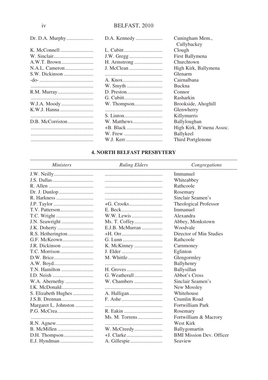|                | D.A. Kennedy | Cuningham Mem.,<br>Cullybackey |
|----------------|--------------|--------------------------------|
|                |              | Clough                         |
|                |              | First Ballymena                |
|                | H. Armstrong | Churchtown                     |
| N.A.L. Cameron |              | High Kirk, Ballymena           |
|                |              | Glenarm                        |
|                |              | Cairnalbana                    |
|                |              | <b>Buckna</b>                  |
|                |              | Connor                         |
|                |              | Rasharkin                      |
| W.J.A. Moody   | W. Thompson  | Brookside, Ahoghill            |
|                |              | Glenwherry                     |
|                |              | Killymurris                    |
|                |              | Ballyloughan                   |
|                |              | High Kirk, B'mena Assoc.       |
|                |              | <b>Ballykeel</b>               |
|                |              | Third Portglenone              |

### **4. NORTH BELFAST PRESBYTERY**

| <b>Ministers</b>      | <b>Ruling Elders</b> | Congregations                   |
|-----------------------|----------------------|---------------------------------|
|                       |                      | Immanuel                        |
|                       |                      | Whiteabbey                      |
|                       |                      | Rathcoole                       |
|                       |                      | Rosemary                        |
|                       |                      | Sinclair Seamen's               |
|                       |                      | Theological Professor           |
|                       |                      | Immanuel                        |
|                       | W.W. Lewis           | Alexandra                       |
| J.N. Seawright        | Ms. T. Coffey        | Abbey, Monkstown                |
|                       | E.J.B. McMurran      | Woodvale                        |
|                       |                      | Director of Min Studies         |
|                       |                      | Rathcoole                       |
| <b>J.R. Dickinson</b> |                      | Carnmoney                       |
|                       |                      | Eglinton                        |
|                       |                      | Glengormley                     |
|                       |                      | Ballyhenry                      |
| T.N. Hamilton         |                      | Ballysillan                     |
|                       |                      | Abbot's Cross                   |
|                       | W. Chambers          | Sinclair Seamen's               |
|                       |                      | New Mossley                     |
| S. Elizabeth Hughes   |                      | Whitehouse                      |
| J.S.B. Drennan        |                      | Crumlin Road                    |
| Margaret L. Johnston  |                      | Fortwilliam Park                |
|                       |                      | Rosemary                        |
|                       | Ms. M. Torrens       | Fortwilliam & Macrory           |
|                       |                      | West Kirk                       |
|                       |                      | Ballygomartin                   |
| D.H. Thompson         |                      | <b>BMI Mission Dev. Officer</b> |
|                       |                      | Seaview                         |

 $iv$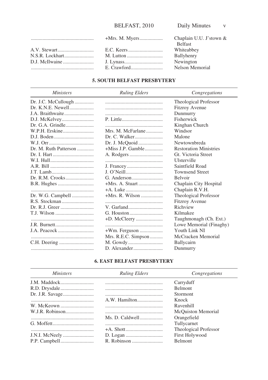| Chaplain U.U. J'stown &<br><b>Belfast</b> |
|-------------------------------------------|
| Whiteabbey                                |
| Ballyhenry                                |
| Newington                                 |
| Nelson Memorial                           |
|                                           |

#### **5. SOUTH BELFAST PRESBYTERY**

| <i>Ministers</i>      | <b>Ruling Elders</b> | Congregations                 |
|-----------------------|----------------------|-------------------------------|
| Dr. J.C. McCullough   |                      | Theological Professor         |
| Dr. K.N.E. Newell     |                      | <b>Fitzroy Avenue</b>         |
| J.A. Braithwaite      |                      | Dunmurry                      |
|                       |                      | Fisherwick                    |
|                       |                      | Kinghan Church                |
|                       | Mrs. M. McFarlane    | Windsor                       |
|                       | Dr. C. Walker        | Malone                        |
|                       | Dr. J. McQuoid       | Newtownbreda                  |
| Dr. M. Ruth Patterson | $+Miss$ J.P. Gamble  | <b>Restoration Ministries</b> |
|                       |                      | Gt. Victoria Street           |
|                       |                      | Ulsterville                   |
|                       |                      | Saintfield Road               |
|                       |                      | <b>Townsend Street</b>        |
|                       |                      | <b>Belvoir</b>                |
|                       |                      | Chaplain City Hospital        |
|                       |                      | Chaplain R.V.H.               |
| Dr. W.G. Campbell     | +Mrs. R. Wilson      | Theological Professor         |
|                       |                      | <b>Fitzroy Avenue</b>         |
|                       |                      | Richview                      |
| T.J. Wilson           |                      | Kilmakee                      |
|                       |                      | Taughmonagh (Ch. Ext.)        |
|                       |                      | Lowe Memorial (Finaghy)       |
|                       |                      | Youth Link NI                 |
|                       | Mrs. R.E.C. Simpson  | McCracken Memorial            |
|                       |                      | Ballycairn                    |
|                       |                      | Dunmurry                      |

#### **6. EAST BELFAST PRESBYTERY**

| <i>Ministers</i> | <b>Ruling Elders</b> | Congregations             |
|------------------|----------------------|---------------------------|
|                  |                      | Carryduff                 |
|                  |                      | <b>Belmont</b>            |
|                  |                      | <b>Stormont</b>           |
|                  | A.W. Hamilton        | Knock                     |
|                  |                      | Ravenhill                 |
| W.J.R. Robinson  |                      | <b>McQuiston Memorial</b> |
|                  | Ms. D. Caldwell      | Orangefield               |
|                  |                      | Tullycarnet               |
|                  |                      | Theological Professor     |
|                  |                      | <b>First Holywood</b>     |
|                  |                      | <b>Belmont</b>            |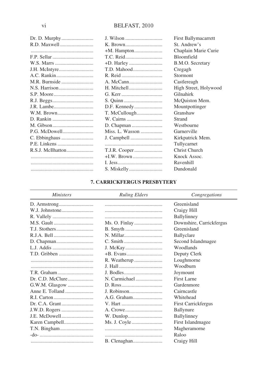|               |                 | First Ballymacarrett  |
|---------------|-----------------|-----------------------|
|               |                 | St. Andrew's          |
|               |                 | Chaplain Marie Curie  |
|               |                 | Bloomfield            |
|               |                 | B.M.O. Secretary      |
| J.H. McIntyre |                 | Cregagh               |
|               |                 | Stormont              |
|               |                 | Castlereagh           |
|               |                 | High Street, Holywood |
|               |                 | Gilnahirk             |
|               |                 | McQuiston Mem.        |
|               | D.F. Kennedy    | Mountpottinger        |
| W.M. Brown    | T. McCullough   | Granshaw              |
|               | W. Cairns       | Strand                |
|               |                 | Westbourne            |
|               | Miss. L. Wasson | Garnerville           |
|               |                 | Kirkpatrick Mem.      |
|               |                 | Tullycarnet           |
|               |                 | Christ Church         |
|               |                 | Knock Assoc.          |
|               |                 | Ravenhill             |
|               |                 | Dundonald             |
|               |                 |                       |

#### **7. CARRICKFERGUS PRESBYTERY**

| <i>Ministers</i>     | <b>Ruling Elders</b> | Congregations              |
|----------------------|----------------------|----------------------------|
|                      |                      | Greenisland                |
|                      |                      | Craigy Hill                |
|                      |                      | Ballylinney                |
|                      |                      | Downshire, Carrickfergus   |
|                      |                      | Greenisland                |
|                      |                      | Ballyclare                 |
|                      |                      | Second Islandmagee         |
|                      |                      | Woodlands                  |
|                      | $+B$ . Evans         | Deputy Clerk               |
|                      |                      | Loughmorne                 |
|                      |                      | Woodburn                   |
|                      |                      | Joymount                   |
|                      |                      | First Larne                |
|                      |                      | Gardenmore                 |
|                      | J. Robinson          | Cairncastle                |
|                      |                      | Whitehead                  |
| Dr. C.A. Grant       |                      | <b>First Carrickfergus</b> |
|                      |                      | Ballynure                  |
| <b>J.E. McDowell</b> |                      | Ballylinney                |
|                      |                      | First Islandmagee          |
|                      |                      | Magheramorne               |
|                      |                      | Raloo                      |
|                      |                      | Craigy Hill                |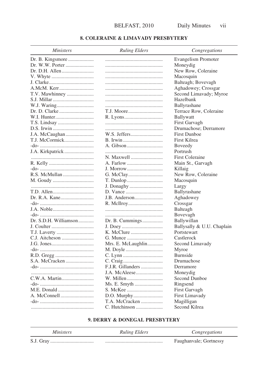#### **8. COLERAINE & LIMAVADY PRESBYTERY**

| <i>Ministers</i>      | <b>Ruling Elders</b> | Congregations              |
|-----------------------|----------------------|----------------------------|
| Dr. B. Kingsmore      |                      | Evangelism Promoter        |
| Dr. W.W. Porter       |                      | Moneydig                   |
|                       |                      | New Row, Coleraine         |
|                       |                      | Macosquin                  |
|                       |                      | Balteagh; Bovevagh         |
| A.McM. Kerr           |                      | Aghadowey; Crossgar        |
| T.V. Mawhinney        |                      | Second Limavady; Myroe     |
|                       |                      | Hazelbank                  |
|                       |                      | Ballyrashane               |
|                       |                      | Terrace Row, Coleraine     |
|                       |                      | Ballywatt                  |
|                       |                      | First Garvagh              |
|                       |                      | Drumachose; Derramore      |
|                       |                      | <b>First Dunboe</b>        |
| T.J. McCormick        | B. Irwin             | First Kilrea               |
|                       |                      |                            |
|                       |                      | Boveedy                    |
|                       |                      | Portrush                   |
|                       | N. Maxwell           | <b>First Coleraine</b>     |
|                       |                      | Main St., Garvagh          |
|                       | J. Morrow            | Killaig                    |
|                       |                      | New Row, Coleraine         |
|                       |                      | Macosquin                  |
|                       |                      | Largy                      |
|                       |                      | Ballyrashane               |
|                       | J.B. Anderson        | Aghadowey                  |
|                       |                      | Crossgar                   |
|                       |                      | Balteagh                   |
|                       |                      | Bovevagh                   |
| Dr. S.D.H. Williamson | Dr. B. Cummings      | Ballywillan                |
|                       |                      | Ballysally & U.U. Chaplain |
|                       |                      | Portstewart                |
|                       |                      | Castlerock                 |
|                       | Mrs. E. McLaughlin   | Second Limavady            |
|                       |                      | Myroe                      |
|                       |                      | Burnside                   |
| S.A. McCracken        |                      | Drumachose                 |
|                       | F.J.R. Gillanders    | Derramore                  |
|                       | J.A. McAleese        | Moneydig                   |
|                       | W. Millen            | Second Dunboe              |
|                       |                      | Ringsend                   |
|                       |                      | First Garvagh              |
|                       |                      | First Limavady             |
|                       | T.A. McCracken       | Magilligan                 |
|                       | C. Hutchinson        | Second Kilrea              |

#### 9. DERRY & DONEGAL PRESBYTERY

| <i>Ministers</i> | <b>Ruling Elders</b> | Congregations          |
|------------------|----------------------|------------------------|
|                  |                      | Faughanyale; Gortnessy |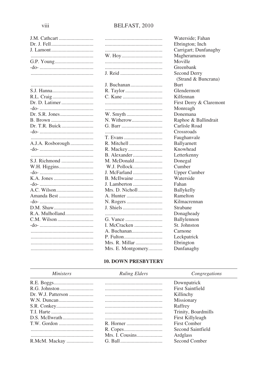| J.M. Cathcart     |
|-------------------|
|                   |
|                   |
|                   |
|                   |
|                   |
|                   |
|                   |
|                   |
|                   |
|                   |
|                   |
| Dr. D. Latimer    |
|                   |
|                   |
|                   |
|                   |
| Dr. T.R. Buick    |
|                   |
|                   |
| A.J.A. Rosborough |
|                   |
|                   |
| S.J. Richmond     |
| W.H. Higgins      |
|                   |
|                   |
|                   |
|                   |
|                   |
| Amanda Best       |
|                   |
| D.M. Shaw         |
| R.A. Mulholland   |
|                   |
|                   |
|                   |
|                   |
|                   |
|                   |
|                   |

| J. Reid            |
|--------------------|
| J. Buchanan        |
| R. Taylor          |
|                    |
|                    |
|                    |
|                    |
| N. Witherow        |
|                    |
|                    |
| T. Evans           |
|                    |
| R. Mackey          |
| B. Alexander       |
| M. McDonald        |
| W.J. Pollock       |
| J. McFarland       |
| B. McIlwaine       |
| J. Lamberton       |
| Mrs. D. Nicholl    |
| A. Hunter          |
| N. Rogers          |
|                    |
|                    |
|                    |
| I. McCracken       |
| A. Buchanan        |
|                    |
| Mrs. R. Millar     |
| Mrs. E. Montgomery |

Waterside: Fahan Ebrington; Inch Carrigart; Dunfanaghy Magheramason Moville Greenbank Second Derry (Strand & Buncrana) **Burt** Glendermott Kilfennan First Derry & Claremont Monreagh Donemana Raphoe & Ballindrait Carlisle Road Crossroads Faughanvale Ballyarnett Knowhead Letterkenny Donegal Cumber **Upper Cumber** Waterside Fahan Ballykelly Ramelton Kilmacrennan Strabane Donagheady Ballylennon St. Johnston Carnone Leckpatrick Ebrington Dunfanaghy

#### **10. DOWN PRESBYTERY**

| <i>Ministers</i> | <b>Ruling Elders</b> | Congregations           |
|------------------|----------------------|-------------------------|
|                  |                      | Downpatrick             |
|                  |                      | <b>First Saintfield</b> |
|                  |                      | Killinchy               |
|                  |                      | Missionary              |
|                  |                      | Raffrey                 |
|                  |                      | Trinity, Boardmills     |
|                  |                      | First Killyleagh        |
|                  |                      | First Comber            |
|                  |                      | Second Saintfield       |
|                  |                      | Ardglass                |
| R.McM. Mackay    |                      | Second Comber           |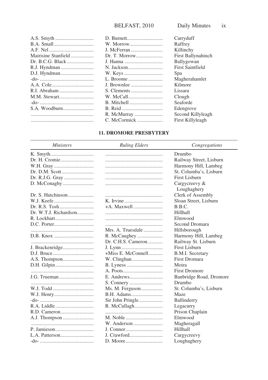|                     | D.          |
|---------------------|-------------|
|                     | W.          |
|                     | J.          |
| Mairisine Stanfield | Dr          |
|                     | J. I        |
|                     | N.          |
|                     | W.          |
|                     | L.          |
|                     | J.          |
|                     | S.          |
| M.M. Stewart        | W.          |
|                     | B.          |
| S.A. Woodburn       | B.          |
|                     | $R_{\cdot}$ |
|                     | C.          |
|                     |             |

| D. Burnett    | Carryduff                 |
|---------------|---------------------------|
| W. Morrow     | Raffrey                   |
| J. McFerran   | Killinchy                 |
| Dr. T. Morrow | <b>First Ballynahinch</b> |
| J. Hanna      | Ballygowan                |
| N. Jackson    | <b>First Saintfield</b>   |
| W. Keys       | Spa                       |
| L. Broome     | Magherahamlet             |
| J. Brownlee   | Kilmore                   |
| S. Clements   | Lissara                   |
| W. McCall     | Clough                    |
| B. Mitchell   | Seaforde                  |
| B. Reid       | Edengrove                 |
| R. McMurray   | Second Killyleagh         |
| C. McCormick  | First Killyleagh          |
|               |                           |

#### **11. DROMORE PRESBYTERY**

| <b>Ministers</b>      | <b>Ruling Elders</b> | Congregations           |
|-----------------------|----------------------|-------------------------|
|                       |                      | Drumbo                  |
| Dr. H. Cromie         |                      | Railway Street, Lisburn |
|                       |                      | Harmony Hill, Lambeg    |
|                       |                      | St. Columba's, Lisburn  |
|                       |                      | First Lisburn           |
|                       |                      | Cargycreevy $\&$        |
|                       |                      | Loughaghery             |
|                       |                      | Clerk of Assembly       |
|                       |                      | Sloan Street, Lisburn   |
|                       |                      | B.B.C.                  |
| Dr. W.T.J. Richardson |                      | Hillhall                |
|                       |                      | Elmwood                 |
|                       |                      | Second Dromara          |
|                       | Mrs. A. Truesdale    | Hillsborough            |
|                       |                      | Harmony Hill, Lambeg    |
|                       |                      | Railway St. Lisburn     |
| J. Brackenridge       |                      | <b>First Lisburn</b>    |
|                       | +Miss E. McConnell   | B.M.I. Secretary        |
|                       |                      | <b>First Dromara</b>    |
|                       |                      | Moira                   |
|                       |                      | <b>First Dromore</b>    |
|                       |                      | Banbridge Road, Dromore |
|                       |                      | Drumbo                  |
|                       | Ms. M. Ferguson      | St. Columba's, Lisburn  |
|                       |                      | Maze                    |
|                       |                      | Ballinderry             |
|                       |                      | Legacurry               |
|                       |                      | Prison Chaplain         |
|                       |                      | Elmwood                 |
|                       |                      | Magheragall             |
|                       |                      | Hillhall                |
|                       |                      | Cargycreevy             |
|                       |                      | Loughaghery             |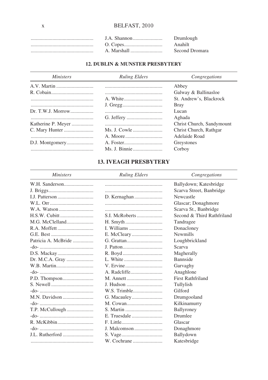| Drumlough      |
|----------------|
| Anahilt        |
| Second Dromara |
|                |

#### **12. DUBLIN & MUNSTER PRESBYTERY**

| <i>Ministers</i>   | <b>Ruling Elders</b> | Congregations             |
|--------------------|----------------------|---------------------------|
|                    |                      | Abbey                     |
|                    |                      | Galway & Ballinasloe      |
|                    |                      | St. Andrew's, Blackrock   |
|                    |                      | Bray                      |
|                    |                      | Lucan                     |
|                    |                      | Aghada                    |
| Katherine P. Meyer |                      | Christ Church, Sandymount |
|                    |                      | Christ Church, Rathgar    |
|                    |                      | Adelaide Road             |
|                    |                      | Greystones                |
|                    |                      | Corboy                    |

### **13. IVEAGH PRESBYTERY**

| <b>Ministers</b>       | <b>Ruling Elders</b> | Congregations              |
|------------------------|----------------------|----------------------------|
|                        |                      | Ballydown; Katesbridge     |
|                        |                      | Scarva Street, Banbridge   |
| I.J. Patterson         | D. Kernaghan         | Newcastle                  |
|                        |                      | Glascar; Donaghmore        |
|                        |                      | Scarva St., Banbridge      |
|                        | S.I. McRoberts       | Second & Third Rathfriland |
|                        |                      | Tandragee                  |
|                        |                      | Donacloney                 |
|                        |                      | <b>Newmills</b>            |
| Patricia A. McBride    |                      | Loughbrickland             |
|                        |                      | Scarva                     |
|                        |                      | Magherally                 |
|                        |                      | Bannside                   |
|                        |                      | Garvaghy                   |
|                        |                      | Anaghlone                  |
|                        |                      | <b>First Rathfriland</b>   |
|                        | J. Hudson            | Tullylish                  |
|                        |                      | Gilford                    |
|                        |                      | Drumgooland                |
|                        |                      | Kilkinamurry               |
|                        |                      | Ballyroney                 |
|                        |                      | Drumlee                    |
|                        |                      | Glascar                    |
|                        | J. Malcomson         | Donaghmore                 |
| <b>J.L. Rutherford</b> |                      | Ballydown                  |
|                        |                      | Katesbridge                |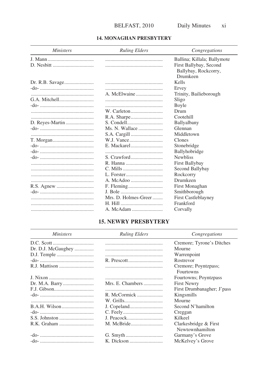#### **14. MONAGHAN PRESBYTERY**

| <i>Ministers</i> | <b>Ruling Elders</b> | Congregations               |
|------------------|----------------------|-----------------------------|
|                  |                      | Ballina; Killala; Ballymote |
|                  |                      | First Ballybay, Second      |
|                  |                      | Ballybay, Rockcorry,        |
|                  |                      | Drumkeen                    |
| Dr. R.B. Savage  |                      | Kells                       |
|                  |                      | Ervey                       |
|                  | A. McElwaine         | Trinity, Bailieborough      |
|                  |                      | Sligo                       |
|                  |                      | Boyle                       |
|                  |                      | Drum                        |
|                  |                      | Cootehill                   |
|                  |                      | Ballyalbany                 |
|                  |                      | Glennan                     |
|                  |                      | Middletown                  |
|                  |                      | Clones                      |
|                  |                      | Stonebridge                 |
|                  |                      | Ballyhobridge               |
|                  |                      | <b>Newbliss</b>             |
|                  |                      | First Ballybay              |
|                  |                      | Second Ballybay             |
|                  |                      | Rockcorry                   |
|                  |                      | Drumkeen                    |
|                  |                      | First Monaghan              |
|                  |                      | Smithborough                |
|                  | Mrs. D. Holmes-Greer | <b>First Castleblayney</b>  |
|                  |                      | Frankford                   |
|                  |                      | Corvally                    |

### **15. NEWRY PRESBYTERY**

| <i>Ministers</i>   | <b>Ruling Elders</b> | Congregations                            |
|--------------------|----------------------|------------------------------------------|
|                    |                      | Cremore; Tyrone's Ditches                |
| Dr. D.J. McGaughey |                      | Mourne                                   |
|                    |                      | Warrenpoint                              |
|                    |                      | Rostrevor                                |
|                    |                      | Cremore; Poyntzpass;<br>Fourtowns        |
|                    |                      | Fourtowns; Poyntzpass                    |
|                    | Mrs. E. Chambers     | <b>First Newry</b>                       |
|                    |                      | First Drumbanagher; J'pass               |
|                    | R. McCormick         | Kingsmills                               |
|                    |                      | Mourne                                   |
|                    |                      | Second N'hamilton                        |
|                    |                      | Creggan                                  |
|                    |                      | Kilkeel                                  |
|                    |                      | Clarkesbridge & First<br>Newtownhamilton |
|                    |                      | Garmany's Grove                          |
|                    |                      | McKelvey's Grove                         |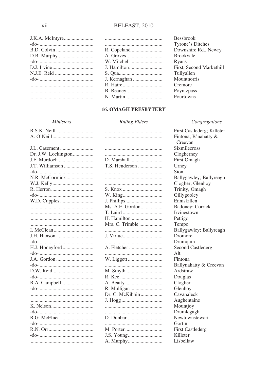| R D. Colvin |
|-------------|
|             |
|             |
|             |
|             |
|             |
|             |
|             |
|             |
|             |

#### Bessbrook Tyrone's Ditches Downshire Rd., Newry **Brookvale** Ryans First, Second Markethill Tullyallen Mountnorris Cremore Poyntzpass Fourtowns

#### **16. OMAGH PRESBYTERY**

| <b>Ministers</b>    | <b>Ruling Elders</b> | Congregations                   |
|---------------------|----------------------|---------------------------------|
|                     |                      | First Castlederg; Killeter      |
|                     |                      | Fintona; B'nahatty &<br>Creevan |
|                     |                      | <b>Sixmilecross</b>             |
| Dr. J.W. Lockington |                      | Clogherney                      |
|                     |                      | First Omagh                     |
|                     |                      | Urney                           |
|                     |                      | Sion                            |
| N.R. McCormick      |                      | Ballygawley; Ballyreagh         |
|                     |                      | Clogher; Glenhoy                |
|                     |                      | Trinity, Omagh                  |
|                     |                      | Gillygooley                     |
|                     |                      | Enniskillen                     |
|                     | Ms. A.E. Gordon      | Badoney; Corrick                |
|                     | T. Laird             | Irvinestown                     |
|                     |                      | Pettigo                         |
|                     | Mrs. C. Trimble      | Tempo                           |
|                     |                      | Ballygawley; Ballyreagh         |
|                     | J. Virtue            | Dromore                         |
|                     |                      | Drumquin                        |
|                     | A. Fletcher          | Second Castlederg               |
|                     |                      | Alt                             |
|                     |                      | Fintona                         |
|                     |                      | Ballynahatty & Creevan          |
|                     |                      | Ardstraw                        |
|                     |                      | Douglas                         |
|                     |                      | Clogher                         |
|                     |                      | Glenhoy                         |
|                     | Dr. C. McKibbin      | Cavanaleck                      |
|                     |                      | Aughentaine                     |
|                     |                      |                                 |
|                     |                      | Mountjoy                        |
|                     |                      | Drumlegagh                      |
|                     |                      | Newtownstewart                  |
|                     |                      | Gortin                          |
|                     |                      | <b>First Castlederg</b>         |
|                     |                      | Killeter                        |
|                     | A. Murphy            | Lisbellaw                       |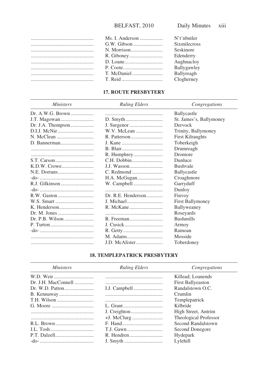|                       | $N$ 't'nbutler      |
|-----------------------|---------------------|
| $G \text{W}$ . Gibson | <b>Sixmilecross</b> |
|                       | Seskinore           |
|                       | Edenderry           |
|                       | Aughnacloy          |
| <br>P. Coote          | Ballygawley         |
| T. McDaniel           | Ballyreagh          |
| T. Reid               | Clogherney          |
|                       |                     |

#### **17. ROUTE PRESBYTERY**

| <b>Ministers</b>  | <b>Ruling Elders</b> | Congregations           |
|-------------------|----------------------|-------------------------|
| Dr. A.W.G. Brown  |                      | Ballycastle             |
|                   |                      | St. James's, Ballymoney |
| Dr. J.A. Thompson |                      | Dervock                 |
|                   | W.V. McLean          | Trinity, Ballymoney     |
|                   |                      | <b>First Kilraughts</b> |
|                   |                      | Toberkeigh              |
|                   |                      | Drumreagh               |
|                   | R. Humphrey          | Dromore                 |
|                   |                      | Dunluce                 |
|                   |                      | <b>Bushvale</b>         |
|                   |                      | Ballycastle             |
|                   | H.A. McGugan         | Croaghmore              |
|                   |                      | Garryduff               |
|                   |                      | Dunloy                  |
|                   |                      | Finvoy                  |
|                   |                      | <b>First Ballymoney</b> |
|                   |                      | Ballyweaney             |
|                   |                      | Roseyards               |
|                   |                      | <b>Bushmills</b>        |
|                   |                      | Armoy                   |
|                   |                      | Ramoan                  |
|                   |                      | Mosside                 |
|                   | J.D. McAlister       | Toberdoney              |

#### **18. TEMPLEPATRICK PRESBYTERY**

| <i>Ministers</i> | <b>Ruling Elders</b> | Congregations            |
|------------------|----------------------|--------------------------|
|                  |                      | Killead: Loanends        |
|                  |                      | <b>First Ballyeaston</b> |
|                  |                      | Randalstown O.C.         |
|                  |                      | Crumlin                  |
|                  |                      | Templepatrick            |
|                  |                      | Kilbride                 |
|                  |                      | High Street, Antrim      |
|                  |                      | Theological Professor    |
|                  |                      | Second Randalstown       |
|                  |                      | Second Donegore          |
|                  |                      | Hydepark                 |
|                  |                      | Lylehill                 |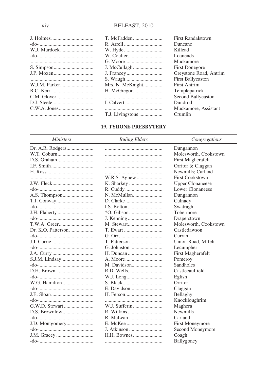|                  | <b>First Randalstown</b> |
|------------------|--------------------------|
|                  | Duneane                  |
|                  | Killead                  |
|                  | Loanends                 |
|                  | Muckamore                |
|                  | <b>First Donegore</b>    |
|                  | Greystone Road, Antrim   |
|                  | <b>First Ballyeaston</b> |
| Mrs. N. McKnight | <b>First Antrim</b>      |
|                  | Templepatrick            |
|                  | Second Ballyeaston       |
|                  | Dundrod                  |
|                  | Muckamore, Assistant     |
|                  | Crumlin                  |
|                  |                          |

#### **19. TYRONE PRESBYTERY**

#### Ministers

**Ruling Elders** 

Congregations

| Dr. A.R. Rodgers |               | Dungannon               |
|------------------|---------------|-------------------------|
|                  |               | Molesworth, Cookstown   |
|                  |               | First Magherafelt       |
|                  |               | Orritor & Claggan       |
|                  |               | Newmills; Carland       |
|                  | W.R.S. Agnew  | <b>First Cookstown</b>  |
|                  |               | <b>Upper Clonaneese</b> |
|                  |               | Lower Clonaneese        |
|                  |               | Dungannon               |
| T.J. Conway      |               | Culnady                 |
|                  |               | Swatragh                |
|                  |               | Tobermore               |
|                  |               | Draperstown             |
|                  |               | Molesworth, Cookstown   |
|                  | T. Ewart      | Castledawson            |
|                  |               | Curran                  |
|                  |               | Union Road, M'felt      |
|                  |               | Lecumpher               |
|                  |               | First Magherafelt       |
|                  |               | Pomeroy                 |
|                  | M. Davidson   | Sandholes               |
| D.H. Brown       | R.D. Wells    | Castlecaulfield         |
|                  |               | Eglish                  |
| W.G. Hamilton    |               | Orritor                 |
|                  |               | Claggan                 |
|                  |               | Bellaghy                |
|                  |               | Knockloughrim           |
|                  | W.J. Sufferin | Maghera                 |
|                  |               | <b>Newmills</b>         |
|                  |               | Carland                 |
|                  |               | First Moneymore         |
|                  | J. Atkinson   | Second Moneymore        |
|                  |               | Coagh                   |
|                  |               | Ballygoney              |
|                  |               |                         |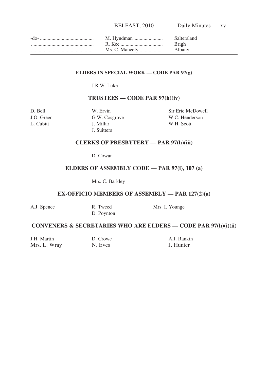| -do- | M. Hyndman | Saltersland |
|------|------------|-------------|
|      | R Kee      | Brigh       |
|      |            | Albany      |

#### **ELDERS IN SPECIAL WORK — CODE PAR 97(g)**

J.R.W. Luke

#### **TRUSTEES — CODE PAR 97(h)(iv)**

A.J. Spence

J. Millar W.H. Scott J. Suitters

D. Bell W. Ervin Sir Eric McDowell J.O. Greer G.W. Cosgrove W.C. Henderson<br>
L. Cubitt J. Millar W.H. Scott

#### **CLERKS OF PRESBYTERY — PAR 97(h)(iii)**

D. Cowan

#### **ELDERS OF ASSEMBLY CODE — PAR 97(i), 107 (a)**

Mrs. C. Barkley

#### **EX-OFFICIO MEMBERS OF ASSEMBLY — PAR 127(2)(a)**

| R. Tweed   | Mrs. I. Younge |
|------------|----------------|
| D. Poynton |                |

#### **CONVENERS & SECRETARIES WHO ARE ELDERS — CODE PAR 97(h)(i)(ii)**

| J.H. Martin  | D. Crowe | A.J. Rankin |
|--------------|----------|-------------|
| Mrs. L. Wray | N. Eves  | J. Hunter   |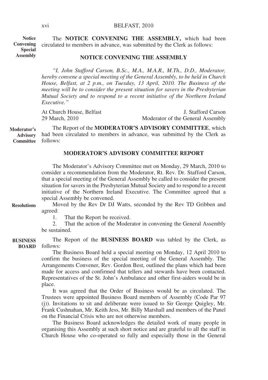The **NOTICE CONVENING THE ASSEMBLY,** which had been circulated to members in advance, was submitted by the Clerk as follows: **Notice Convening Special Assembly**

#### **NOTICE CONVENING THE ASSEMBLY**

*"I, John Stafford Carson, B.Sc., M.A., M.A.R., M.Th., D.D., Moderator, hereby convene a special meeting of the General Assembly, to be held in Church House, Belfast, at 2 p.m., on Tuesday, 13 April, 2010. The Business of the meeting will be to consider the present situation for savers in the Presbyterian Mutual Society and to respond to a recent initiative of the Northern Ireland Executive."*

At Church House, Belfast **J.** Stafford Carson<br>
29 March. 2010 **Moderator of the General Assembly** Moderator of the General Assembly

The Report of the **MODERATOR'S ADVISORY COMMITTEE**, which had been circulated to members in advance, was submitted by the Clerk as Committee follows: **Moderator's Advisory**

#### **MODERATOR'S ADVISORY COMMITTEE REPORT**

The Moderator's Advisory Committee met on Monday, 29 March, 2010 to consider a recommendation from the Moderator, Rt. Rev. Dr. Stafford Carson, that a special meeting of the General Assembly be called to consider the present situation for savers in the Presbyterian Mutual Society and to respond to a recent initiative of the Northern Ireland Executive. The Committee agreed that a special Assembly be convened.

Moved by the Rev Dr DJ Watts, seconded by the Rev TD Gribben and agreed: **Resolutions**

1. That the Report be received.<br>2. That the action of the Moder

That the action of the Moderator in convening the General Assembly be sustained.

The Report of the **BUSINESS BOARD** was tabled by the Clerk, as BOARD follows: **BUSINESS**

> The Business Board held a special meeting on Monday, 12 April 2010 to confirm the business of the special meeting of the General Assembly. The Arrangements Convener, Rev. Gordon Best, outlined the plans which had been made for access and confirmed that tellers and stewards have been contacted. Representatives of the St. John's Ambulance and other first-aiders would be in place.

> It was agreed that the Order of Business would be as circulated. The Trustees were appointed Business Board members of Assembly (Code Par 97 (j)). Invitations to sit and deliberate were issued to Sir George Quigley, Mr. Frank Cushnahan, Mr. Keith Jess, Mr. Billy Marshall and members of the Panel on the Financial Crisis who are not otherwise members.

> The Business Board acknowledges the detailed work of many people in organising this Assembly at such short notice and are grateful to all the staff in Church House who co-operated so fully and especially those in the General

xvi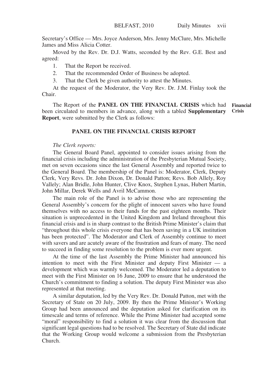Secretary's Office — Mrs. Joyce Anderson, Mrs. Jenny McClure, Mrs. Michelle James and Miss Alicia Cotter.

Moved by the Rev. Dr. D.J. Watts, seconded by the Rev. G.E. Best and agreed:

- 1. That the Report be received.
- 2. That the recommended Order of Business be adopted.
- 3. That the Clerk be given authority to attest the Minutes.

At the request of the Moderator, the Very Rev. Dr. J.M. Finlay took the Chair.

The Report of the **PANEL ON THE FINANCIAL CRISIS** which had been circulated to members in advance, along with a tabled **Supplementary Report**, were submitted by the Clerk as follows: **Financial Crisis**

#### **PANEL ON THE FINANCIAL CRISIS REPORT**

#### *The Clerk reports:*

The General Board Panel, appointed to consider issues arising from the financial crisis including the administration of the Presbyterian Mutual Society, met on seven occasions since the last General Assembly and reported twice to the General Board. The membership of the Panel is: Moderator, Clerk, Deputy Clerk, Very Revs. Dr. John Dixon, Dr. Donald Patton; Revs. Bob Allely, Roy Vallely; Alan Bridle, John Hunter, Clive Knox, Stephen Lynas, Hubert Martin, John Millar, Derek Wells and Avril McCammon.

The main role of the Panel is to advise those who are representing the General Assembly's concern for the plight of innocent savers who have found themselves with no access to their funds for the past eighteen months. Their situation is unprecedented in the United Kingdom and Ireland throughout this financial crisis and is in sharp contrast to the British Prime Minister's claim that "throughout this whole crisis everyone that has been saving in a UK institution has been protected". The Moderator and Clerk of Assembly continue to meet with savers and are acutely aware of the frustration and fears of many. The need to succeed in finding some resolution to the problem is ever more urgent.

At the time of the last Assembly the Prime Minister had announced his intention to meet with the First Minister and deputy First Minister — a development which was warmly welcomed. The Moderator led a deputation to meet with the First Minister on 16 June, 2009 to ensure that he understood the Church's commitment to finding a solution. The deputy First Minister was also represented at that meeting.

A similar deputation, led by the Very Rev. Dr. Donald Patton, met with the Secretary of State on 20 July, 2009. By then the Prime Minister's Working Group had been announced and the deputation asked for clarification on its timescale and terms of reference. While the Prime Minister had accepted some "moral" responsibility to find a solution it was clear from the discussion that significant legal questions had to be resolved. The Secretary of State did indicate that the Working Group would welcome a submission from the Presbyterian Church.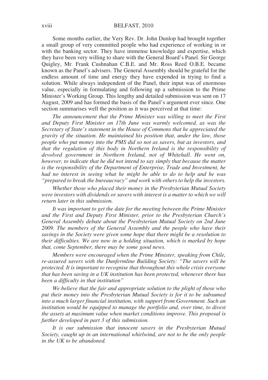Some months earlier, the Very Rev. Dr. John Dunlop had brought together a small group of very committed people who had experience of working in or with the banking sector. They have immense knowledge and expertise, which they have been very willing to share with the General Board's Panel. Sir George Quigley, Mr. Frank Cushnahan C.B.E. and Mr. Ross Reed O.B.E. became known as the Panel's advisers. The General Assembly should be grateful for the endless amount of time and energy they have expended in trying to find a solution. While always independent of the Panel, their input was of enormous value, especially in formulating and following up a submission to the Prime Minister's Working Group. This lengthy and detailed submission was sent on 17 August, 2009 and has formed the basis of the Panel's argument ever since. One section summarises well the position as it was perceived at that time:

*The announcement that the Prime Minister was willing to meet the First and Deputy First Minister on 17th June was warmly welcomed, as was the Secretary of State's statement in the House of Commons that he appreciated the gravity of the situation. He maintained his position that, under the law, those people who put money into the PMS did so not as savers, but as investors, and that the regulation of this body in Northern Ireland is the responsibility of devolved government in Northern Ireland, not of Whitehall. He went on, however, to indicate that he did not intend to say simply that because the matter is the responsibility of the Department of Enterprise, Trade and Investment, he had no interest in seeing what he might be able to do to help and he was "prepared to break the bureaucracy" and work with others to help the investors.*

*Whether those who placed their money in the Presbyterian Mutual Society were investors with dividends or savers with interest is a matter to which we will return later in this submission.*

*It was important to get the date for the meeting between the Prime Minister and the First and Deputy First Minister, prior to the Presbyterian Church's General Assembly debate about the Presbyterian Mutual Society on 2nd June 2009. The members of the General Assembly and the people who have their savings in the Society were given some hope that there might be a resolution to their difficulties. We are now in a holding situation, which is marked by hope that, come September, there may be some good news.*

*Members were encouraged when the Prime Minister, speaking from Chile, re-assured savers with the Dunfermline Building Society: "The savers will be protected. It is important to recognise that throughout this whole crisis everyone that has been saving in a UK institution has been protected, whenever there has been a difficulty in that institution"*

*We believe that the fair and appropriate solution to the plight of those who put their money into the Presbyterian Mutual Society is for it to be subsumed into a much larger financial institution, with support from Government. Such an institution would be equipped to manage the portfolio and, over time, to divest the assets at maximum value when market conditions improve. This proposal is further developed in part 3 of this submission.*

*It is our submission that innocent savers in the Presbyterian Mutual Society, caught up in an international whirlwind, are not to be the only people in the UK to be abandoned.*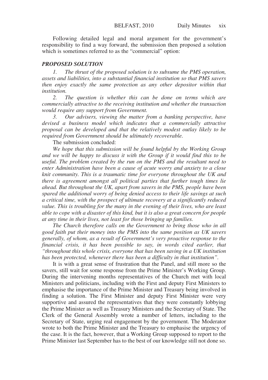Following detailed legal and moral argument for the government's responsibility to find a way forward, the submission then proposed a solution which is sometimes referred to as the "commercial" option:

#### *PROPOSED SOLUTION*

*1. The thrust of the proposed solution is to subsume the PMS operation, assets and liabilities, into a substantial financial institution so that PMS savers then enjoy exactly the same protection as any other depositor within that institution.*

*2. The question is whether this can be done on terms which are commercially attractive to the receiving institution and whether the transaction would require any support from Government.*

*3. Our advisers, viewing the matter from a banking perspective, have devised a business model which indicates that a commercially attractive proposal can be developed and that the relatively modest outlay likely to be required from Government should be ultimately recoverable.*

The submission concluded:

*We hope that this submission will be found helpful by the Working Group and we will be happy to discuss it with the Group if it would find this to be useful. The problem created by the run on the PMS and the resultant need to enter Administration have been a cause of acute worry and anxiety to a close knit community. This is a traumatic time for everyone throughout the UK and there is agreement amongst all political parties that further tough times lie ahead. But throughout the UK, apart from savers in the PMS, people have been spared the additional worry of being denied access to their life savings at such a critical time, with the prospect of ultimate recovery at a significantly reduced value. This is troubling for the many in the evening of their lives, who are least able to cope with a disaster of this kind, but it is also a great concern for people at any time in their lives, not least for those bringing up families.*

*The Church therefore calls on the Government to bring those who in all good faith put their money into the PMS into the same position as UK savers generally, of whom, as a result of Government's very proactive response to the financial crisis, it has been possible to say, in words cited earlier, that "throughout this whole crisis, everyone that has been saving in a UK institution has been protected, whenever there has been a difficulty in that institution".*

It is with a great sense of frustration that the Panel, and still more so the savers, still wait for some response from the Prime Minister's Working Group. During the intervening months representatives of the Church met with local Ministers and politicians, including with the First and deputy First Ministers to emphasise the importance of the Prime Minister and Treasury being involved in finding a solution. The First Minister and deputy First Minister were very supportive and assured the representatives that they were constantly lobbying the Prime Minister as well as Treasury Ministers and the Secretary of State. The Clerk of the General Assembly wrote a number of letters, including to the Secretary of State, urging real engagement by the government. The Moderator wrote to both the Prime Minister and the Treasury to emphasise the urgency of the case. It is the fact, however, that a Working Group supposed to report to the Prime Minister last September has to the best of our knowledge still not done so.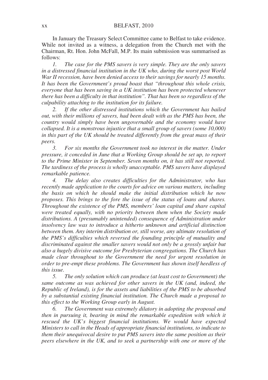In January the Treasury Select Committee came to Belfast to take evidence. While not invited as a witness, a delegation from the Church met with the Chairman, Rt. Hon. John McFall, M.P. Its main submission was summarised as follows:

*1. The case for the PMS savers is very simple. They are the only savers in a distressed financial institution in the UK who, during the worst post World War II recession, have been denied access to their savings for nearly 15 months. It has been the Government's proud boast that "throughout this whole crisis, everyone that has been saving in a UK institution has been protected whenever there has been a difficulty in that institution". That has been so regardless of the culpability attaching to the institution for its failure.*

*2. If the other distressed institutions which the Government has bailed out, with their millions of savers, had been dealt with as the PMS has been, the country would simply have been ungovernable and the economy would have collapsed. It is a monstrous injustice that a small group of savers (some 10,000) in this part of the UK should be treated differently from the great mass of their peers.*

*3. For six months the Government took no interest in the matter. Under pressure, it conceded in June that a Working Group should be set up, to report to the Prime Minister in September. Seven months on, it has still not reported. The tardiness of the process is wholly unacceptable. PMS savers have displayed remarkable patience.*

*4. The delay also creates difficulties for the Administrator, who has recently made application to the courts for advice on various matters, including the basis on which he should make the initial distribution which he now proposes. This brings to the fore the issue of the status of loans and shares. Throughout the existence of the PMS, members' loan capital and share capital were treated equally, with no priority between them when the Society made distributions. A (presumably unintended) consequence of Administration under insolvency law was to introduce a hitherto unknown and artificial distinction between them. Any interim distribution or, still worse, any ultimate resolution of the PMS's difficulties which reversed the founding principle of mutuality and discriminated against the smaller savers would not only be a grossly unfair but also a hugely divisive outcome for Presbyterian congregations. The Church has made clear throughout to the Government the need for urgent resolution in order to pre-empt these problems. The Government has shown itself heedless of this issue.*

*5. The only solution which can produce (at least cost to Government) the same outcome as was achieved for other savers in the UK (and, indeed, the Republic of Ireland), is for the assets and liabilities of the PMS to be absorbed by a substantial existing financial institution. The Church made a proposal to this effect to the Working Group early in August.*

*6. The Government was extremely dilatory in adopting the proposal and then in pursuing it, bearing in mind the remarkable expedition with which it rescued the UK's biggest financial institutions. We would have expected Ministers to call in the Heads of appropriate financial institutions, to indicate to them their unequivocal desire to put PMS savers into the same position as their peers elsewhere in the UK, and to seek a partnership with one or more of the*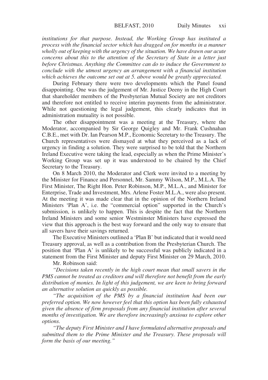*institutions for that purpose. Instead, the Working Group has instituted a process with the financial sector which has dragged on for months in a manner wholly out of keeping with the urgency of the situation. We have drawn our acute concerns about this to the attention of the Secretary of State in a letter just before Christmas. Anything the Committee can do to induce the Government to conclude with the utmost urgency an arrangement with a financial institution which achieves the outcome set out at 5. above would be greatly appreciated.*

During February there were two developments which the Panel found disappointing. One was the judgement of Mr. Justice Deeny in the High Court that shareholder members of the Presbyterian Mutual Society are not creditors and therefore not entitled to receive interim payments from the administrator. While not questioning the legal judgement, this clearly indicates that in administration mutuality is not possible.

The other disappointment was a meeting at the Treasury, where the Moderator, accompanied by Sir George Quigley and Mr. Frank Cushnahan C.B.E., met with Dr. Ian Pearson M.P., Economic Secretary to the Treasury. The Church representatives were dismayed at what they perceived as a lack of urgency in finding a solution. They were surprised to be told that the Northern Ireland Executive were taking the lead, especially as when the Prime Minister's Working Group was set up it was understood to be chaired by the Chief Secretary to the Treasury.

On 8 March 2010, the Moderator and Clerk were invited to a meeting by the Minister for Finance and Personnel, Mr. Sammy Wilson, M.P., M.L.A. The First Minister, The Right Hon. Peter Robinson, M.P., M.L.A., and Minister for Enterprise, Trade and Investment, Mrs. Arlene Foster M.L.A., were also present. At the meeting it was made clear that in the opinion of the Northern Ireland Ministers 'Plan A', i.e. the "commercial option" supported in the Church's submission, is unlikely to happen. This is despite the fact that the Northern Ireland Ministers and some senior Westminster Ministers have expressed the view that this approach is the best way forward and the only way to ensure that all savers have their savings returned.

The Executive Ministers outlined a 'Plan B' but indicated that it would need Treasury approval, as well as a contribution from the Presbyterian Church. The position that 'Plan A' is unlikely to be successful was publicly indicated in a statement from the First Minister and deputy First Minister on 29 March, 2010.

Mr. Robinson said:

*"Decisions taken recently in the high court mean that small savers in the PMS cannot be treated as creditors and will therefore not benefit from the early distribution of monies. In light of this judgement, we are keen to bring forward an alternative solution as quickly as possible.*

*"The acquisition of the PMS by a financial institution had been our preferred option. We now however feel that this option has been fully exhausted given the absence of firm proposals from any financial institution after several months of investigation. We are therefore increasingly anxious to explore other options.*

*"The deputy First Minister and I have formulated alternative proposals and submitted them to the Prime Minister and the Treasury. These proposals will form the basis of our meeting."*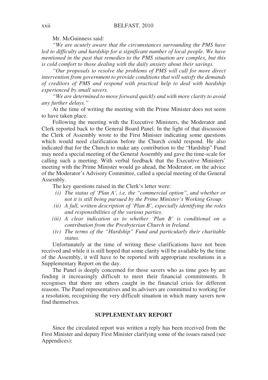Mr. McGuinness said:

*"We are acutely aware that the circumstances surrounding the PMS have led to difficulty and hardship for a significant number of local people. We have mentioned in the past that remedies to the PMS situation are complex, but this is cold comfort to those dealing with the daily anxiety about their savings.*

*"Our proposals to resolve the problems of PMS will call for more direct intervention from government to provide conditions that will satisfy the demands of creditors of PMS and respond with practical help to deal with hardship experienced by small savers.*

*"We are determined to move forward quickly and with more clarity to avoid any further delays."*

At the time of writing the meeting with the Prime Minister does not seem to have taken place.

Following the meeting with the Executive Ministers, the Moderator and Clerk reported back to the General Board Panel. In the light of that discussion the Clerk of Assembly wrote to the First Minister indicating some questions which would need clarification before the Church could respond. He also indicated that for the Church to make any contribution to the "Hardship" Fund may need a special meeting of the General Assembly and gave the time-scale for calling such a meeting. With verbal feedback that the Executive Ministers' meeting with the Prime Minister would go ahead, the Moderator, on the advice of the Moderator's Advisory Committee, called a special meeting of the General Assembly.

The key questions raised in the Clerk's letter were:

- *(i) The status of 'Plan A', i.e. the "commercial option", and whether or not it is still being pursued by the Prime Minister's Working Group.*
- *(ii) A full, written description of 'Plan B', especially identifying the roles and responsibilities of the various parties.*
- *(iii) A clear indication as to whether 'Plan B' is conditional on a contribution from the Presbyterian Church in Ireland.*
- *(iv) The terms of the "Hardship" Fund and particularly their charitable status.*

Unfortunately at the time of writing these clarifications have not been received and while it is still hoped that some clarity will be available by the time of the Assembly, it will have to be reported with appropriate resolutions in a Supplementary Report on the day.

The Panel is deeply concerned for those savers who as time goes by are finding it increasingly difficult to meet their financial commitments. It recognises that there are others caught in the financial crisis for different reasons. The Panel representatives and its advisers are committed to working for a resolution, recognising the very difficult situation in which many savers now find themselves.

#### **SUPPLEMENTARY REPORT**

Since the circulated report was written a reply has been received from the First Minister and deputy First Minister clarifying some of the issues raised (see Appendices):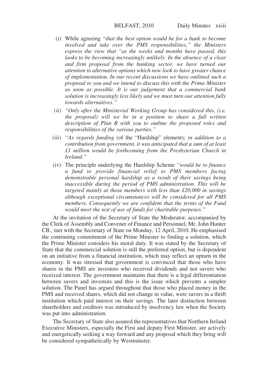- (i) While agreeing *"that the best option would be for a bank to become involved and take over the PMS responsibilities," the Ministers express the view that "as the weeks and months have passed, this looks to be becoming increasingly unlikely. In the absence of a clear and firm proposal from the banking sector, we have turned our attention to alternative options which now look to have greater chance of implementation. In our recent discussions we have outlined such a proposal to you and we intend to discuss this with the Prime Minister as soon as possible. It is our judgement that a commercial bank solution is increasingly less likely and we must turn our attention fully towards alternatives."*
- *(ii) "Only after the Ministerial Working Group has considered this, (i.e. the proposal) will we be in a position to share a full written description of Plan B with you to outline the proposed roles and responsibilities of the various parties."*
- *(iii) "As regards funding* (of the "Hardship" element)*; in addition to a contribution from government, it was anticipated that a sum of at least £1 million would be forthcoming from the Presbyterian Church in Ireland."*
- (iv) The principle underlying the Hardship Scheme *"would be to finance a fund to provide financial relief to PMS members facing demonstrable personal hardship as a result of their savings being inaccessible during the period of PMS administration. This will be targeted mainly at those members with less than £20,000 in savings although exceptional circumstances will be considered for all PMS members. Consequently we are confident that the terms of the Fund would meet the test of use of funds for charitable purposes."*

At the invitation of the Secretary of State the Moderator, accompanied by the Clerk of Assembly and Convener of Finance and Personnel, Mr. John Hunter CB., met with the Secretary of State on Monday, 12 April, 2010. He emphasised the continuing commitment of the Prime Minister to finding a solution, which the Prime Minister considers his moral duty. It was stated by the Secretary of State that the commercial solution is still the preferred option, but is dependent on an initiative from a financial institution, which may reflect an upturn in the economy. It was stressed that government is convinced that those who have shares in the PMS are investors who received dividends and not savers who received interest. The government maintains that there is a legal differentiation between savers and investors and this is the issue which prevents a simpler solution. The Panel has argued throughout that those who placed money in the PMS and received shares, which did not change in value, were savers in a thrift institution which paid interest on their savings. The later distinction between shareholders and creditors was introduced by insolvency law when the Society was put into administration.

The Secretary of State also assured the representatives that Northern Ireland Executive Ministers, especially the First and deputy First Minister, are actively and energetically seeking a way forward and any proposal which they bring will be considered sympathetically by Westminster.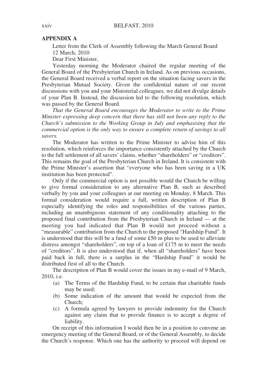#### **APPENDIX A**

Letter from the Clerk of Assembly following the March General Board 12 March, 2010

Dear First Minister,

Yesterday morning the Moderator chaired the regular meeting of the General Board of the Presbyterian Church in Ireland. As on previous occasions, the General Board received a verbal report on the situation facing savers in the Presbyterian Mutual Society. Given the confidential nature of our recent discussions with you and your Ministerial colleagues, we did not divulge details of your Plan B. Instead, the discussion led to the following resolution, which was passed by the General Board.

*That the General Board encourages the Moderator to write to the Prime Minister expressing deep concern that there has still not been any reply to the Church's submission to the Working Group in July and emphasising that the commercial option is the only way to ensure a complete return of savings to all savers.*

The Moderator has written to the Prime Minister to advise him of this resolution, which reinforces the importance consistently attached by the Church to the full settlement of all savers' claims, whether "shareholders" or "creditors". This remains the goal of the Presbyterian Church in Ireland. It is consistent with the Prime Minister's assertion that "everyone who has been saving in a UK institution has been protected".

Only if the commercial option is not possible would the Church be willing to give formal consideration to any alternative Plan B, such as described verbally by you and your colleagues at our meeting on Monday, 8 March. This formal consideration would require a full, written description of Plan B especially identifying the roles and responsibilities of the various parties, including an unambiguous statement of any conditionality attaching to the proposed final contribution from the Presbyterian Church in Ireland — at the meeting you had indicated that Plan B would not proceed without a "measurable" contribution from the Church to the proposed "Hardship Fund". It is understood that this will be a fund of some £50 m plus to be used to alleviate distress amongst "shareholders", on top of a loan of £175 m to meet the needs of "creditors". It is also understood that if, when all "shareholders" have been paid back in full, there is a surplus in the "Hardship Fund" it would be distributed first of all to the Church.

The description of Plan B would cover the issues in my e-mail of 9 March, 2010, i.e.

- (a) The Terms of the Hardship Fund, to be certain that charitable funds may be used;
- (b) Some indication of the amount that would be expected from the Church;
- (c) A formula agreed by lawyers to provide indemnity for the Church against any claim that to provide finance is to accept a degree of liability.

On receipt of this information I would then be in a position to convene an emergency meeting of the General Board, or of the General Assembly, to decide the Church's response. Which one has the authority to proceed will depend on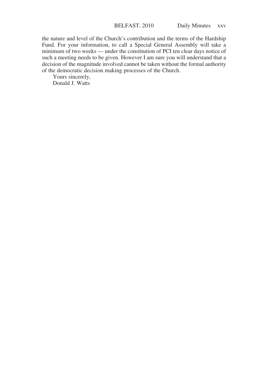the nature and level of the Church's contribution and the terms of the Hardship Fund. For your information, to call a Special General Assembly will take a minimum of two weeks — under the constitution of PCI ten clear days notice of such a meeting needs to be given. However I am sure you will understand that a decision of the magnitude involved cannot be taken without the formal authority of the democratic decision making processes of the Church.

Yours sincerely, Donald J. Watts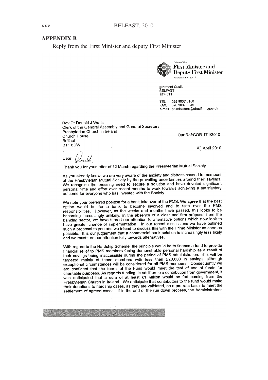#### **APPENDIX R**

Reply from the First Minister and deputy First Minister



ffice of the First Minister and Deputy First Minister

**Atormont Castle BIOLITION** BT4 3TT

028 9037 8158 TEL· FAX: 028 9037 8040 e-mail: ps.ministers@ofmdfmni.gov.uk

Rev Dr Donald J Watts Clerk of the General Assembly and General Secretary Presbyterian Church in Ireland Church House Belfast BT1 6DW

Our Ref:COR 171/2010

 $\chi$  April 2010

Dear

Thank you for your letter of 12 March regarding the Presbyterian Mutual Society.

As you already know, we are very aware of the anxiety and distress caused to members of the Presbyterian Mutual Society by the prevailing uncertainties around their savings. We recognise the pressing need to secure a solution and have devoted significant personal time and effort over recent months to work towards achieving a satisfactory outcome for everyone who has invested with the Society

We note your preferred position for a bank takeover of the PMS. We agree that the best option would be for a bank to become involved and to take over the PMS responsibilities. However, as the weeks and months have passed, this looks to be becoming increasingly unlikely. In the absence of a clear and firm proposal from the banking sector, we have turned our attention to alternative options which now look to have greater chance of implementation. In our recent discussions we have outlined such a proposal to you and we intend to discuss this with the Prime Minister as soon as possible. It is our judgement that a commercial bank solution is increasingly less likely and we must turn our attention fully towards alternatives.

With regard to the Hardship Scheme, the principle would be to finance a fund to provide financial relief to PMS members facing demonstrable personal hardship as a result of their savings being inaccessible during the period of PMS administration. This will be targeted mainly at those members with less than £20,000 in savings although exceptional circumstances will be considered for all PMS members. Consequently we are confident that the terms of the Fund would meet the test of use of funds for charitable purposes. As regards funding, in addition to a contribution from government, it was anticipated that a sum of at least £1 million would be forthcoming from the Presbyterian Church in Ireland. We anticipate that contributors to the fund would make their donations to hardship cases, as they are validated, on a pro-rata basis to meet the settlement of agreed cases. If in the end of the run down process, the Administrator's

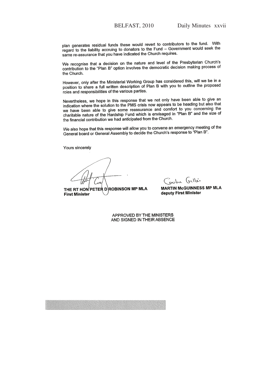plan generates residual funds these would revert to contributors to the fund. With regard to the liability accruing to donators to the Fund - Government would seek the same re-assurance that you have indicated the Church requires.

We recognise that a decision on the nature and level of the Presbyterian Church's contribution to the "Plan B" option involves the democratic decision making process of the Church.

However, only after the Ministerial Working Group has considered this, will we be in a position to share a full written description of Plan B with you to outline the proposed roles and responsibilities of the various parties.

Nevertheless, we hope in this response that we not only have been able to give an indication where the solution to the PMS crisis now appears to be heading but also that we have been able to give some reassurance and comfort to you concerning the charitable nature of the Hardship Fund which is envisaged in "Plan B" and the size of the financial contribution we had anticipated from the Church.

We also hope that this response will allow you to convene an emergency meeting of the General board or General Assembly to decide the Church's response to "Plan B".

Yours sincerely

THE RT HON<sup>'</sup>PETER D ROBINSON MP MLA **First Minister** 

moha Guller

**MARTIN McGUINNESS MP MLA** deputy First Minister

APPROVED BY THE MINISTERS AND SIGNED IN THEIR ABSENCE

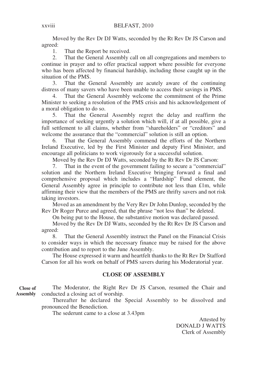Moved by the Rev Dr DJ Watts, seconded by the Rt Rev Dr JS Carson and agreed:

1. That the Report be received.

2. That the General Assembly call on all congregations and members to continue in prayer and to offer practical support where possible for everyone who has been affected by financial hardship, including those caught up in the situation of the PMS.

3. That the General Assembly are acutely aware of the continuing distress of many savers who have been unable to access their savings in PMS.

4. That the General Assembly welcome the commitment of the Prime Minister to seeking a resolution of the PMS crisis and his acknowledgement of a moral obligation to do so.

5. That the General Assembly regret the delay and reaffirm the importance of seeking urgently a solution which will, if at all possible, give a full settlement to all claims, whether from "shareholders" or "creditors" and welcome the assurance that the "commercial" solution is still an option.

6. That the General Assembly commend the efforts of the Northern Ireland Executive, led by the First Minister and deputy First Minister, and encourage all politicians to work vigorously for a successful solution.

Moved by the Rev Dr DJ Watts, seconded by the Rt Rev Dr JS Carson:

7. That in the event of the government failing to secure a "commercial" solution and the Northern Ireland Executive bringing forward a final and comprehensive proposal which includes a "Hardship" Fund element, the General Assembly agree in principle to contribute not less than £1m, while affirming their view that the members of the PMS are thrifty savers and not risk taking investors.

Moved as an amendment by the Very Rev Dr John Dunlop, seconded by the Rev Dr Roger Purce and agreed, that the phrase "not less than" be deleted.

On being put to the House, the substantive motion was declared passed.

Moved by the Rev Dr DJ Watts, seconded by the Rt Rev Dr JS Carson and agreed:

8. That the General Assembly instruct the Panel on the Financial Crisis to consider ways in which the necessary finance may be raised for the above contribution and to report to the June Assembly.

The House expressed it warm and heartfelt thanks to the Rt Rev Dr Stafford Carson for all his work on behalf of PMS savers during his Moderatorial year.

#### **CLOSE OF ASSEMBLY**

The Moderator, the Right Rev Dr JS Carson, resumed the Chair and conducted a closing act of worship. **Close of Assembly**

Thereafter he declared the Special Assembly to be dissolved and pronounced the Benediction.

The sederunt came to a close at 3.43pm

Attested by DONALD J WATTS Clerk of Assembly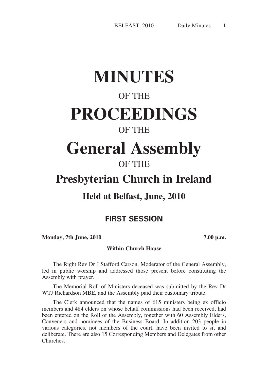# **MINUTES**

## OF THE

# **PROCEEDINGS**

### OF THE

# **General Assembly**

# OF THE

# **Presbyterian Church in Ireland**

## **Held at Belfast, June, 2010**

### **FIRST SESSION**

**Monday, 7th June, 2010 7.00 p.m.**

#### **Within Church House**

The Right Rev Dr J Stafford Carson, Moderator of the General Assembly, led in public worship and addressed those present before constituting the Assembly with prayer.

The Memorial Roll of Ministers deceased was submitted by the Rev Dr WTJ Richardson MBE, and the Assembly paid their customary tribute.

The Clerk announced that the names of 615 ministers being ex officio members and 484 elders on whose behalf commissions had been received, had been entered on the Roll of the Assembly, together with 60 Assembly Elders, Conveners and nominees of the Business Board. In addition 203 people in various categories, not members of the court, have been invited to sit and deliberate. There are also 15 Corresponding Members and Delegates from other Churches.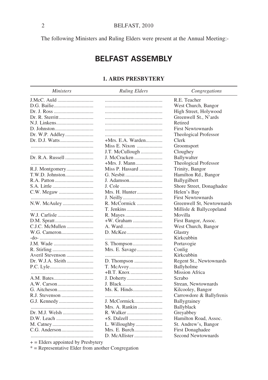The following Ministers and Ruling Elders were present at the Annual Meeting:-

## **BELFAST ASSEMBLY**

#### **1. ARDS PRESBYTERY**

| <i>Ministers</i>  | <b>Ruling Elders</b> | Congregations             |
|-------------------|----------------------|---------------------------|
| J.McC. Auld       |                      | R.E. Teacher              |
|                   |                      | West Church, Bangor       |
|                   |                      | High Street, Holywood     |
| Dr. R. Sterritt   |                      | Greenwell St., N'ards     |
| N.J. Linkens      |                      | Retired                   |
|                   |                      | <b>First Newtownards</b>  |
|                   |                      | Theological Professor     |
| Dr. D.J. Watts    | $+Mrs$ . E.A. Warden | Clerk                     |
|                   | Miss E. Nixon        | Groomsport                |
|                   | J.T. McCullough      | Cloughey                  |
| Dr. R.A. Russell  | J. McCracken         | <b>Ballywalter</b>        |
|                   |                      |                           |
|                   | Miss P. Hassard      | Theological Professor     |
|                   |                      | Trinity, Bangor           |
| T.W.D. Johnston   |                      | Hamilton Rd., Bangor      |
|                   | J. Adamson           | Ballygilbert              |
| S.A. Little       |                      | Shore Street, Donaghadee  |
|                   | Mrs. H. Hunter       | Helen's Bay               |
|                   |                      | <b>First Newtownards</b>  |
| N.W. McAuley      | R. McCormick         | Greenwell St, Newtownards |
|                   |                      | Millisle & Ballycopeland  |
|                   |                      | Movilla                   |
|                   | +W. Graham           | First Bangor, Assoc.      |
|                   |                      | West Church, Bangor       |
|                   |                      | Glastry                   |
|                   |                      | Kirkcubbin                |
| J.M. Wade         |                      | Portavogie                |
|                   |                      | Conlig                    |
| Averil Stevenson  |                      | Kirkcubbin                |
| Dr. W.J.A. Sleith |                      | Regent St., Newtownards   |
|                   |                      | Ballyholme                |
|                   |                      | Mission Africa            |
|                   |                      | Scrabo                    |
|                   |                      | Strean, Newtownards       |
|                   | Ms. K. Hinds         | Kilcooley, Bangor         |
| R.J. Stevenson    |                      | Carrowdore & Ballyfrenis  |
|                   | J. McCormick         | Ballygrainey              |
|                   | Mrs. A. Rankin       | Ballyblack                |
| Dr. M.J. Welsh    |                      | Greyabbey                 |
| D.W. Leach        |                      | Hamilton Road, Assoc.     |
|                   |                      | St. Andrew's, Bangor      |
|                   | Mrs. E. Burch        | <b>First Donaghadee</b>   |
|                   |                      | Second Newtownards        |

+ = Elders appointed by Presbytery

\*  $=$  Representative Elder from another Congregation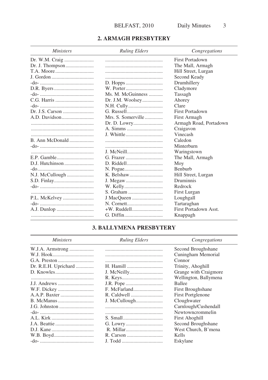#### 2. ARMAGH PRESBYTERY

| <i>Ministers</i> | <b>Ruling Elders</b> | Congregations          |
|------------------|----------------------|------------------------|
|                  |                      | First Portadown        |
|                  |                      | The Mall, Armagh       |
|                  |                      | Hill Street, Lurgan    |
|                  |                      | Second Keady           |
|                  |                      | Drumhillery            |
|                  |                      | Cladymore              |
|                  | Ms. M. McGuinness    | Tassagh                |
|                  | Dr. J.M. Woolsey     | Ahorey                 |
|                  |                      | Clare                  |
|                  |                      | First Portadown        |
|                  | Mrs. S. Somerville   | First Armagh           |
|                  |                      | Armagh Road, Portadown |
|                  |                      | Craigavon              |
|                  |                      | Vinecash               |
| B. Ann McDonald  |                      | Caledon                |
|                  |                      | Minterburn             |
|                  |                      | Waringstown            |
|                  |                      | The Mall, Armagh       |
| D.J. Hutchinson  |                      | Moy                    |
|                  |                      | <b>Benburb</b>         |
|                  |                      | Hill Street, Lurgan    |
|                  |                      | Druminnis              |
|                  |                      | Redrock                |
|                  |                      | First Lurgan           |
| P.L. McKelvey    |                      | Loughgall              |
|                  |                      | Tartaraghan            |
|                  |                      | First Portadown Asst.  |
|                  |                      | Knappagh               |

### **3. BALLYMENA PRESBYTERY**

| <b>Ministers</b>     | <b>Ruling Elders</b> | Congregations            |
|----------------------|----------------------|--------------------------|
| W.J.A. Armstrong     |                      | Second Broughshane       |
|                      |                      | Cuningham Memorial       |
|                      |                      | Connor                   |
| Dr. R.E.H. Uprichard |                      | Trinity, Ahoghill        |
|                      |                      | Grange with Craigmore    |
|                      |                      | Wellington, Ballymena    |
|                      |                      | <b>Ballee</b>            |
|                      | F. McFarland         | First Broughshane        |
|                      |                      | <b>First Portglenone</b> |
|                      |                      | Cloughwater              |
|                      |                      | Carnlough/Cushendall     |
|                      |                      | Newtowncrommelin         |
|                      |                      | First Ahoghill           |
|                      |                      | Second Broughshane       |
|                      |                      | West Church, B'mena      |
|                      |                      | Kells                    |
|                      |                      | Eskylane                 |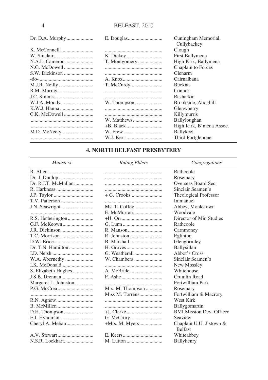|             |             | Cuningham Memorial,<br>Cullybackey |
|-------------|-------------|------------------------------------|
|             |             | Clough                             |
|             |             | First Ballymena                    |
|             |             | High Kirk, Ballymena               |
|             |             | Chaplain to Forces                 |
|             |             | Glenarm                            |
|             |             | Cairnalbana                        |
|             |             | <b>Buckna</b>                      |
| R.M. Murray |             | Connor                             |
|             |             | Rasharkin                          |
|             |             | Brookside, Ahoghill                |
|             |             | Glenwherry                         |
|             |             | Killymurris                        |
|             | W. Matthews | Ballyloughan                       |
|             |             | High Kirk, B'mena Assoc.           |
|             |             | Ballykeel                          |
|             | W.J. Kerr   | Third Portglenone                  |

#### **4. NORTH BELFAST PRESBYTERY**

*Ministers Ruling Elders Congregations*

|                  | Rathcoole                                 |
|------------------|-------------------------------------------|
|                  | Rosemary                                  |
|                  | Overseas Board Sec.                       |
|                  | Sinclair Seamen's                         |
|                  | Theological Professor                     |
|                  | Immanuel                                  |
|                  | Abbey, Monkstown                          |
|                  | Woodvale                                  |
|                  | Director of Min Studies                   |
|                  | Rathcoole                                 |
|                  | Carnmoney                                 |
|                  | Eglinton                                  |
|                  | Glengormley                               |
|                  | Ballysillan                               |
|                  | Abbot's Cross                             |
| W. Chambers      | Sinclair Seamen's                         |
|                  | New Mossley                               |
|                  | Whitehouse                                |
|                  | Crumlin Road                              |
|                  | Fortwilliam Park                          |
| Mrs. M. Thompson | Rosemary                                  |
| Miss M. Torrens  | Fortwilliam & Macrory                     |
|                  | West Kirk                                 |
|                  | Ballygomartin                             |
|                  | <b>BMI Mission Dev. Officer</b>           |
|                  | Seaview                                   |
|                  | Chaplain U.U. J'stown &<br><b>Belfast</b> |
|                  | Whiteabbey                                |
|                  | Ballyhenry                                |
|                  |                                           |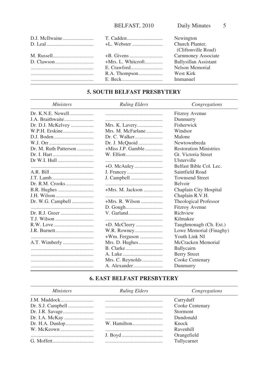|                    |                       | Newington             |
|--------------------|-----------------------|-----------------------|
| $D.$ Leal $\ldots$ |                       | Church Planter,       |
|                    |                       | (Cliftonville Road)   |
|                    |                       | Carnmoney Associate   |
|                    | $+Mrs$ . L. Whiteroft | Ballysillan Assistant |
|                    |                       | Nelson Memorial       |
|                    |                       | West Kirk             |
|                    |                       | Immanuel              |

## **5. SOUTH BELFAST PRESBYTERY**

| <i>Ministers</i>      | <b>Ruling Elders</b> | Congregations                 |
|-----------------------|----------------------|-------------------------------|
| Dr. K.N.E. Newell     |                      | <b>Fitzroy Avenue</b>         |
| J.A. Braithwaite      |                      | Dunmurry                      |
| Dr. D.J. McKelvey     |                      | Fisherwick                    |
|                       | Mrs. M. McFarlane    | Windsor                       |
|                       |                      | Malone                        |
|                       | Dr. J. McQuoid       | Newtownbreda                  |
| Dr. M. Ruth Patterson | $+Miss$ J.P. Gamble  | <b>Restoration Ministries</b> |
|                       |                      | Gt. Victoria Street           |
| Dr W.I. Hull          |                      | Ulsterville                   |
|                       |                      | Belfast Bible Col. Lec.       |
|                       |                      | Saintfield Road               |
|                       |                      | <b>Townsend Street</b>        |
|                       |                      | <b>Belvoir</b>                |
|                       | $+Mrs$ . M. Jackson  | Chaplain City Hospital        |
|                       |                      | Chaplain R.V.H.               |
| Dr. W.G. Campbell     | $+Mrs$ . R. Wilson   | Theological Professor         |
|                       |                      | <b>Fitzroy Avenue</b>         |
|                       |                      | Richview                      |
| T.J. Wilson           |                      | Kilmakee                      |
|                       |                      | Taughmonagh (Ch. Ext.)        |
|                       |                      | Lowe Memorial (Finaghy)       |
|                       |                      | Youth Link NI                 |
|                       |                      | McCracken Memorial            |
|                       |                      | Ballycairn                    |
|                       |                      | <b>Berry Street</b>           |
|                       | Mrs. C. Reynolds     | Cooke Centenary               |
|                       |                      | Dunmurry                      |

## **6. EAST BELFAST PRESBYTERY**

| <i>Ministers</i> | <b>Ruling Elders</b> | Congregations   |
|------------------|----------------------|-----------------|
|                  |                      | Carryduff       |
|                  |                      | Cooke Centenary |
|                  |                      | <b>Stormont</b> |
|                  |                      | Dundonald       |
|                  |                      | Knock           |
|                  |                      | Ravenhill       |
|                  |                      | Orangefield     |
|                  |                      | Tullycarnet     |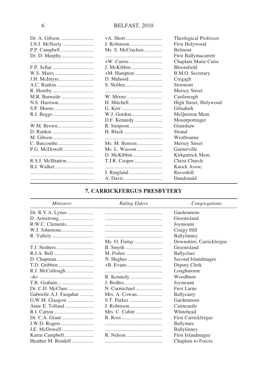|                    |                  | Theological Professor |
|--------------------|------------------|-----------------------|
| J.N.I. McNeely     |                  | First Holywood        |
|                    | Ms. S. McCracken | <b>Belmont</b>        |
|                    |                  | First Ballymacarrett  |
|                    |                  | Chaplain Marie Curie  |
|                    | J. McKibbin      | <b>Bloomfield</b>     |
|                    |                  | B.M.O. Secretary      |
|                    |                  | Cregagh               |
|                    |                  | Stormont              |
|                    |                  | <b>Mersey Street</b>  |
| M.R. Burnside      |                  | Castlereagh           |
|                    |                  | High Street, Holywood |
|                    |                  | Gilnahirk             |
|                    |                  | McQuiston Mem.        |
|                    |                  | Mountpottinger        |
| W.M. Brown         |                  | Granshaw              |
|                    | H. Black         | Strand                |
|                    |                  | Westbourne            |
|                    |                  | <b>Mersey Street</b>  |
| P.G. McDowell      | Ms. L. Wasson    | Garnerville           |
|                    |                  | Kirkpatrick Mem.      |
|                    |                  | Christ Church         |
| <b>B.J. Walker</b> |                  | Knock Assoc.          |
|                    |                  | Ravenhill             |
|                    | A. Davis         | Dundonald             |

## **7. CARRICKFERGUS PRESBYTERY**

## *Ministers Ruling Elders Congregations*

|                         |                | Gardenmore               |
|-------------------------|----------------|--------------------------|
|                         |                | Greenisland              |
| R.W.C. Clements         |                | Joymount                 |
| W.J. Johnstone          |                | Craigy Hill              |
|                         |                | Ballylinney              |
|                         |                | Downshire, Carrickfergus |
|                         |                | Greenisland              |
|                         |                | Ballyclare               |
|                         |                | Second Islandmagee       |
|                         |                | Deputy Clerk             |
| R.J. McCullough         |                | Loughmorne               |
|                         |                | Woodburn                 |
|                         |                | Joymount                 |
|                         | N. Carmichael  | First Larne              |
| Gabrielle A.J. Farquhar | Mrs. A. Cowan  | Ballycarry               |
| G.W.M. Glasgow          |                | Gardenmore               |
|                         |                | Cairncastle              |
|                         | Mrs. C. Cubitt | Whitehead                |
|                         |                | First Carrickfergus      |
|                         |                | Ballynure                |
| J.E. McDowell           |                | Ballylinney              |
|                         |                | First Islandmagee        |
| Heather M. Rendell      |                | Chaplain to Forces       |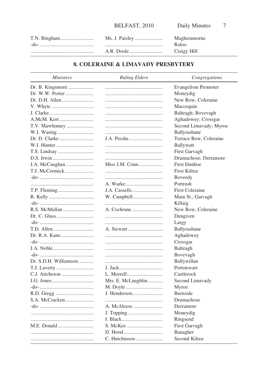|  | Magheramorne |
|--|--------------|
|  | Raloo        |
|  | Craigy Hill  |

## **8. COLERAINE & LIMAVADY PRESBYTERY**

| <i>Ministers</i>      | <b>Ruling Elders</b> | Congregations              |
|-----------------------|----------------------|----------------------------|
| Dr. B. Kingsmore      |                      | <b>Evangelism Promoter</b> |
| Dr. W.W. Porter       |                      | Moneydig                   |
|                       |                      | New Row, Coleraine         |
|                       |                      | Macosquin                  |
|                       |                      | Balteagh; Bovevagh         |
| A.McM. Kerr           |                      | Aghadowey; Crossgar        |
| T.V. Mawhinney        |                      | Second Limavady; Myroe     |
|                       |                      | Ballyrashane               |
|                       |                      | Terrace Row, Coleraine     |
|                       |                      | Ballywatt                  |
|                       |                      | First Garvagh              |
|                       |                      | Drumachose; Derramore      |
|                       | Miss J.M. Conn       | <b>First Dunboe</b>        |
| T.J. McCormick        |                      | First Kilrea               |
|                       |                      | Boveedy                    |
|                       |                      | Portrush                   |
|                       |                      | <b>First Coleraine</b>     |
|                       |                      | Main St., Garvagh          |
|                       |                      | Killaig                    |
|                       |                      | New Row, Coleraine         |
|                       |                      | Dungiven                   |
|                       |                      | Largy                      |
|                       |                      | Ballyrashane               |
|                       |                      | Aghadowey                  |
|                       |                      | Crossgar                   |
| J.A. Noble            |                      | Balteagh                   |
|                       |                      | Bovevagh                   |
| Dr. S.D.H. Williamson |                      | Ballywillan                |
|                       |                      | Portstewart                |
|                       |                      | Castlerock                 |
|                       | Mrs. E. McLaughlin   | Second Limavady            |
|                       |                      | Myroe                      |
|                       |                      | Burnside                   |
|                       |                      | Drumachose                 |
|                       | A. McAleese          | Derramore                  |
|                       |                      | Moneydig                   |
|                       |                      | Ringsend                   |
| M.E. Donald           |                      | First Garvagh              |
|                       |                      | Banagher                   |
|                       | C. Hutchinson        | Second Kilrea              |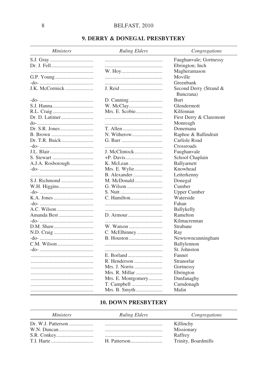## 9. DERRY & DONEGAL PRESBYTERY

| <i>Ministers</i>  | <b>Ruling Elders</b> | Congregations           |
|-------------------|----------------------|-------------------------|
|                   |                      | Faughanvale; Gortnessy  |
|                   |                      | Ebrington; Inch         |
|                   |                      | Magheramason            |
|                   |                      | Moville                 |
|                   |                      | Greenbank               |
| J.K. McCormick    |                      | Second Derry (Strand &  |
|                   |                      | Buncrana)               |
|                   |                      | <b>Burt</b>             |
|                   |                      | Glendermott             |
|                   |                      | Kilfennan               |
|                   |                      | First Derry & Claremont |
|                   |                      | Monreagh                |
|                   |                      | Donemana                |
|                   |                      | Raphoe & Ballindrait    |
| Dr. T.R. Buick    |                      | Carlisle Road           |
|                   |                      | Crossroads              |
| J.L. Blair        | J. McClintock        | Faughanvale             |
|                   |                      | School Chaplain         |
| A.J.A. Rosborough |                      | Ballyarnett             |
|                   |                      | Knowhead                |
|                   |                      | Letterkenny             |
| S.J. Richmond     | M. McDonald          | Donegal                 |
|                   |                      | Cumber                  |
|                   |                      | <b>Upper Cumber</b>     |
|                   |                      | Waterside               |
|                   |                      | Fahan                   |
| A.C. Wilson       |                      | <b>Ballykelly</b>       |
| Amanda Best       |                      | Ramelton                |
|                   |                      | Kilmacrennan            |
|                   |                      | Strabane                |
|                   |                      | Ray                     |
|                   |                      | Newtowncunningham       |
|                   |                      | Ballylennon             |
|                   |                      | St. Johnston            |
|                   |                      | Fannet                  |
|                   | R. Henderson         | Stranorlar              |
|                   | Mrs. J. Norris       | Gortnessy               |
|                   | Mrs. R. Millar       | Ebrington               |
|                   | Mrs. E. Montgomery   | Dunfanaghy              |
|                   |                      | Carndonagh              |
|                   | Mrs. B. Smyth        | Malin                   |

### **10. DOWN PRESBYTERY**

#### Ministers

#### **Ruling Elders**

Congregations

|  | Killinchy           |
|--|---------------------|
|  | Missionary          |
|  | Raffrey             |
|  | Trinity, Boardmills |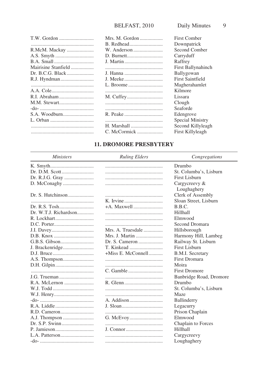|                     | Mrs. M. Gordon | First Comber       |
|---------------------|----------------|--------------------|
|                     |                |                    |
|                     |                | Downpatrick        |
|                     |                | Second Comber      |
|                     |                | Carryduff          |
|                     |                | Raffrey            |
| Mairisine Stanfield |                | First Ballynahinch |
|                     |                | Ballygowan         |
|                     |                | First Saintfield   |
|                     |                | Magherahamlet      |
|                     |                | Kilmore            |
|                     |                | Lissara            |
|                     |                | Clough             |
|                     |                | Seaforde           |
|                     |                | Edengrove          |
|                     |                | Special Ministry   |
|                     | H. Marshall    | Second Killyleagh  |
|                     | C. McCormick   | First Killyleagh   |

## **11. DROMORE PRESBYTERY**

| <i>Ministers</i>      | <b>Ruling Elders</b> | Congregations           |
|-----------------------|----------------------|-------------------------|
|                       |                      | Drumbo                  |
| Dr. D.M. Scott        |                      | St. Columba's, Lisburn  |
|                       |                      | <b>First Lisburn</b>    |
|                       |                      | Cargycreevy &           |
|                       |                      | Loughaghery             |
|                       |                      | Clerk of Assembly       |
|                       |                      | Sloan Street, Lisburn   |
|                       |                      | B.B.C.                  |
| Dr. W.T.J. Richardson |                      | Hillhall                |
|                       |                      | Elmwood                 |
|                       |                      | Second Dromara          |
|                       | Mrs. A. Truesdale    | Hillsborough            |
|                       | Mrs. J. Martin       | Harmony Hill, Lambeg    |
| G.B.S. Gibson         | Dr. S. Cameron       | Railway St. Lisburn     |
|                       |                      | First Lisburn           |
|                       | +Miss E. McConnell   | <b>B.M.I.</b> Secretary |
| A.S. Thompson         |                      | <b>First Dromara</b>    |
|                       |                      | Moira                   |
|                       |                      | <b>First Dromore</b>    |
|                       |                      | Banbridge Road, Dromore |
|                       |                      | Drumbo                  |
|                       |                      | St. Columba's, Lisburn  |
|                       |                      | Maze                    |
|                       |                      | Ballinderry             |
|                       |                      | Legacurry               |
|                       |                      | Prison Chaplain         |
|                       |                      | Elmwood                 |
|                       |                      | Chaplain to Forces      |
|                       |                      | Hillhall                |
|                       |                      | Cargycreevy             |
|                       |                      | Loughaghery             |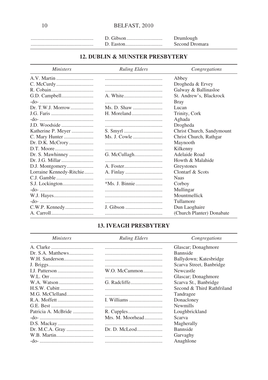|  | Drumlough      |
|--|----------------|
|  | Second Dromara |

## 12. DUBLIN & MUNSTER PRESBYTERY

| <i>Ministers</i>         | <b>Ruling Elders</b> | Congregations             |
|--------------------------|----------------------|---------------------------|
|                          |                      | Abbey                     |
|                          |                      | Drogheda & Ervey          |
|                          |                      | Galway & Ballinasloe      |
|                          |                      | St. Andrew's, Blackrock   |
|                          |                      | <b>Bray</b>               |
| Dr. T.W.J. Morrow        |                      | Lucan                     |
|                          |                      | Trinity, Cork             |
|                          |                      | Aghada                    |
|                          |                      | Drogheda                  |
| Katherine P. Meyer       |                      | Christ Church, Sandymount |
|                          | Ms. J. Cowle         | Christ Church, Rathgar    |
| Dr. D.K. McCrory         |                      | Maynooth                  |
|                          |                      | Kilkenny                  |
| Dr. S. Mawhinney         |                      | Adelaide Road             |
|                          |                      | Howth & Malahide          |
|                          |                      | Greystones                |
| Lorraine Kennedy-Ritchie |                      | Clontarf & Scots          |
|                          |                      | <b>Naas</b>               |
|                          |                      | Corboy                    |
|                          |                      | Mullingar                 |
|                          |                      | Mountmellick              |
|                          |                      | Tullamore                 |
|                          |                      | Dun Laoghaire             |
|                          |                      | (Church Planter) Donabate |

### **13. IVEAGH PRESBYTERY**

| <i>Ministers</i>    | <b>Ruling Elders</b> | Congregations              |
|---------------------|----------------------|----------------------------|
|                     |                      | Glascar; Donaghmore        |
|                     |                      | <b>Bannside</b>            |
|                     |                      | Ballydown; Katesbridge     |
|                     |                      | Scarva Street, Banbridge   |
|                     | W.O. McCammon        | Newcastle                  |
|                     |                      | Glascar; Donaghmore        |
|                     |                      | Scarva St., Banbridge      |
|                     |                      | Second & Third Rathfriland |
| M.G. McClelland     |                      | Tandragee                  |
|                     |                      | Donacloney                 |
|                     |                      | <b>Newmills</b>            |
| Patricia A. McBride |                      | Loughbrickland             |
|                     | Mrs. M. Moorhead     | Scarva                     |
|                     |                      | Magherally                 |
|                     |                      | <b>Bannside</b>            |
|                     |                      | Garvaghy                   |
|                     |                      | Anaghlone                  |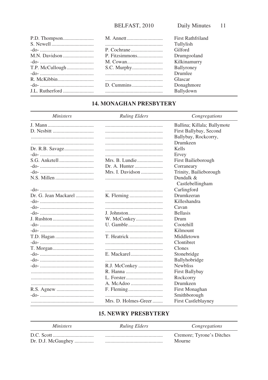|  | <b>First Rathfriland</b> |
|--|--------------------------|
|  | Tullylish                |
|  | Gilford                  |
|  | Drumgooland              |
|  | Kilkinamurry             |
|  | Ballyroney               |
|  | Drumlee                  |
|  | Glascar                  |
|  | Donaghmore               |
|  | Ballydown                |

## **14. MONAGHAN PRESBYTERY**

#### **Ruling Elders**

Ministers

Congregations

|                      |                      | Ballina; Killala; Ballymote   |
|----------------------|----------------------|-------------------------------|
|                      |                      | First Ballybay, Second        |
|                      |                      | Ballybay, Rockcorry,          |
|                      |                      | Drumkeen                      |
|                      |                      | Kells                         |
|                      |                      | Ervey                         |
|                      | Mrs. B. Lundie       | First Bailieborough           |
|                      | Dr. A. Hunter        | Corraneary                    |
|                      | Mrs. I. Davidson     | Trinity, Bailieborough        |
|                      |                      | Dundalk &<br>Castlebellingham |
|                      |                      | Carlingford                   |
| Dr. G. Jean Mackarel |                      | Drumkeeran                    |
|                      |                      | Killeshandra                  |
|                      |                      | Cavan                         |
|                      |                      | <b>Bellasis</b>               |
|                      |                      | Drum                          |
|                      |                      | Cootehill                     |
|                      |                      | Kilmount                      |
|                      |                      | Middletown                    |
|                      |                      | Clontibret                    |
|                      |                      | Clones                        |
|                      |                      | Stonebridge                   |
|                      |                      | Ballyhobridge                 |
|                      | R.J. McConkey        | <b>Newbliss</b>               |
|                      |                      | First Ballybay                |
|                      |                      | Rockcorry                     |
|                      |                      | Drumkeen                      |
|                      |                      | First Monaghan                |
|                      |                      | Smithborough                  |
|                      | Mrs. D. Holmes-Greer | <b>First Castleblayney</b>    |
|                      |                      |                               |

### **15. NEWRY PRESBYTERY**

| <i>Ministers</i>   | <b>Ruling Elders</b> | Congregations             |
|--------------------|----------------------|---------------------------|
|                    |                      | Cremore; Tyrone's Ditches |
| Dr. D.J. McGaughey |                      | Mourne                    |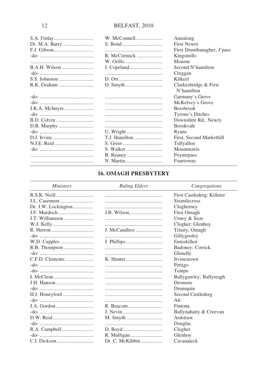|                | W. McConnell  | Annalong                            |
|----------------|---------------|-------------------------------------|
| Dr. M.A. Barry |               | <b>First Newry</b>                  |
|                |               | First Drumbanagher; J'pass          |
|                | R. McCormick  | Kingsmills                          |
|                |               | Mourne                              |
|                |               | Second N'hamilton                   |
|                |               | Creggan                             |
|                |               | Kilkeel                             |
|                |               | Clarkesbridge & First<br>N'hamilton |
|                |               | Garmany's Grove                     |
|                |               | McKelvey's Grove                    |
|                |               | <b>Bessbrook</b>                    |
|                |               | Tyrone's Ditches                    |
|                |               | Downshire Rd., Newry                |
|                |               | <b>Brookvale</b>                    |
|                |               | Ryans                               |
|                | T.J. Hamilton | First, Second Markethill            |
|                |               | Tullyallen                          |
|                |               | Mountnorris                         |
|                |               | Poyntzpass                          |
|                |               | Fourtowns                           |

## **16. OMAGH PRESBYTERY**

#### **Ministers**

Ruling Elders

Congregations

|                     |                 | First Castlederg; Killeter |
|---------------------|-----------------|----------------------------|
|                     |                 | <b>Sixmilecross</b>        |
| Dr. J.W. Lockington |                 | Clogherney                 |
| J.F. Murdoch        |                 | First Omagh                |
|                     |                 | Urney & Sion               |
|                     |                 | Clogher; Glenhoy           |
|                     | J. McCandless   | Trinity, Omagh             |
|                     |                 | Gillygooley                |
|                     |                 | Enniskillen                |
| R.B. Thompson       |                 | Badoney; Corrick           |
|                     |                 | Glenelly                   |
|                     |                 | <b>Irvinestown</b>         |
|                     |                 | Pettigo                    |
|                     |                 | Tempo                      |
|                     |                 | Ballygawley; Ballyreagh    |
|                     |                 | Dromore                    |
|                     |                 | Drumquin                   |
|                     |                 | Second Castlederg          |
|                     |                 | Al <sub>t</sub>            |
|                     |                 | Fintona                    |
|                     |                 | Ballynahatty & Creevan     |
|                     |                 | Ardstraw                   |
|                     |                 | Douglas                    |
|                     |                 | Clogher                    |
|                     |                 | Glenhoy                    |
|                     | Dr. C. McKibbin | Cavanaleck                 |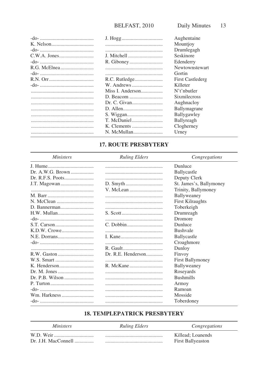|                  | Aughentaine             |
|------------------|-------------------------|
|                  | Mountjoy                |
|                  | Drumlegagh              |
|                  | Seskinore               |
|                  | Edenderry               |
|                  | Newtownstewart          |
|                  | Gortin                  |
|                  | <b>First Castlederg</b> |
|                  | Killeter                |
| Miss I. Anderson | N't'nhutler             |
|                  | <b>Sixmilecross</b>     |
|                  | Aughnacloy              |
|                  | <b>Ballymagrane</b>     |
|                  | Ballygawley             |
| T. McDaniel      | Ballyreagh              |
|                  | Clogherney              |
|                  | Urney                   |

## **17. ROUTE PRESBYTERY**

| <i>Ministers</i> | <b>Ruling Elders</b> | Congregations           |
|------------------|----------------------|-------------------------|
|                  |                      | Dunluce                 |
| Dr. A.W.G. Brown |                      | Ballycastle             |
| Dr. R.F.S. Poots |                      | Deputy Clerk            |
|                  |                      | St. James's, Ballymoney |
|                  |                      | Trinity, Ballymoney     |
|                  |                      | Ballyweaney             |
|                  |                      | <b>First Kilraughts</b> |
|                  |                      | Toberkeigh              |
| H.W. Mullan      |                      | Drumreagh               |
|                  |                      | Dromore                 |
|                  |                      | Dunluce                 |
|                  |                      | <b>Bushvale</b>         |
|                  |                      | Ballycastle             |
|                  |                      | Croaghmore              |
|                  |                      | Dunloy                  |
|                  |                      | Finvoy                  |
|                  |                      | First Ballymoney        |
|                  |                      | Ballyweaney             |
|                  |                      | Roseyards               |
| Dr. P.B. Wilson  |                      | <b>Bushmills</b>        |
|                  |                      | Armoy                   |
|                  |                      | Ramoan                  |
| Wm. Harkness     |                      | Mosside                 |
|                  |                      | Toberdoney              |

## **18. TEMPLEPATRICK PRESBYTERY**

| <i>Ministers</i> | <b>Ruling Elders</b> | Congregations            |
|------------------|----------------------|--------------------------|
|                  |                      | Killead: Loanends        |
|                  |                      | <b>First Ballyeaston</b> |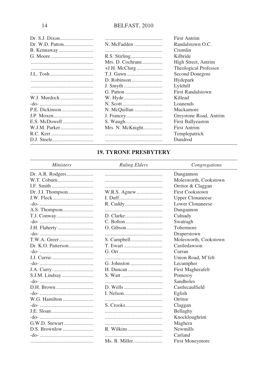|                 |                  | First Antrim             |
|-----------------|------------------|--------------------------|
| Dr. W.D. Patton | N. McFadden      | Randalstown O.C.         |
|                 |                  | Crumlin                  |
|                 |                  | Kilbride                 |
|                 | Mrs. D. Cochrane | High Street, Antrim      |
|                 |                  | Theological Professor    |
| J.L. Tosh       |                  | Second Donegore          |
|                 |                  | Hydepark                 |
|                 |                  | Lylehill                 |
|                 |                  | <b>First Randalstown</b> |
| W.J. Murdock    |                  | Killead                  |
|                 |                  | Loanends                 |
| P.E. Dickinson  | N. McQuillan     | Muckamore                |
| J.P. Moxen      |                  | Greystone Road, Antrim   |
| E.S. McDowell   |                  | <b>First Ballyeaston</b> |
| W.J.M. Parker   | Mrs. N. McKnight | <b>First Antrim</b>      |
|                 |                  | Templepatrick            |
|                 |                  | Dundrod                  |

## **19. TYRONE PRESBYTERY**

| <i>Ministers</i>  | <b>Ruling Elders</b> | Congregations           |
|-------------------|----------------------|-------------------------|
| Dr. A.R. Rodgers  |                      | Dungannon               |
| W.T. Coburn       |                      | Molesworth, Cookstown   |
|                   |                      | Orritor & Claggan       |
| Dr. J.I. Thompson |                      | <b>First Cookstown</b>  |
| J.W. Fleck        |                      | <b>Upper Clonaneese</b> |
|                   |                      | Lower Clonaneese        |
|                   |                      | Dungannon               |
|                   |                      | Culnady                 |
|                   |                      | Swatragh                |
| J.H. Flaherty     |                      | Tobermore               |
|                   |                      | Draperstown             |
|                   |                      | Molesworth, Cookstown   |
|                   | T. Ewart             | Castledawson            |
|                   |                      | Curran                  |
|                   |                      | Union Road, M'felt      |
|                   |                      | Lecumpher               |
|                   |                      | First Magherafelt       |
|                   |                      | Pomeroy                 |
|                   |                      | <b>Sandholes</b>        |
| D.H. Brown        |                      | Castlecaulfield         |
|                   |                      | Eglish                  |
| W.G. Hamilton     |                      | Orritor                 |
|                   |                      | Claggan                 |
|                   |                      | Bellaghy                |
|                   |                      | Knockloughrim           |
|                   |                      | Maghera                 |
|                   |                      | <b>Newmills</b>         |
|                   |                      | Carland                 |
|                   |                      | First Moneymore         |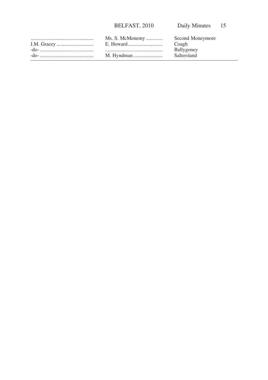| Ms. S. McMenemy | Second Moneymore |
|-----------------|------------------|
|                 | Coagh            |
|                 | Ballygoney       |
|                 | Saltersland      |
|                 |                  |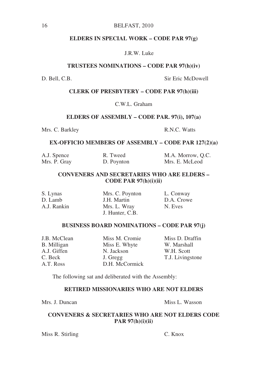#### **ELDERS IN SPECIAL WORK – CODE PAR 97(g)**

#### J.R.W. Luke

#### **TRUSTEES NOMINATIONS – CODE PAR 97(h)(iv)**

D. Bell, C.B. Sir Eric McDowell

#### **CLERK OF PRESBYTERY – CODE PAR 97(h)(iii)**

C.W.L. Graham

#### **ELDERS OF ASSEMBLY – CODE PAR. 97(i), 107(a)**

Mrs. C. Barkley R.N.C. Watts

#### **EX-OFFICIO MEMBERS OF ASSEMBLY – CODE PAR 127(2)(a)**

| A.J. Spence  | R. Tweed   | M.A. Morrow, Q.C. |
|--------------|------------|-------------------|
| Mrs. P. Gray | D. Poynton | Mrs. E. McLeod    |

### **CONVENERS AND SECRETARIES WHO ARE ELDERS – CODE PAR 97(h)(i)(ii)**

S. Lynas Mrs. C. Poynton L. Conway<br>
D. Lamb J. H. Martin D.A. Crowe D. Lamb J.H. Martin D.A. Crowell and D.A. Crowell and D.A. Crowell and D.A. Crowell and D.A. Crowell and D.A. Crowell and D.A. Crowell and D.A. Crowell and D.A. Crowell and D.A. Crowell and D.A. Crowell and D.A. Crowell an Mrs. L. Wray J. Hunter, C.B.

#### **BUSINESS BOARD NOMINATIONS – CODE PAR 97(j)**

B. Milligan Miss E. Whyte A.J. Giffen N. Jackson W.H. Scott C. Beck J. Gregg T.J. Livingstone<br>A T Ross D H McCormick  $D H$  McCormick

J.B. McClean Miss M. Cromie Miss D. Draffin<br>
R. Millioan Miss E. Whyte W. Marshall

The following sat and deliberated with the Assembly:

#### **RETIRED MISSIONARIES WHO ARE NOT ELDERS**

Mrs. J. Duncan Miss L. Wasson

### **CONVENERS & SECRETARIES WHO ARE NOT ELDERS CODE PAR 97(h)(i)(ii)**

Miss R. Stirling C. Knox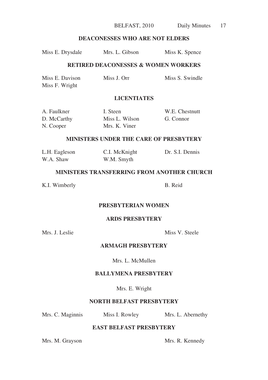BELFAST, 2010 Daily Minutes 17

## **DEACONESSES WHO ARE NOT ELDERS**

| Miss E. Drysdale | Mrs. L. Gibson | Miss K. Spence |
|------------------|----------------|----------------|
|------------------|----------------|----------------|

#### **RETIRED DEACONESSES & WOMEN WORKERS**

| Miss E. Davison | Miss J. Orr | Miss S. Swindle |
|-----------------|-------------|-----------------|
| Miss F. Wright  |             |                 |

## **LICENTIATES**

| A. Faulkner | I. Steen       | W.E. Chestnutt |
|-------------|----------------|----------------|
| D. McCarthy | Miss L. Wilson | G. Connor      |
| N. Cooper   | Mrs. K. Viner  |                |

#### **MINISTERS UNDER THE CARE OF PRESBYTERY**

| L.H. Eagleson | C.I. McKnight | Dr. S.I. Dennis |
|---------------|---------------|-----------------|
| W.A. Shaw     | W.M. Smyth    |                 |

## **MINISTERS TRANSFERRING FROM ANOTHER CHURCH**

K.I. Wimberly B. Reid

## **PRESBYTERIAN WOMEN**

## **ARDS PRESBYTERY**

Mrs. J. Leslie Miss V. Steele

## **ARMAGH PRESBYTERY**

Mrs. L. McMullen

## **BALLYMENA PRESBYTERY**

Mrs. E. Wright

## **NORTH BELFAST PRESBYTERY**

Mrs. C. Maginnis Miss I. Rowley Mrs. L. Abernethy

## **EAST BELFAST PRESBYTERY**

Mrs. M. Grayson Mrs. R. Kennedy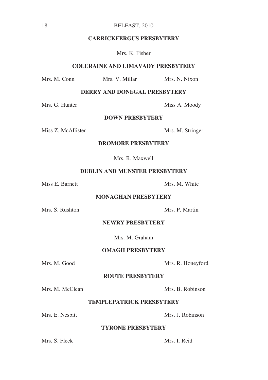#### **CARRICKFERGUS PRESBYTERY**

Mrs. K. Fisher

#### **COLERAINE AND LIMAVADY PRESBYTERY**

Mrs. M. Conn Mrs. V. Millar Mrs. N. Nixon

**DERRY AND DONEGAL PRESBYTERY**

Mrs. G. Hunter Miss A. Moody

#### **DOWN PRESBYTERY**

Miss Z. McAllister Mrs. M. Stringer

#### **DROMORE PRESBYTERY**

Mrs. R. Maxwell

#### **DUBLIN AND MUNSTER PRESBYTERY**

Miss E. Barnett Mrs. M. White

#### **MONAGHAN PRESBYTERY**

Mrs. S. Rushton Mrs. P. Martin

#### **NEWRY PRESBYTERY**

Mrs. M. Graham

#### **OMAGH PRESBYTERY**

#### Mrs. M. Good Mrs. R. Honeyford

#### **ROUTE PRESBYTERY**

Mrs. M. McClean Mrs. B. Robinson

### **TEMPLEPATRICK PRESBYTERY**

Mrs. E. Nesbitt Mrs. J. Robinson

#### **TYRONE PRESBYTERY**

Mrs. S. Fleck Mrs. I. Reid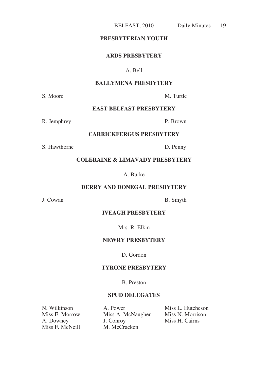#### **PRESBYTERIAN YOUTH**

#### **ARDS PRESBYTERY**

## A. Bell

### **BALLYMENA PRESBYTERY**

S. Moore M. Turtle

## **EAST BELFAST PRESBYTERY**

R. Jemphrey P. Brown

## **CARRICKFERGUS PRESBYTERY**

S. Hawthorne D. Penny

#### **COLERAINE & LIMAVADY PRESBYTERY**

A. Burke

#### **DERRY AND DONEGAL PRESBYTERY**

J. Cowan B. Smyth

#### **IVEAGH PRESBYTERY**

Mrs. R. Elkin

#### **NEWRY PRESBYTERY**

D. Gordon

#### **TYRONE PRESBYTERY**

B. Preston

### **SPUD DELEGATES**

Miss F. McNeill

Miss A. McNaugher<br>J. Conroy A. Downey J. Conroy Miss H. Cairns<br>
Miss F. McNeill M. McCracken

N. Wilkinson A. Power Miss L. Hutcheson<br>
Miss E. Morrow Miss A. McNaugher Miss N. Morrison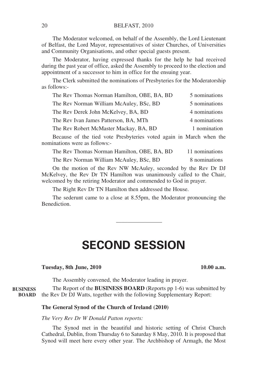The Moderator welcomed, on behalf of the Assembly, the Lord Lieutenant of Belfast, the Lord Mayor, representatives of sister Churches, of Universities and Community Organisations, and other special guests present.

The Moderator, having expressed thanks for the help he had received during the past year of office, asked the Assembly to proceed to the election and appointment of a successor to him in office for the ensuing year.

The Clerk submitted the nominations of Presbyteries for the Moderatorship as follows:-

| The Rev Thomas Norman Hamilton, OBE, BA, BD | 5 nominations |
|---------------------------------------------|---------------|
| The Rev Norman William McAuley, BSc, BD     | 5 nominations |
| The Rev Derek John McKelvey, BA, BD         | 4 nominations |
| The Rev Ivan James Patterson, BA, MTh       | 4 nominations |
| The Rev Robert McMaster Mackay, BA, BD      | 1 nomination  |

Because of the tied vote Presbyteries voted again in March when the nominations were as follows:-

| The Rev Thomas Norman Hamilton, OBE, BA, BD | 11 nominations |
|---------------------------------------------|----------------|
| The Rev Norman William McAuley, BSc, BD     | 8 nominations  |

On the motion of the Rev NW McAuley, seconded by the Rev Dr DJ McKelvey, the Rev Dr TN Hamilton was unanimously called to the Chair, welcomed by the retiring Moderator and commended to God in prayer.

The Right Rev Dr TN Hamilton then addressed the House.

The sederunt came to a close at 8.55pm, the Moderator pronouncing the Benediction.

## **SECOND SESSION**

————————

#### **Tuesday, 8th June, 2010** 10.00 a.m.

The Assembly convened, the Moderator leading in prayer.

The Report of the **BUSINESS BOARD** (Reports pp 1-6) was submitted by BOARD the Rev Dr DJ Watts, together with the following Supplementary Report: **BUSINESS**

#### **The General Synod of the Church of Ireland (2010)**

*The Very Rev Dr W Donald Patton reports:*

The Synod met in the beautiful and historic setting of Christ Church Cathedral, Dublin, from Thursday 6 to Saturday 8 May, 2010. It is proposed that Synod will meet here every other year. The Archbishop of Armagh, the Most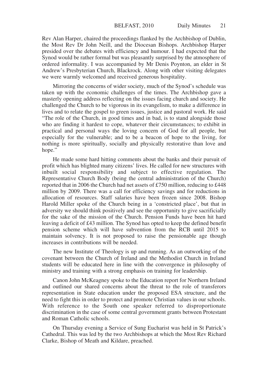Rev Alan Harper, chaired the proceedings flanked by the Archbishop of Dublin, the Most Rev Dr John Neill, and the Diocesan Bishops. Archbishop Harper presided over the debates with efficiency and humour. I had expected that the Synod would be rather formal but was pleasantly surprised by the atmosphere of ordered informality. I was accompanied by Mr Denis Poynton, an elder in St Andrew's Presbyterian Church, Blackrock. Along with other visiting delegates we were warmly welcomed and received generous hospitality.

Mirroring the concerns of wider society, much of the Synod's schedule was taken up with the economic challenges of the times. The Archbishop gave a masterly opening address reflecting on the issues facing church and society. He challenged the Church to be vigorous in its evangelism, to make a difference in lives and to relate the gospel to green issues, justice and pastoral work. He said "The role of the Church, in good times and in bad, is to stand alongside those who are finding it hardest to cope, whatever their circumstances; to exhibit in practical and personal ways the loving concern of God for all people, but especially for the vulnerable; and to be a beacon of hope to the living, for nothing is more spiritually, socially and physically restorative than love and hope."

He made some hard hitting comments about the banks and their pursuit of profit which has blighted many citizens' lives. He called for new structures with inbuilt social responsibility and subject to effective regulation. The Representative Church Body (being the central administration of the Church) reported that in 2006 the Church had net assets of £750 million, reducing to £448 million by 2009. There was a call for efficiency savings and for reductions in allocation of resources. Staff salaries have been frozen since 2008. Bishop Harold Miller spoke of the Church being in a 'constricted place', but that in adversity we should think positively and see the opportunity to give sacrificially for the sake of the mission of the Church. Pension Funds have been hit hard leaving a deficit of £43 million. The Synod has opted to keep the defined benefit pension scheme which will have subvention from the RCB until 2015 to maintain solvency. It is not proposed to raise the pensionable age though increases in contributions will be needed.

The new Institute of Theology is up and running. As an outworking of the covenant between the Church of Ireland and the Methodist Church in Ireland students will be educated here in line with the convergence in philosophy of ministry and training with a strong emphasis on training for leadership.

Canon John McKeagney spoke to the Education report for Northern Ireland and outlined our shared concerns about the threat to the role of transferors representation in State education under the proposed ESA structure, and the need to fight this in order to protect and promote Christian values in our schools. With reference to the South one speaker referred to disproportionate discrimination in the case of some central government grants between Protestant and Roman Catholic schools.

On Thursday evening a Service of Sung Eucharist was held in St Patrick's Cathedral. This was led by the two Archbishops at which the Most Rev Richard Clarke, Bishop of Meath and Kildare, preached.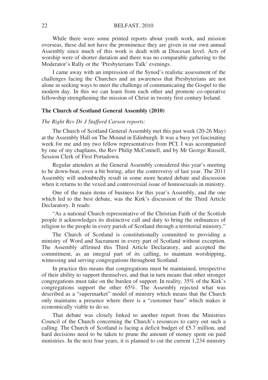While there were some printed reports about youth work, and mission overseas, these did not have the prominence they are given in our own annual Assembly since much of this work is dealt with at Diocesan level. Acts of worship were of shorter duration and there was no comparable gathering to the Moderator's Rally or the 'Presbyterians Talk' evenings.

I came away with an impression of the Synod's realistic assessment of the challenges facing the Churches and an awareness that Presbyterians are not alone in seeking ways to meet the challenge of communicating the Gospel to the modern day. In this we can learn from each other and promote co-operative fellowship strengthening the mission of Christ in twenty first century Ireland.

#### **The Church of Scotland General Assembly (2010)**

#### *The Right Rev Dr J Stafford Carson reports:*

The Church of Scotland General Assembly met this past week (20-26 May) at the Assembly Hall on The Mound in Edinburgh. It was a busy yet fascinating week for me and my two fellow representatives from PCI. I was accompanied by one of my chaplains, the Rev Philip McConnell, and by Mr George Russell, Session Clerk of First Portadown.

Regular attenders at the General Assembly considered this year's meeting to be down-beat, even a bit boring, after the controversy of last year. The 2011 Assembly will undoubtedly result in some more heated debate and discussion when it returns to the vexed and controversial issue of homosexuals in ministry.

One of the main items of business for this year's Assembly, and the one which led to the best debate, was the Kirk's discussion of the Third Article Declaratory. It reads:

"As a national Church representative of the Christian Faith of the Scottish people it acknowledges its distinctive call and duty to bring the ordinances of religion to the people in every parish of Scotland through a territorial ministry."

The Church of Scotland is constitutionally committed to providing a ministry of Word and Sacrament in every part of Scotland without exception. The Assembly affirmed this Third Article Declaratory, and accepted the commitment, as an integral part of its calling, to maintain worshipping, witnessing and serving congregations throughout Scotland.

In practice this means that congregations must be maintained, irrespective of their ability to support themselves, and that in turn means that other stronger congregations must take on the burden of support. In reality, 35% of the Kirk's congregations support the other 65%. The Assembly rejected what was described as a "supermarket" model of ministry which means that the Church only maintains a presence where there is a "customer base" which makes it economically viable to do so.

That debate was closely linked to another report from the Ministries Council of the Church concerning the Church's resources to carry out such a calling. The Church of Scotland is facing a deficit budget of £5.7 million, and hard decisions need to be taken to prune the amount of money spent on paid ministries. In the next four years, it is planned to cut the current 1,234 ministry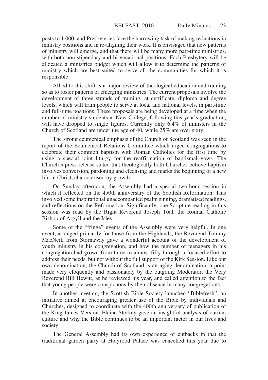posts to 1,000, and Presbyteries face the harrowing task of making reductions in ministry positions and in re-aligning their work. It is envisaged that new patterns of ministry will emerge, and that there will be many more part-time ministries, with both non-stipendary and bi-vocational positions. Each Presbytery will be allocated a ministries budget which will allow it to determine the patterns of ministry which are best suited to serve all the communities for which it is responsible.

Allied to this shift is a major review of theological education and training so as to foster patterns of emerging ministries. The current proposals involve the development of three strands of training, at certificate, diploma and degree levels, which will train people to serve at local and national levels, in part-time and full-time positions. These proposals are being developed at a time when the number of ministry students at New College, following this year's graduation, will have dropped to single figures. Currently only 6.4% of ministers in the Church of Scotland are under the age of 40, while 25% are over sixty.

The strong ecumenical emphasis of the Church of Scotland was seen in the report of the Ecumenical Relations Committee which urged congregations to celebrate their common baptism with Roman Catholics for the first time by using a special joint liturgy for the reaffirmation of baptismal vows. The Church's press release stated that theologically both Churches believe baptism involves conversion, pardoning and cleansing and marks the beginning of a new life in Christ, characterised by growth.

On Sunday afternoon, the Assembly had a special two-hour session in which it reflected on the 450th anniversary of the Scottish Reformation. This involved some inspirational unaccompanied psalm singing, dramatised readings, and reflections on the Reformation. Significantly, one Scripture reading in this session was read by the Right Reverend Joseph Toal, the Roman Catholic Bishop of Argyll and the Isles.

Some of the "fringe" events of the Assembly were very helpful. In one event, arranged primarily for those from the Highlands, the Reverend Tommy MacNeill from Stornaway gave a wonderful account of the development of youth ministry in his congregation, and how the number of teenagers in his congregation had grown from three to almost fifty through a focused effort to address their needs, but not without the full support of the Kirk Session. Like our own denomination, the Church of Scotland is an aging denomination, a point made very eloquently and passionately by the outgoing Moderator, the Very Reverend Bill Hewitt, as he reviewed his year, and called attention to the fact that young people were conspicuous by their absence in many congregations.

In another meeting, the Scottish Bible Society launched "Biblefresh", an initiative aimed at encouraging greater use of the Bible by individuals and Churches, designed to coordinate with the 400th anniversary of publication of the King James Version. Elaine Storkey gave an insightful analysis of current culture and why the Bible continues to be an important factor in our lives and society.

The General Assembly had its own experience of cutbacks in that the traditional garden party at Holyrood Palace was cancelled this year due to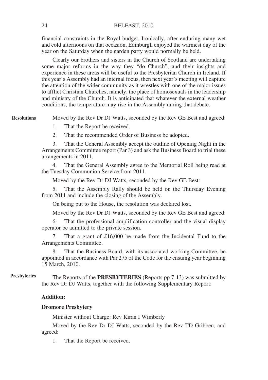financial constraints in the Royal budget. Ironically, after enduring many wet and cold afternoons on that occasion, Edinburgh enjoyed the warmest day of the year on the Saturday when the garden party would normally be held.

Clearly our brothers and sisters in the Church of Scotland are undertaking some major reforms in the way they "do Church", and their insights and experience in these areas will be useful to the Presbyterian Church in Ireland. If this year's Assembly had an internal focus, then next year's meeting will capture the attention of the wider community as it wrestles with one of the major issues to afflict Christian Churches, namely, the place of homosexuals in the leadership and ministry of the Church. It is anticipated that whatever the external weather conditions, the temperature may rise in the Assembly during that debate.

Moved by the Rev Dr DJ Watts, seconded by the Rev GE Best and agreed: **Resolutions**

1. That the Report be received.

2. That the recommended Order of Business be adopted.

3. That the General Assembly accept the outline of Opening Night in the Arrangements Committee report (Par 3) and ask the Business Board to trial these arrangements in 2011.

4. That the General Assembly agree to the Memorial Roll being read at the Tuesday Communion Service from 2011.

Moved by the Rev Dr DJ Watts, seconded by the Rev GE Best:

5. That the Assembly Rally should be held on the Thursday Evening from 2011 and include the closing of the Assembly.

On being put to the House, the resolution was declared lost.

Moved by the Rev Dr DJ Watts, seconded by the Rev GE Best and agreed:

6. That the professional amplification controller and the visual display operator be admitted to the private session.

7. That a grant of £16,000 be made from the Incidental Fund to the Arrangements Committee.

That the Business Board, with its associated working Committee, be appointed in accordance with Par 275 of the Code for the ensuing year beginning 15 March, 2010.

The Reports of the **PRESBYTERIES** (Reports pp 7-13) was submitted by the Rev Dr DJ Watts, together with the following Supplementary Report: **Presbyteries**

#### **Addition:**

#### **Dromore Presbytery**

Minister without Charge: Rev Kiran I Wimberly

Moved by the Rev Dr DJ Watts, seconded by the Rev TD Gribben, and agreed:

1. That the Report be received.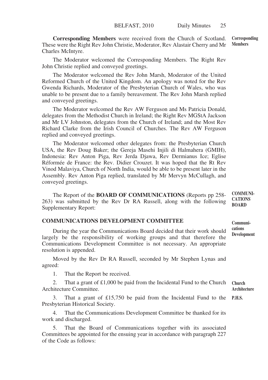**Corresponding Members** were received from the Church of Scotland. These were the Right Rev John Christie, Moderator, Rev Alastair Cherry and Mr Charles McIntyre. **Corresponding Members**

The Moderator welcomed the Corresponding Members. The Right Rev John Christie replied and conveyed greetings.

The Moderator welcomed the Rev John Marsh, Moderator of the United Reformed Church of the United Kingdom. An apology was noted for the Rev Gwenda Richards, Moderator of the Presbyterian Church of Wales, who was unable to be present due to a family bereavement. The Rev John Marsh replied and conveyed greetings.

The Moderator welcomed the Rev AW Ferguson and Ms Patricia Donald, delegates from the Methodist Church in Ireland; the Right Rev MGStA Jackson and Mr LV Johnston, delegates from the Church of Ireland; and the Most Rev Richard Clarke from the Irish Council of Churches. The Rev AW Ferguson replied and conveyed greetings.

The Moderator welcomed other delegates from: the Presbyterian Church USA, the Rev Doug Baker; the Gereja Masehi Injili di Halmahera (GMIH), Indonesia: Rev Anton Piga, Rev Jerda Djawa, Rev Dermianus Ice; Eglise Réformée de France: the Rev. Didier Crouzet. It was hoped that the Rt Rev Vinod Malaviya, Church of North India, would be able to be present later in the Assembly. Rev Anton Piga replied, translated by Mr Mervyn McCullagh, and conveyed greetings.

The Report of the **BOARD OF COMMUNICATIONS** (Reports pp 258- 263) was submitted by the Rev Dr RA Russell, along with the following Supplementary Report: **COMMUNI-CATIONS BOARD**

## **COMMUNICATIONS DEVELOPMENT COMMITTEE**

During the year the Communications Board decided that their work should largely be the responsibility of working groups and that therefore the Communications Development Committee is not necessary. An appropriate resolution is appended.

Moved by the Rev Dr RA Russell, seconded by Mr Stephen Lynas and agreed:

1. That the Report be received.

2. That a grant of £1,000 be paid from the Incidental Fund to the Church Architecture Committee. **Architecture**

3. That a grant of £15,750 be paid from the Incidental Fund to the **P.H.S.**Presbyterian Historical Society.

4. That the Communications Development Committee be thanked for its work and discharged.

That the Board of Communications together with its associated Committees be appointed for the ensuing year in accordance with paragraph 227 of the Code as follows:

**Communications Development**

**Church**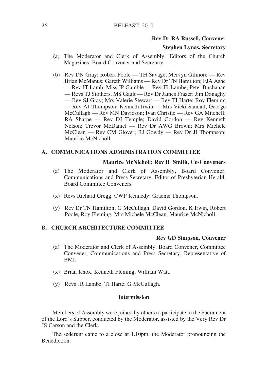#### **Rev Dr RA Russell, Convener**

#### **Stephen Lynas, Secretary**

- (a) The Moderator and Clerk of Assembly; Editors of the Church Magazines; Board Convener and Secretary.
- (b) Rev DN Gray; Robert Poole TH Savage, Mervyn Gilmore Rev Brian McManus; Gareth Williams — Rev Dr TN Hamilton; FJA Ashe — Rev JT Lamb; Miss JP Gamble — Rev JR Lambe; Peter Buchanan — Revs TJ Stothers, MS Gault — Rev Dr James Frazer; Jim Donaghy — Rev SJ Gray; Mrs Valerie Stewart — Rev TI Harte; Roy Fleming — Rev AJ Thompson; Kenneth Irwin — Mrs Vicki Sandall, George McCullagh — Rev MN Davidson; Ivan Christie — Rev GA Mitchell; RA Sharpe — Rev DJ Temple; David Gordon — Rev Kenneth Nelson; Trevor McDaniel — Rev Dr AWG Brown; Mrs Michele McClean — Rev CM Glover; RJ Gowdy — Rev Dr JI Thompson; Maurice McNicholl.

#### **A. COMMUNICATIONS ADMINISTRATION COMMITTEE**

#### **Maurice McNicholl; Rev IF Smith, Co-Conveners**

- (a) The Moderator and Clerk of Assembly, Board Convener, Communications and Press Secretary, Editor of Presbyterian Herald, Board Committee Conveners.
- (x) Revs Richard Gregg, CWP Kennedy; Graeme Thompson.
- (y) Rev Dr TN Hamilton; G McCullagh, David Gordon, K Irwin, Robert Poole, Roy Fleming, Mrs Michele McClean, Maurice McNicholl.

#### **B. CHURCH ARCHITECTURE COMMITTEE**

#### **Rev GD Simpson, Convener**

- (a) The Moderator and Clerk of Assembly, Board Convener, Committee Convener, Communications and Press Secretary, Representative of BMI.
- (x) Brian Knox, Kenneth Fleming, William Watt.
- (y) Revs JR Lambe, TI Harte; G McCullagh.

#### **Intermission**

Members of Assembly were joined by others to participate in the Sacrament of the Lord's Supper, conducted by the Moderator, assisted by the Very Rev Dr JS Carson and the Clerk.

The sederunt came to a close at 1.10pm, the Moderator pronouncing the Benediction.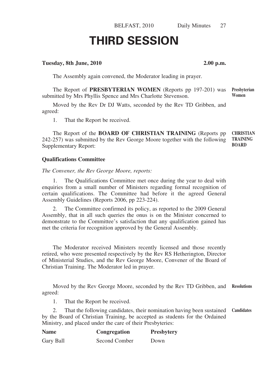# **THIRD SESSION**

#### **Tuesday, 8th June, 2010 2.00 p.m.**

The Assembly again convened, the Moderator leading in prayer.

The Report of **PRESBYTERIAN WOMEN** (Reports pp 197-201) was submitted by Mrs Phyllis Spence and Mrs Charlotte Stevenson. **Women**

Moved by the Rev Dr DJ Watts, seconded by the Rev TD Gribben, and agreed:

1. That the Report be received.

The Report of the **BOARD OF CHRISTIAN TRAINING** (Reports pp 242-257) was submitted by the Rev George Moore together with the following Supplementary Report: **CHRISTIAN TRAINING BOARD**

#### **Qualifications Committee**

*The Convener, the Rev George Moore, reports:*

The Qualifications Committee met once during the year to deal with enquiries from a small number of Ministers regarding formal recognition of certain qualifications. The Committee had before it the agreed General Assembly Guidelines (Reports 2006, pp 223-224).

2. The Committee confirmed its policy, as reported to the 2009 General Assembly, that in all such queries the onus is on the Minister concerned to demonstrate to the Committee's satisfaction that any qualification gained has met the criteria for recognition approved by the General Assembly.

The Moderator received Ministers recently licensed and those recently retired, who were presented respectively by the Rev RS Hetherington, Director of Ministerial Studies, and the Rev George Moore, Convener of the Board of Christian Training. The Moderator led in prayer.

Moved by the Rev George Moore, seconded by the Rev TD Gribben, and **Resolutions** agreed:

1. That the Report be received.

2. That the following candidates, their nomination having been sustained **Candidates**by the Board of Christian Training, be accepted as students for the Ordained Ministry, and placed under the care of their Presbyteries:

| <b>Name</b> | Congregation  | <b>Presbytery</b> |
|-------------|---------------|-------------------|
| Gary Ball   | Second Comber | Down              |

**Presbyterian**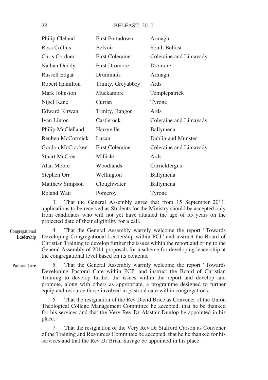| Philip Cleland       | <b>First Portadown</b> | Armagh                 |
|----------------------|------------------------|------------------------|
| Ross Collins         | Belvoir                | South Belfast          |
| Chris Cordner        | <b>First Coleraine</b> | Coleraine and Limavady |
| Nathan Duddy         | <b>First Dromore</b>   | Dromore                |
| Russell Edgar        | Druminnis              | Armagh                 |
| Robert Hamilton      | Trinity, Greyabbey     | Ards                   |
| Mark Johnston        | Muckamore              | Templepatrick          |
| Nigel Kane           | Curran                 | Tyrone                 |
| <b>Edward Kirwan</b> | Trinity, Bangor        | Ards                   |
| Ivan Linton          | Castlerock             | Coleraine and Limavady |
| Philip McClelland    | Harryville             | Ballymena              |
| Reuben McCormick     | Lucan                  | Dublin and Munster     |
| Gordon McCracken     | <b>First Coleraine</b> | Coleraine and Limavady |
| Stuart McCrea        | Millisle               | Ards                   |
| Alan Moore           | Woodlands              | Carrickfergus          |
| Stephen Orr          | Wellington             | Ballymena              |
| Matthew Simpson      | Cloughwater            | Ballymena              |
| <b>Roland Watt</b>   | Pomeroy                | Tyrone                 |

3. That the General Assembly agree that from 15 September 2011, applications to be received as Students for the Ministry should be accepted only from candidates who will not yet have attained the age of 55 years on the projected date of their eligibility for a call.

4. That the General Assembly warmly welcome the report "Towards Developing Congregational Leadership within PCI" and instruct the Board of Christian Training to develop further the issues within the report and bring to the General Assembly of 2011 proposals for a scheme for developing leadership at the congregational level based on its contents. **Congregational Leadership**

5. That the General Assembly warmly welcome the report "Towards Developing Pastoral Care within PCI" and instruct the Board of Christian Training to develop further the issues within the report and develop and promote, along with others as appropriate, a programme designed to further equip and resource those involved in pastoral care within congregations. **Pastoral Care**

> 6. That the resignation of the Rev David Brice as Convener of the Union Theological College Management Committee be accepted, that he be thanked for his services and that the Very Rev Dr Alastair Dunlop be appointed in his place.

> 7. That the resignation of the Very Rev Dr Stafford Carson as Convener of the Training and Resources Committee be accepted, that he be thanked for his services and that the Rev Dr Brian Savage be appointed in his place.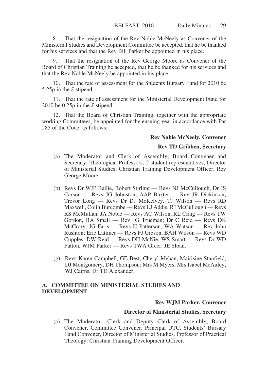8. That the resignation of the Rev Noble McNeely as Convener of the Ministerial Studies and Development Committee be accepted, that he be thanked for his services and that the Rev Bill Parker be appointed in his place.

9. That the resignation of the Rev George Moore as Convener of the Board of Christian Training be accepted, that he be thanked for his services and that the Rev Noble McNeely be appointed in his place.

10. That the rate of assessment for the Students Bursary Fund for 2010 be 5.25p in the £ stipend.

11. That the rate of assessment for the Ministerial Development Fund for 2010 be 0.25p in the £ stipend.

12. That the Board of Christian Training, together with the appropriate working Committees, be appointed for the ensuing year in accordance with Par 285 of the Code, as follows:

#### **Rev Noble McNeely, Convener**

#### **Rev TD Gribben, Secretary**

- (a) The Moderator and Clerk of Assembly; Board Convener and Secretary; Theological Professors; 2 student representatives; Director of Ministerial Studies; Christian Training Development Officer; Rev George Moore.
- (b) Revs Dr WJP Bailie, Robert Stirling Revs NJ McCullough, Dr JS Carson — Revs JG Johnston, AAP Baxter — Rev JR Dickinson; Trevor Long — Revs Dr DJ McKelvey, TJ Wilson — Revs RD Maxwell, Colin Burcombe — Revs LJ Addis, RJ McCullough — Revs RS McMullan, JA Noble — Revs AC Wilson, RL Craig — Revs TW Gordon, BA Small — Rev JG Trueman; Dr C Reid — Revs DK McCrory, JG Faris — Revs IJ Patterson, WA Watson — Rev John Rushton; Eric Latimer — Revs FJ Gibson, BAH Wilson — Revs WD Cupples, DW Reid — Revs DIJ McNie, WS Smart — Revs Dr WD Patton, WJM Parker — Revs TWA Greer, JE Sloan.
- (g) Revs Karen Campbell, GE Best, Cheryl Meban, Mairisine Stanfield, DJ Montgomery, DH Thompson; Mrs M Myers, Mrs Isabel McAuley; WJ Cairns, Dr TD Alexander.

#### **A. COMMITTEE ON MINISTERIAL STUDIES AND DEVELOPMENT**

#### **Rev WJM Parker, Convener**

#### **Director of Ministerial Studies, Secretary**

(a) The Moderator, Clerk and Deputy Clerk of Assembly, Board Convener, Committee Convener, Principal UTC, Students' Bursary Fund Convener, Director of Ministerial Studies, Professor of Practical Theology, Christian Training Development Officer.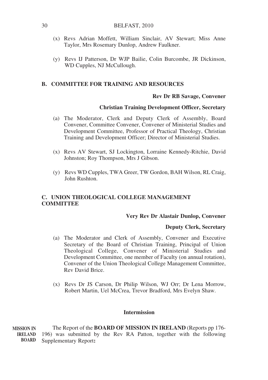- (x) Revs Adrian Moffett, William Sinclair, AV Stewart; Miss Anne Taylor, Mrs Rosemary Dunlop, Andrew Faulkner.
- (y) Revs IJ Patterson, Dr WJP Bailie, Colin Burcombe, JR Dickinson, WD Cupples, NJ McCullough.

#### **B. COMMITTEE FOR TRAINING AND RESOURCES**

#### **Rev Dr RB Savage, Convener**

#### **Christian Training Development Officer, Secretary**

- (a) The Moderator, Clerk and Deputy Clerk of Assembly, Board Convener, Committee Convener, Convener of Ministerial Studies and Development Committee, Professor of Practical Theology, Christian Training and Development Officer; Director of Ministerial Studies.
- (x) Revs AV Stewart, SJ Lockington, Lorraine Kennedy-Ritchie, David Johnston; Roy Thompson, Mrs J Gibson.
- (y) Revs WD Cupples, TWA Greer, TW Gordon, BAH Wilson, RL Craig, John Rushton.

### **C. UNION THEOLOGICAL COLLEGE MANAGEMENT COMMITTEE**

#### **Very Rev Dr Alastair Dunlop, Convener**

#### **Deputy Clerk, Secretary**

- (a) The Moderator and Clerk of Assembly, Convener and Executive Secretary of the Board of Christian Training, Principal of Union Theological College, Convener of Ministerial Studies and Development Committee, one member of Faculty (on annual rotation), Convener of the Union Theological College Management Committee, Rev David Brice.
- (x) Revs Dr JS Carson, Dr Philip Wilson, WJ Orr; Dr Lena Morrow, Robert Martin, Uel McCrea, Trevor Bradford, Mrs Evelyn Shaw.

#### **Intermission**

The Report of the **BOARD OF MISSION IN IRELAND** (Reports pp 176- 196) was submitted by the Rev RA Patton, together with the following Supplementary Report**: MISSION IN IRELAND BOARD**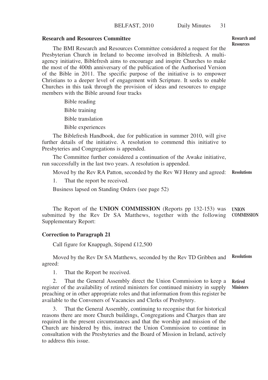#### **Research and Resources Committee**

The BMI Research and Resources Committee considered a request for the Presbyterian Church in Ireland to become involved in Biblefresh. A multiagency initiative, Biblefresh aims to encourage and inspire Churches to make the most of the 400th anniversary of the publication of the Authorised Version of the Bible in 2011. The specific purpose of the initiative is to empower Christians to a deeper level of engagement with Scripture. It seeks to enable Churches in this task through the provision of ideas and resources to engage members with the Bible around four tracks

> Bible reading Bible training Bible translation Bible experiences

The Biblefresh Handbook, due for publication in summer 2010, will give further details of the initiative. A resolution to commend this initiative to Presbyteries and Congregations is appended.

The Committee further considered a continuation of the Awake initiative, run successfully in the last two years. A resolution is appended.

Moved by the Rev RA Patton, seconded by the Rev WJ Henry and agreed: **Resolutions**

1. That the report be received.

Business lapsed on Standing Orders (see page 52)

The Report of the **UNION COMMISSION** (Reports pp 132-153) was **UNION** submitted by the Rev Dr SA Matthews, together with the following **COMMISSION**Supplementary Report:

#### **Correction to Paragraph 21**

Call figure for Knappagh, Stipend £12,500

Moved by the Rev Dr SA Matthews, seconded by the Rev TD Gribben and agreed: **Resolutions**

1. That the Report be received.

2. That the General Assembly direct the Union Commission to keep a register of the availability of retired ministers for continued ministry in supply preaching or in other appropriate roles and that information from this register be available to the Conveners of Vacancies and Clerks of Presbytery. **Retired Ministers**

3. That the General Assembly, continuing to recognise that for historical reasons there are more Church buildings, Congregations and Charges than are required in the present circumstances and that the worship and mission of the Church are hindered by this, instruct the Union Commission to continue in consultation with the Presbyteries and the Board of Mission in Ireland, actively to address this issue.

**Research and Resources**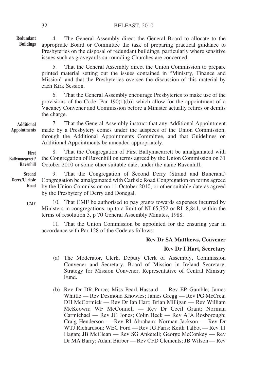4. The General Assembly direct the General Board to allocate to the appropriate Board or Committee the task of preparing practical guidance to Presbyteries on the disposal of redundant buildings, particularly where sensitive issues such as graveyards surrounding Churches are concerned. **Redundant Buildings**

> 5. That the General Assembly direct the Union Commission to prepare printed material setting out the issues contained in "Ministry, Finance and Mission" and that the Presbyteries oversee the discussion of this material by each Kirk Session.

> 6. That the General Assembly encourage Presbyteries to make use of the provisions of the Code [Par 190(1)(b)] which allow for the appointment of a Vacancy Convener and Commission before a Minister actually retires or demits the charge.

7. That the General Assembly instruct that any Additional Appointment made by a Presbytery comes under the auspices of the Union Commission, through the Additional Appointments Committee, and that Guidelines on Additional Appointments be amended appropriately. **Additional Appointments**

8. That the Congregation of First Ballymacarrett be amalgamated with the Congregation of Ravenhill on terms agreed by the Union Commission on 31 October 2010 or some other suitable date, under the name Ravenhill. **First Ballymacarrett/ Ravenhill**

9. That the Congregation of Second Derry (Strand and Buncrana) Congregation be amalgamated with Carlisle Road Congregation on terms agreed by the Union Commission on 11 October 2010, or other suitable date as agreed by the Presbytery of Derry and Donegal. **Second Derry/Carlisle Road**

> 10. That CMF be authorised to pay grants towards expenses incurred by Ministers in congregations, up to a limit of NI £5,752 or RI 8,841, within the terms of resolution 3, p 70 General Assembly Minutes, 1988.

11. That the Union Commission be appointed for the ensuring year in accordance with Par 128 of the Code as follows:

#### **Rev Dr SA Matthews, Convener**

#### **Rev Dr I Hart, Secretary**

- (a) The Moderator, Clerk, Deputy Clerk of Assembly, Commission Convener and Secretary, Board of Mission in Ireland Secretary, Strategy for Mission Convener, Representative of Central Ministry Fund.
- (b) Rev Dr DR Purce; Miss Pearl Hassard Rev EP Gamble; James Whittle — Rev Desmond Knowles; James Gregg — Rev PG McCrea; DH McCormick — Rev Dr Ian Hart; Brian Milligan — Rev William McKeown; WF McConnell — Rev Dr Cecil Grant; Norman Carmichael — Rev JG Jones; Colin Beck — Rev AJA Rosborough; Craig Henderson — Rev RI Abraham; Norman Jackson — Rev Dr WTJ Richardson; WEC Ford — Rev JG Faris; Keith Talbot — Rev TJ Hagan; JB McClean — Rev SG Anketell; George McConkey — Rev Dr MA Barry; Adam Barber — Rev CFD Clements; JB Wilson — Rev

32

**CMF**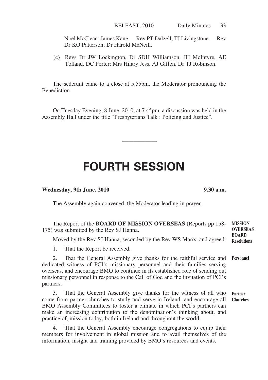Noel McClean; James Kane — Rev PT Dalzell; TJ Livingstone — Rev Dr KO Patterson; Dr Harold McNeill.

(c) Revs Dr JW Lockington, Dr SDH Williamson, JH McIntyre, AE Tolland, DC Porter; Mrs Hilary Jess, AJ Giffen, Dr TJ Robinson.

The sederunt came to a close at 5.55pm, the Moderator pronouncing the Benediction.

On Tuesday Evening, 8 June, 2010, at 7.45pm, a discussion was held in the Assembly Hall under the title "Presbyterians Talk : Policing and Justice".

# **FOURTH SESSION**

——————

#### **Wednesday, 9th June, 2010 9.30 a.m.**

The Assembly again convened, the Moderator leading in prayer.

| The Report of the <b>BOARD OF MISSION OVERSEAS</b> (Reports pp 158-<br>175) was submitted by the Rev SJ Hanna.                                                                                                                                                                                                                                                                         | <b>MISSION</b><br><b>OVERSEAS</b><br><b>BOARD</b> |
|----------------------------------------------------------------------------------------------------------------------------------------------------------------------------------------------------------------------------------------------------------------------------------------------------------------------------------------------------------------------------------------|---------------------------------------------------|
| Moved by the Rev SJ Hanna, seconded by the Rev WS Marrs, and agreed:                                                                                                                                                                                                                                                                                                                   | <b>Resolutions</b>                                |
| That the Report be received.<br>1.                                                                                                                                                                                                                                                                                                                                                     |                                                   |
| That the General Assembly give thanks for the faithful service and<br>2.<br>dedicated witness of PCI's missionary personnel and their families serving<br>overseas, and encourage BMO to continue in its established role of sending out<br>missionary personnel in response to the Call of God and the invitation of PCI's<br>partners.                                               | Personnel                                         |
| That the General Assembly give thanks for the witness of all who<br>3.<br>come from partner churches to study and serve in Ireland, and encourage all<br>BMO Assembly Committees to foster a climate in which PCI's partners can<br>make an increasing contribution to the denomination's thinking about, and<br>practice of, mission today, both in Ireland and throughout the world. | <b>Partner</b><br><b>Churches</b>                 |
| That the General Assembly encourage congregations to equip their                                                                                                                                                                                                                                                                                                                       |                                                   |

4. That the General Assembly encourage congregations to equip their members for involvement in global mission and to avail themselves of the information, insight and training provided by BMO's resources and events.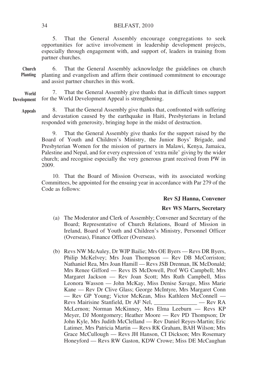5. That the General Assembly encourage congregations to seek opportunities for active involvement in leadership development projects, especially through engagement with, and support of, leaders in training from partner churches.

6. That the General Assembly acknowledge the guidelines on church planting and evangelism and affirm their continued commitment to encourage and assist partner churches in this work. **Church Planting**

7. That the General Assembly give thanks that in difficult times support for the World Development Appeal is strengthening. **World Development**

**Appeals**

8. That the General Assembly give thanks that, confronted with suffering and devastation caused by the earthquake in Haiti, Presbyterians in Ireland responded with generosity, bringing hope in the midst of destruction.

9. That the General Assembly give thanks for the support raised by the Board of Youth and Children's Ministry, the Junior Boys' Brigade, and Presbyterian Women for the mission of partners in Malawi, Kenya, Jamaica, Palestine and Nepal, and for every expression of 'extra mile' giving by the wider church; and recognise especially the very generous grant received from PW in 2009.

10. That the Board of Mission Overseas, with its associated working Committees, be appointed for the ensuing year in accordance with Par 279 of the Code as follows:

#### **Rev SJ Hanna, Convener**

#### **Rev WS Marrs, Secretary**

- (a) The Moderator and Clerk of Assembly; Convener and Secretary of the Board; Representative of Church Relations, Board of Mission in Ireland, Board of Youth and Children's Ministry, Personnel Officer (Overseas), Finance Officer (Overseas).
- (b) Revs NW McAuley, Dr WJP Bailie; Mrs OE Byers Revs DR Byers, Philip McKelvey; Mrs Joan Thompson — Rev DB McCorriston; Nathaniel Rea, Mrs Joan Hamill — Revs JSB Drennan, IK McDonald; Mrs Renee Gifford — Revs IS McDowell, Prof WG Campbell; Mrs Margaret Jackson — Rev Joan Scott; Mrs Ruth Campbell, Miss Leonora Wasson — John McKay, Miss Denise Savage, Miss Marie Kane — Rev Dr Clive Glass; George McIntyre, Mrs Margaret Conn — Rev GP Young; Victor McKean, Miss Kathleen McConnell — Revs Mairisine Stanfield, Dr AF Nel, \_\_\_\_\_\_\_\_\_\_\_ — Rev RA Revs Mairisine Stanfield, Dr AF Nel, McLernon; Norman McKinney, Mrs Elma Leeburn — Revs KP Meyer, DJ Montgomery; Heather Moore — Rev PD Thompson; Dr John Kyle, Mrs Judith McClelland — Rev Daniel Reyes-Martin; Eric Latimer, Mrs Patricia Martin — Revs RK Graham, BAH Wilson; Mrs Grace McCullough — Revs JH Hanson, CI Dickson; Mrs Rosemary Honeyford — Revs RW Gaston, KDW Crowe; Miss DE McCaughan

34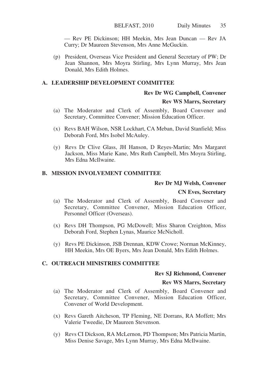— Rev PE Dickinson; HH Meekin, Mrs Jean Duncan — Rev JA Curry; Dr Maureen Stevenson, Mrs Anne McGuckin.

(p) President, Overseas Vice President and General Secretary of PW; Dr Jean Shannon, Mrs Moyra Stirling, Mrs Lynn Murray, Mrs Jean Donald, Mrs Edith Holmes.

#### **A. LEADERSHIP DEVELOPMENT COMMITTEE**

#### **Rev Dr WG Campbell, Convener**

#### **Rev WS Marrs, Secretary**

- (a) The Moderator and Clerk of Assembly, Board Convener and Secretary, Committee Convener; Mission Education Officer.
- (x) Revs BAH Wilson, NSR Lockhart, CA Meban, David Stanfield; Miss Deborah Ford, Mrs Isobel McAuley.
- (y) Revs Dr Clive Glass, JH Hanson, D Reyes-Martin; Mrs Margaret Jackson, Miss Marie Kane, Mrs Ruth Campbell, Mrs Moyra Stirling, Mrs Edna McIlwaine.

#### **B. MISSION INVOLVEMENT COMMITTEE**

#### **Rev Dr MJ Welsh, Convener**

#### **CN Eves, Secretary**

- (a) The Moderator and Clerk of Assembly, Board Convener and Secretary, Committee Convener, Mission Education Officer, Personnel Officer (Overseas).
- (x) Revs DH Thompson, PG McDowell; Miss Sharon Creighton, Miss Deborah Ford, Stephen Lynas, Maurice McNicholl.
- (y) Revs PE Dickinson, JSB Drennan, KDW Crowe; Norman McKinney, HH Meekin, Mrs OE Byers, Mrs Jean Donald, Mrs Edith Holmes.

#### **C. OUTREACH MINISTRIES COMMITTEE**

#### **Rev SJ Richmond, Convener**

#### **Rev WS Marrs, Secretary**

- (a) The Moderator and Clerk of Assembly, Board Convener and Secretary, Committee Convener, Mission Education Officer, Convener of World Development.
- (x) Revs Gareth Aitcheson, TP Fleming, NE Dorrans, RA Moffett; Mrs Valerie Tweedie, Dr Maureen Stevenson.
- (y) Revs CI Dickson, RA McLernon, PD Thompson; Mrs Patricia Martin, Miss Denise Savage, Mrs Lynn Murray, Mrs Edna McIlwaine.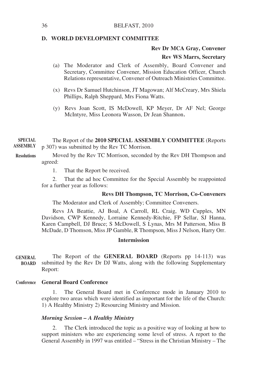#### **D. WORLD DEVELOPMENT COMMITTEE**

#### **Rev Dr MCA Gray, Convener**

#### **Rev WS Marrs, Secretary**

- (a) The Moderator and Clerk of Assembly, Board Convener and Secretary, Committee Convener, Mission Education Officer, Church Relations representative, Convener of Outreach Ministries Committee.
- (x) Revs Dr Samuel Hutchinson, JT Magowan; Alf McCreary, Mrs Shiela Phillips, Ralph Sheppard, Mrs Fiona Watts.
- (y) Revs Joan Scott, IS McDowell, KP Meyer, Dr AF Nel; George McIntyre, Miss Leonora Wasson, Dr Jean Shannon.

The Report of the **2010 SPECIAL ASSEMBLY COMMITTEE** (Reports p 307) was submitted by the Rev TC Morrison. **SPECIAL ASSEMBLY**

Moved by the Rev TC Morrison, seconded by the Rev DH Thompson and agreed: **Resolutions**

1. That the Report be received.

2. That the ad hoc Committee for the Special Assembly be reappointed for a further year as follows:

#### **Revs DH Thompson, TC Morrison, Co-Conveners**

The Moderator and Clerk of Assembly; Committee Conveners.

Revs JA Beattie, AJ Boal, A Carroll, RL Craig, WD Cupples, MN Davidson, CWP Kennedy, Lorraine Kennedy-Ritchie, FP Sellar, SJ Hanna, Karen Campbell, DJ Bruce; S McDowell, S Lynas, Mrs M Patterson, Miss B McDade, D Thomson, Miss JP Gamble, R Thompson, Miss J Nelson, Harry Orr.

#### **Intermission**

The Report of the **GENERAL BOARD** (Reports pp 14-113) was submitted by the Rev Dr DJ Watts, along with the following Supplementary Report: **GENERAL BOARD**

#### **General Board Conference Conference**

The General Board met in Conference mode in January 2010 to explore two areas which were identified as important for the life of the Church: 1) A Healthy Ministry 2) Resourcing Ministry and Mission.

#### *Morning Session – A Healthy Ministry*

2. The Clerk introduced the topic as a positive way of looking at how to support ministers who are experiencing some level of stress. A report to the General Assembly in 1997 was entitled – "Stress in the Christian Ministry – The

36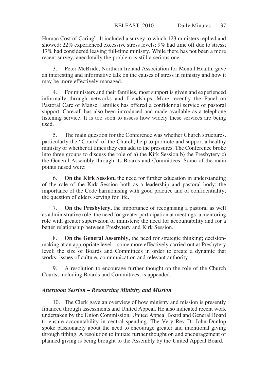Human Cost of Caring". It included a survey to which 123 ministers replied and showed: 22% experienced excessive stress levels; 9% had time off due to stress; 17% had considered leaving full-time ministry. While there has not been a more recent survey, anecdotally the problem is still a serious one.

3. Peter McBride, Northern Ireland Association for Mental Health, gave an interesting and informative talk on the causes of stress in ministry and how it may be more effectively managed.

4. For ministers and their families, most support is given and experienced informally through networks and friendships. More recently the Panel on Pastoral Care of Manse Families has offered a confidential service of pastoral support. Carecall has also been introduced and made available as a telephone listening service. It is too soon to assess how widely these services are being used.

5. The main question for the Conference was whether Church structures, particularly the "Courts" of the Church, help to promote and support a healthy ministry or whether at times they can add to the pressures. The Conference broke into three groups to discuss the role of a) the  $\overrightarrow{K}$ irk Session b) the Presbytery c) the General Assembly through its Boards and Committees. Some of the main points raised were:

6. **On the Kirk Session,** the need for further education in understanding of the role of the Kirk Session both as a leadership and pastoral body; the importance of the Code harmonising with good practice and of confidentiality; the question of elders serving for life.

7. **On the Presbytery,** the importance of recognising a pastoral as well as administrative role; the need for greater participation at meetings; a mentoring role with greater supervision of ministers; the need for accountability and for a better relationship between Presbytery and Kirk Session.

8. **On the General Assembly,** the need for strategic thinking; decisionmaking at an appropriate level – some more effectively carried out at Presbytery level; the size of Boards and Committees in order to create a dynamic that works; issues of culture, communication and relevant authority.

9. A resolution to encourage further thought on the role of the Church Courts, including Boards and Committees, is appended.

#### *Afternoon Session – Resourcing Ministry and Mission*

10. The Clerk gave an overview of how ministry and mission is presently financed through assessments and United Appeal. He also indicated recent work undertaken by the Union Commission, United Appeal Board and General Board to ensure accountability in central spending. The Very Rev Dr John Dunlop spoke passionately about the need to encourage greater and intentional giving through tithing. A resolution to initiate further thought on and encouragement of planned giving is being brought to the Assembly by the United Appeal Board.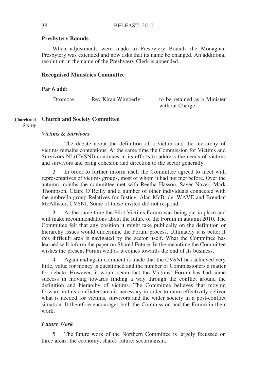#### **Presbytery Bounds**

When adjustments were made to Presbytery Bounds the Monaghan Presbytery was extended and now asks that its name be changed. An additional resolution in the name of the Presbytery Clerk is appended.

#### **Recognised Ministries Committee**

#### **Par 6 add:**

| Dromore | Rev Kiran Wimberly | to be retained as a Minister |
|---------|--------------------|------------------------------|
|         |                    | without Charge               |

#### **Church and Society Committee Church and**

**Society**

#### *Victims & Survivors*

1. The debate about the definition of a victim and the hierarchy of victims remains contentious. At the same time the Commission for Victims and Survivors NI (CVSNI) continues in its efforts to address the needs of victims and survivors and bring cohesion and direction to the sector generally.

2. In order to further inform itself the Committee agreed to meet with representatives of victims groups, most of whom it had not met before. Over the autumn months the committee met with Reetha Hasson, Saver Naver, Mark Thompson, Claire O'Reilly and a number of other individuals connected with the umbrella group Relatives for Justice, Alan McBride, WAVE and Brendan McAllister, CVSNI. Some of those invited did not respond.

3. At the same time the Pilot Victims Forum was being put in place and will make recommendations about the future of the Forum in autumn 2010. The Committee felt that any position it might take publically on the definition or hierarchy issues would undermine the Forum process. Ultimately it is better if this difficult area is navigated by the sector itself. What the Committee has learned will inform the paper on Shared Future. In the meantime the Committee wishes the present Forum well as it comes towards the end of its business.

4. Again and again comment is made that the CVSNI has achieved very little, value for money is questioned and the number of Commissioners a matter for debate. However, it would seem that the Victims' Forum has had some success in moving towards finding a way through the conflict around the definition and hierarchy of victims. The Committee believes that moving forward in this conflicted area is necessary in order to more effectively deliver what is needed for victims, survivors and the wider society in a post-conflict situation. It therefore encourages both the Commission and the Forum in their work.

#### *Future Work*

5. The future work of the Northern Committee is largely focussed on three areas: the economy; shared future; sectarianism.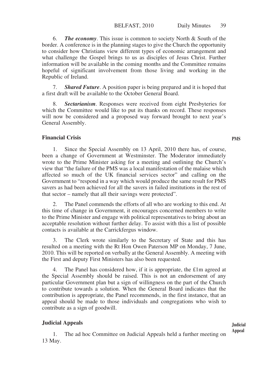6. *The economy*. This issue is common to society North & South of the border. A conference is in the planning stages to give the Church the opportunity to consider how Christians view different types of economic arrangement and what challenge the Gospel brings to us as disciples of Jesus Christ. Further information will be available in the coming months and the Committee remains hopeful of significant involvement from those living and working in the Republic of Ireland.

7. *Shared Future*. A position paper is being prepared and it is hoped that a first draft will be available to the October General Board.

8. *Sectarianism*. Responses were received from eight Presbyteries for which the Committee would like to put its thanks on record. These responses will now be considered and a proposed way forward brought to next year's General Assembly.

#### **Financial Crisis**

1. Since the Special Assembly on 13 April, 2010 there has, of course, been a change of Government at Westminster. The Moderator immediately wrote to the Prime Minister asking for a meeting and outlining the Church's view that "the failure of the PMS was a local manifestation of the malaise which affected so much of the UK financial services sector" and calling on the Government to "respond in a way which would produce the same result for PMS savers as had been achieved for all the savers in failed institutions in the rest of that sector – namely that all their savings were protected".

2. The Panel commends the efforts of all who are working to this end. At this time of change in Government, it encourages concerned members to write to the Prime Minister and engage with political representatives to bring about an acceptable resolution without further delay. To assist with this a list of possible contacts is available at the Carrickfergus window.

3. The Clerk wrote similarly to the Secretary of State and this has resulted on a meeting with the Rt Hon Owen Paterson MP on Monday, 7 June, 2010. This will be reported on verbally at the General Assembly. A meeting with the First and deputy First Ministers has also been requested.

4. The Panel has considered how, if it is appropriate, the £1m agreed at the Special Assembly should be raised. This is not an endorsement of any particular Government plan but a sign of willingness on the part of the Church to contribute towards a solution. When the General Board indicates that the contribution is appropriate, the Panel recommends, in the first instance, that an appeal should be made to those individuals and congregations who wish to contribute as a sign of goodwill.

#### **Judicial Appeals**

1. The ad hoc Committee on Judicial Appeals held a further meeting on 13 May.

**PMS**

**Judicial Appeal**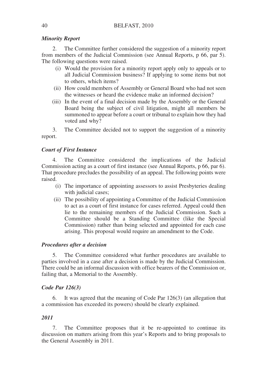#### *Minority Report*

2. The Committee further considered the suggestion of a minority report from members of the Judicial Commission (see Annual Reports, p 66, par 5). The following questions were raised.

- (i) Would the provision for a minority report apply only to appeals or to all Judicial Commission business? If applying to some items but not to others, which items?
- (ii) How could members of Assembly or General Board who had not seen the witnesses or heard the evidence make an informed decision?
- (iii) In the event of a final decision made by the Assembly or the General Board being the subject of civil litigation, might all members be summoned to appear before a court or tribunal to explain how they had voted and why?

3. The Committee decided not to support the suggestion of a minority report.

#### *Court of First Instance*

The Committee considered the implications of the Judicial Commission acting as a court of first instance (see Annual Reports, p 66, par 6). That procedure precludes the possibility of an appeal. The following points were raised.

- (i) The importance of appointing assessors to assist Presbyteries dealing with judicial cases:
- (ii) The possibility of appointing a Committee of the Judicial Commission to act as a court of first instance for cases referred. Appeal could then lie to the remaining members of the Judicial Commission. Such a Committee should be a Standing Committee (like the Special Commission) rather than being selected and appointed for each case arising. This proposal would require an amendment to the Code.

#### *Procedures after a decision*

5. The Committee considered what further procedures are available to parties involved in a case after a decision is made by the Judicial Commission. There could be an informal discussion with office bearers of the Commission or, failing that, a Memorial to the Assembly.

#### *Code Par 126(3)*

6. It was agreed that the meaning of Code Par 126(3) (an allegation that a commission has exceeded its powers) should be clearly explained.

#### *2011*

The Committee proposes that it be re-appointed to continue its discussion on matters arising from this year's Reports and to bring proposals to the General Assembly in 2011.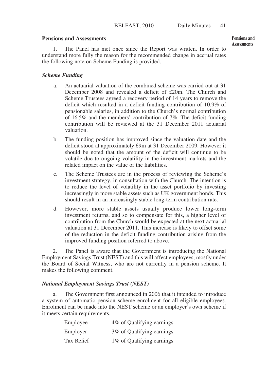#### **Pensions and Assessments**

1. The Panel has met once since the Report was written. In order to understand more fully the reason for the recommended change in accrual rates the following note on Scheme Funding is provided.

# *Scheme Funding*

- a. An actuarial valuation of the combined scheme was carried out at 31 December 2008 and revealed a deficit of £20m. The Church and Scheme Trustees agreed a recovery period of 14 years to remove the deficit which resulted in a deficit funding contribution of 10.9% of pensionable salaries, in addition to the Church's normal contribution of 16.5% and the members' contribution of 7%. The deficit funding contribution will be reviewed at the 31 December 2011 actuarial valuation.
- b. The funding position has improved since the valuation date and the deficit stood at approximately £9m at 31 December 2009. However it should be noted that the amount of the deficit will continue to be volatile due to ongoing volatility in the investment markets and the related impact on the value of the liabilities.
- c. The Scheme Trustees are in the process of reviewing the Scheme's investment strategy, in consultation with the Church. The intention is to reduce the level of volatility in the asset portfolio by investing increasingly in more stable assets such as UK government bonds. This should result in an increasingly stable long-term contribution rate.
- d. However, more stable assets usually produce lower long-term investment returns, and so to compensate for this, a higher level of contribution from the Church would be expected at the next actuarial valuation at 31 December 2011. This increase is likely to offset some of the reduction in the deficit funding contribution arising from the improved funding position referred to above.

2. The Panel is aware that the Government is introducing the National Employment Savings Trust (NEST) and this will affect employees, mostly under the Board of Social Witness, who are not currently in a pension scheme. It makes the following comment.

## *National Employment Savings Trust (NEST)*

a. The Government first announced in 2006 that it intended to introduce a system of automatic pension scheme enrolment for all eligible employees. Enrolment can be made into the NEST scheme or an employer's own scheme if it meets certain requirements.

| Employee   | 4% of Qualifying earnings |
|------------|---------------------------|
| Employer   | 3% of Qualifying earnings |
| Tax Relief | 1% of Qualifying earnings |

**Pensions and Assessments**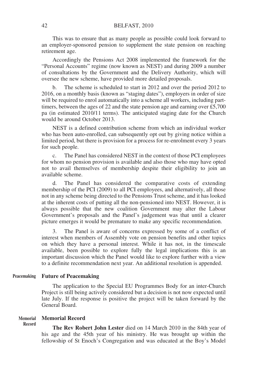This was to ensure that as many people as possible could look forward to an employer-sponsored pension to supplement the state pension on reaching retirement age.

Accordingly the Pensions Act 2008 implemented the framework for the "Personal Accounts" regime (now known as NEST) and during 2009 a number of consultations by the Government and the Delivery Authority, which will oversee the new scheme, have provided more detailed proposals.

b. The scheme is scheduled to start in 2012 and over the period 2012 to 2016, on a monthly basis (known as "staging dates"), employers in order of size will be required to enrol automatically into a scheme all workers, including parttimers, between the ages of 22 and the state pension age and earning over  $£5,700$ pa (in estimated 2010/11 terms). The anticipated staging date for the Church would be around October 2013.

NEST is a defined contribution scheme from which an individual worker who has been auto-enrolled, can subsequently opt out by giving notice within a limited period, but there is provision for a process for re-enrolment every 3 years for such people.

c. The Panel has considered NEST in the context of those PCI employees for whom no pension provision is available and also those who may have opted not to avail themselves of membership despite their eligibility to join an available scheme.

d. The Panel has considered the comparative costs of extending membership of the PCI (2009) to all PCI employees, and alternatively, all those not in any scheme being directed to the Pensions Trust scheme, and it has looked at the inherent costs of putting all the non-pensioned into NEST. However, it is always possible that the new coalition Government may alter the Labour Government's proposals and the Panel's judgement was that until a clearer picture emerges it would be premature to make any specific recommendation.

3. The Panel is aware of concerns expressed by some of a conflict of interest when members of Assembly vote on pension benefits and other topics on which they have a personal interest. While it has not, in the timescale available, been possible to explore fully the legal implications this is an important discussion which the Panel would like to explore further with a view to a definite recommendation next year. An additional resolution is appended.

#### **Future of Peacemaking Peacemaking**

The application to the Special EU Programmes Body for an inter-Church Project is still being actively considered but a decision is not now expected until late July. If the response is positive the project will be taken forward by the General Board.

#### **Memorial Record Memorial**

**Record**

**The Rev Robert John Lester** died on 14 March 2010 in the 84th year of his age and the 45th year of his ministry. He was brought up within the fellowship of St Enoch's Congregation and was educated at the Boy's Model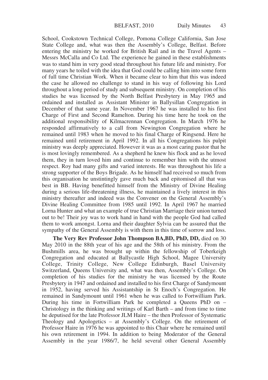School, Cookstown Technical College, Pomona College California, San Jose State College and, what was then the Assembly's College, Belfast. Before entering the ministry he worked for British Rail and in the Travel Agents – Messrs McCalla and Co Ltd. The experience he gained in these establishments was to stand him in very good stead throughout his future life and ministry. For many years he toiled with the idea that God could be calling him into some form of full time Christian Work. When it became clear to him that this was indeed the case he allowed no challenge to stand in his way of following his Lord throughout a long period of study and subsequent ministry. On completion of his studies he was licensed by the North Belfast Presbytery in May 1965 and ordained and installed as Assistant Minister in Ballysillan Congregation in December of that same year. In November 1967 he was installed to his first Charge of First and Second Ramelton. During his time here he took on the additional responsibility of Kilmacrennan Congregation. In March 1976 he responded affirmatively to a call from Newington Congregation where he remained until 1983 when he moved to his final Charge of Ringsend. Here he remained until retirement in April 1992. In all his Congregations his pulpit ministry was deeply appreciated. However it was as a most caring pastor that he is most lovingly remembered. As a shepherd he knew his flock and as he loved them, they in turn loved him and continue to remember him with the utmost respect. Roy had many gifts and varied interests. He was throughout his life a strong supporter of the Boys Brigade. As he himself had received so much from this organisation he unstintingly gave much back and epitomised all that was best in BB. Having benefitted himself from the Ministry of Divine Healing during a serious life-threatening illness, he maintained a lively interest in this ministry thereafter and indeed was the Convener on the General Assembly's Divine Healing Committee from 1985 until 1992. In April 1967 he married Lorna Hunter and what an example of true Christian Marriage their union turned out to be! Their joy was to work hand in hand with the people God had called them to work amongst. Lorna and their daughter Sylvia can be assured that the sympathy of the General Assembly is with them in this time of sorrow and loss.

**The Very Rev Professor John Thompson BA,BD, PhD, DD,** died on 30 May 2010 in the 88th year of his age and the 58th of his ministry. From the Bushmills area, he was brought up within the fellowship of Toberkeigh Congregation and educated at Ballycastle High School, Magee University College, Trinity College, New College Edinburgh, Basel University Switzerland, Queens University and, what was then, Assembly's College. On completion of his studies for the ministry he was licensed by the Route Presbytery in 1947 and ordained and installed to his first Charge of Sandymount in 1952, having served his Assistantship in St Enoch's Congregation. He remained in Sandymount until 1961 when he was called to Fortwilliam Park. During his time in Fortwilliam Park he completed a Queens PhD on – Christology in the thinking and writings of Karl Barth – and from time to time he deputised for the late Professor JLM Haire – the then Professor of Systematic Theology and Apologetics – at Assembly's College. On the retirement of Professor Haire in 1976 he was appointed to this Chair where he remained until his own retirement in 1994. In addition to being Moderator of the General Assembly in the year 1986/7, he held several other General Assembly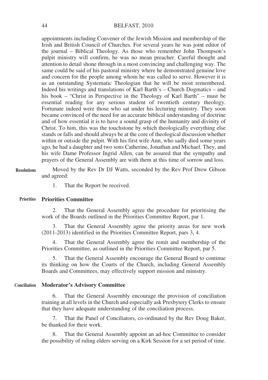appointments including Convener of the Jewish Mission and membership of the Irish and British Council of Churches. For several years he was joint editor of the journal – Biblical Theology. As those who remember John Thompson's pulpit ministry will confirm, he was no mean preacher. Careful thought and attention to detail shone through in a most convincing and challenging way. The same could be said of his pastoral ministry where he demonstrated genuine love and concern for the people among whom he was called to serve. However it is as an outstanding Systematic Theologian that he will be most remembered. Indeed his writings and translations of Karl Barth's – Church Dogmatics – and his book – "Christ in Perspective in the Theology of Karl Barth" – must be essential reading for any serious student of twentieth century theology. Fortunate indeed were those who sat under his lecturing ministry. They soon became convinced of the need for an accurate biblical understanding of doctrine and of how essential it is to have a sound grasp of the humanity and divinity of Christ. To him, this was the touchstone by which theologically everything else stands or falls and should always be at the core of theological discussion whether within or outside the pulpit. With his first wife Ann, who sadly died some years ago, he had a daughter and two sons Catherine, Jonathan and Michael. They, and his wife Dame Professor Ingrid Allen, can be assured that the sympathy and prayers of the General Assembly are with them at this time of sorrow and loss.

Moved by the Rev Dr DJ Watts, seconded by the Rev Prof Drew Gibson and agreed: **Resolutions**

1. That the Report be received.

#### **Priorities Committee Priorities**

That the General Assembly agree the procedure for prioritising the work of the Boards outlined in the Priorities Committee Report, par 1.

3. That the General Assembly agree the priority areas for new work (2011-2013) identified in the Priorities Committee Report, pars 3, 4.

That the General Assembly agree the remit and membership of the Priorities Committee, as outlined in the Priorities Committee Report, par 5.

5. That the General Assembly encourage the General Board to continue its thinking on how the Courts of the Church, including General Assembly Boards and Committees, may effectively support mission and ministry.

#### **Moderator's Advisory Committee Conciliation**

6. That the General Assembly encourage the provision of conciliation training at all levels in the Church and especially ask Presbytery Clerks to ensure that they have adequate understanding of the conciliation process.

7. That the Panel of Conciliators, co-ordinated by the Rev Doug Baker, be thanked for their work.

8. That the General Assembly appoint an ad-hoc Committee to consider the possibility of ruling elders serving on a Kirk Session for a set period of time.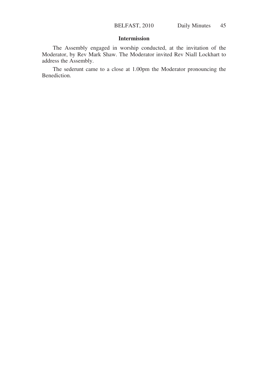# **Intermission**

The Assembly engaged in worship conducted, at the invitation of the Moderator, by Rev Mark Shaw. The Moderator invited Rev Niall Lockhart to address the Assembly.

The sederunt came to a close at 1.00pm the Moderator pronouncing the Benediction.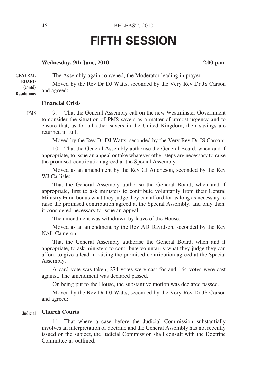# **FIFTH SESSION**

#### Wednesday, 9th June, 2010 2.00 p.m.

The Assembly again convened, the Moderator leading in prayer. Moved by the Rev Dr DJ Watts, seconded by the Very Rev Dr JS Carson and agreed: **GENERAL BOARD (contd) Resolutions**

**Financial Crisis**

**PMS**

9. That the General Assembly call on the new Westminster Government to consider the situation of PMS savers as a matter of utmost urgency and to ensure that, as for all other savers in the United Kingdom, their savings are returned in full.

Moved by the Rev Dr DJ Watts, seconded by the Very Rev Dr JS Carson:

10. That the General Assembly authorise the General Board, when and if appropriate, to issue an appeal or take whatever other steps are necessary to raise the promised contribution agreed at the Special Assembly.

Moved as an amendment by the Rev CJ Aitcheson, seconded by the Rev WJ Carlisle:

That the General Assembly authorise the General Board, when and if appropriate, first to ask ministers to contribute voluntarily from their Central Ministry Fund bonus what they judge they can afford for as long as necessary to raise the promised contribution agreed at the Special Assembly, and only then, if considered necessary to issue an appeal.

The amendment was withdrawn by leave of the House.

Moved as an amendment by the Rev AD Davidson, seconded by the Rev NAL Cameron:

That the General Assembly authorise the General Board, when and if appropriate, to ask ministers to contribute voluntarily what they judge they can afford to give a lead in raising the promised contribution agreed at the Special Assembly.

A card vote was taken, 274 votes were cast for and 164 votes were cast against. The amendment was declared passed.

On being put to the House, the substantive motion was declared passed.

Moved by the Rev Dr DJ Watts, seconded by the Very Rev Dr JS Carson and agreed:

#### **Church Courts Judicial**

11. That where a case before the Judicial Commission substantially involves an interpretation of doctrine and the General Assembly has not recently issued on the subject, the Judicial Commission shall consult with the Doctrine Committee as outlined.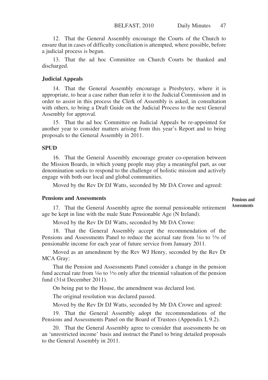12. That the General Assembly encourage the Courts of the Church to ensure that in cases of difficulty conciliation is attempted, where possible, before a judicial process is begun.

13. That the ad hoc Committee on Church Courts be thanked and discharged.

#### **Judicial Appeals**

14. That the General Assembly encourage a Presbytery, where it is appropriate, to hear a case rather than refer it to the Judicial Commission and in order to assist in this process the Clerk of Assembly is asked, in consultation with others, to bring a Draft Guide on the Judicial Process to the next General Assembly for approval.

15. That the ad hoc Committee on Judicial Appeals be re-appointed for another year to consider matters arising from this year's Report and to bring proposals to the General Assembly in 2011.

#### **SPUD**

16. That the General Assembly encourage greater co-operation between the Mission Boards, in which young people may play a meaningful part, as our denomination seeks to respond to the challenge of holistic mission and actively engage with both our local and global communities.

Moved by the Rev Dr DJ Watts, seconded by Mr DA Crowe and agreed:

## **Pensions and Assessments**

**Pensions and Assessments**

17. That the General Assembly agree the normal pensionable retirement age be kept in line with the male State Pensionable Age (N Ireland).

Moved by the Rev Dr DJ Watts, seconded by Mr DA Crowe:

18. That the General Assembly accept the recommendation of the Pensions and Assessments Panel to reduce the accrual rate from  $\frac{1}{60}$  to  $\frac{1}{70}$  of pensionable income for each year of future service from January 2011.

Moved as an amendment by the Rev WJ Henry, seconded by the Rev Dr MCA Gray:

That the Pension and Assessments Panel consider a change in the pension fund accrual rate from  $\frac{1}{60}$  to  $\frac{1}{70}$  only after the triennial valuation of the pension fund (31st December 2011).

On being put to the House, the amendment was declared lost.

The original resolution was declared passed.

Moved by the Rev Dr DJ Watts, seconded by Mr DA Crowe and agreed:

19. That the General Assembly adopt the recommendations of the Pensions and Assessments Panel on the Board of Trustees (Appendix I, 9.2).

20. That the General Assembly agree to consider that assessments be on an 'unrestricted income' basis and instruct the Panel to bring detailed proposals to the General Assembly in 2011.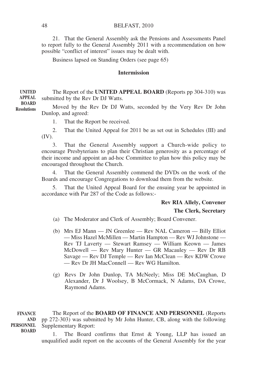#### BELFAST, 2010

21. That the General Assembly ask the Pensions and Assessments Panel to report fully to the General Assembly 2011 with a recommendation on how possible "conflict of interest" issues may be dealt with.

Business lapsed on Standing Orders (see page 65)

#### **Intermission**

The Report of the **UNITED APPEAL BOARD** (Reports pp 304-310) was submitted by the Rev Dr DJ Watts.

Moved by the Rev Dr DJ Watts, seconded by the Very Rev Dr John Dunlop, and agreed:

1. That the Report be received.

2. That the United Appeal for 2011 be as set out in Schedules (III) and (IV).

3. That the General Assembly support a Church-wide policy to encourage Presbyterians to plan their Christian generosity as a percentage of their income and appoint an ad-hoc Committee to plan how this policy may be encouraged throughout the Church.

4. That the General Assembly commend the DVDs on the work of the Boards and encourage Congregations to download them from the website.

5. That the United Appeal Board for the ensuing year be appointed in accordance with Par 287 of the Code as follows:-

# **Rev RIA Allely, Convener The Clerk, Secretary**

- (a) The Moderator and Clerk of Assembly; Board Convener.
- (b) Mrs EJ Mann JN Greenlee Rev NAL Cameron Billy Elliot — Miss Hazel McMillen — Martin Hampton — Rev WJ Johnstone — Rev TJ Laverty — Stewart Ramsey — William Keown — James McDowell — Rev Mary Hunter — GR Macauley — Rev Dr RB Savage — Rev DJ Temple — Rev Ian McClean — Rev KDW Crowe — Rev Dr JH MacConnell — Rev WG Hamilton.
- (g) Revs Dr John Dunlop, TA McNeely; Miss DE McCaughan, D Alexander, Dr J Woolsey, B McCormack, N Adams, DA Crowe, Raymond Adams.

The Report of the **BOARD OF FINANCE AND PERSONNEL** (Reports pp 272-303) was submitted by Mr John Hunter, CB, along with the following Supplementary Report: **FINANCE AND PERSONNEL BOARD**

1. The Board confirms that Ernst & Young, LLP has issued an unqualified audit report on the accounts of the General Assembly for the year

**UNITED APPEAL BOARD Resolutions**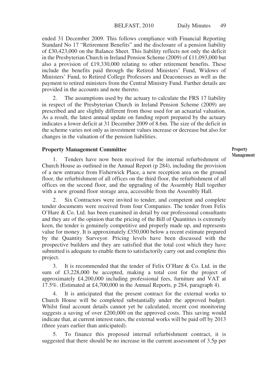ended 31 December 2009. This follows compliance with Financial Reporting Standard No 17 "Retirement Benefits" and the disclosure of a pension liability of £30,423,000 on the Balance Sheet. This liability reflects not only the deficit in the Presbyterian Church in Ireland Pension Scheme (2009) of £11,093,000 but also a provision of £19,330,000 relating to other retirement benefits. These include the benefits paid through the Retired Ministers' Fund, Widows of Ministers' Fund, to Retired College Professors and Deaconesses as well as the payment to retired ministers from the Central Ministry Fund. Further details are provided in the accounts and note thereto.

2. The assumptions used by the actuary to calculate the FRS 17 liability in respect of the Presbyterian Church in Ireland Pension Scheme (2009) are prescribed and are slightly different from those used for an actuarial valuation. As a result, the latest annual update on funding report prepared by the actuary indicates a lower deficit at 31 December 2009 of 8.6m. The size of the deficit in the scheme varies not only as investment values increase or decrease but also for changes in the valuation of the pension liabilities.

#### **Property Management Committee**

1. Tenders have now been received for the internal refurbishment of Church House as outlined in the Annual Report (p 284), including the provision of a new entrance from Fisherwick Place, a new reception area on the ground floor, the refurbishment of all offices on the third floor, the refurbishment of all offices on the second floor, and the upgrading of the Assembly Hall together with a new ground floor storage area, accessible from the Assembly Hall.

Six Contractors were invited to tender, and competent and complete tender documents were received from four Companies. The tender from Felix O'Hare & Co. Ltd. has been examined in detail by our professional consultants and they are of the opinion that the pricing of the Bill of Quantities is extremely keen, the tender is genuinely competitive and properly made up, and represents value for money. It is approximately £350,000 below a recent estimate prepared by the Quantity Surveyor. Pricing levels have been discussed with the prospective builders and they are satisfied that the total cost which they have submitted is adequate to enable them to satisfactorily carry out and complete this project.

3. It is recommended that the tender of Felix O'Hare & Co. Ltd. in the sum of £3,228,000 be accepted, making a total cost for the project of approximately £4,200,000 including professional fees, furniture and VAT at 17.5%. (Estimated at £4,700,000 in the Annual Reports, p 284, paragraph 4).

4. It is anticipated that the present contract for the external works to Church House will be completed substantially under the approved budget. Whilst final account details cannot yet be calculated, recent cost monitoring suggests a saving of over £200,000 on the approved costs. This saving would indicate that, at current interest rates, the external works will be paid off by 2013 (three years earlier than anticipated).

5. To finance this proposed internal refurbishment contract, it is suggested that there should be no increase in the current assessment of 3.5p per **Property Management**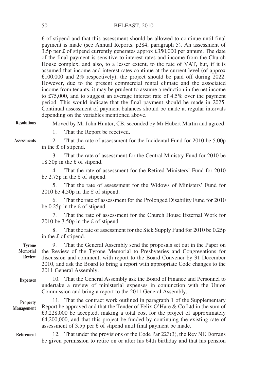£ of stipend and that this assessment should be allowed to continue until final payment is made (see Annual Reports, p284, paragraph 5). An assessment of  $3.5p$  per £ of stipend currently generates approx £350,000 per annum. The date of the final payment is sensitive to interest rates and income from the Church House complex, and also, to a lesser extent, to the rate of VAT, but, if it is assumed that income and interest rates continue at the current level (of approx £100,000 and 2% respectively), the project should be paid off during 2022. However, due to the present commercial rental climate and the associated income from tenants, it may be prudent to assume a reduction in the net income to £75,000, and to suggest an average interest rate of 4.5% over the payment period. This would indicate that the final payment should be made in 2025. Continual assessment of payment balances should be made at regular intervals depending on the variables mentioned above.

**Resolutions**

Moved by Mr John Hunter, CB, seconded by Mr Hubert Martin and agreed:

1. That the Report be received.

**Assessments**

2. That the rate of assessment for the Incidental Fund for 2010 be 5.00p in the £ of stipend.

3. That the rate of assessment for the Central Ministry Fund for 2010 be 18.50p in the £ of stipend.

4. That the rate of assessment for the Retired Ministers' Fund for 2010 be 2.75p in the £ of stipend.

5. That the rate of assessment for the Widows of Ministers' Fund for 2010 be 4.50p in the £ of stipend.

6. That the rate of assessment for the Prolonged Disability Fund for 2010 be 0.25p in the £ of stipend.

7. That the rate of assessment for the Church House External Work for 2010 be 3.50p in the £ of stipend.

8. That the rate of assessment for the Sick Supply Fund for 2010 be 0.25p in the £ of stipend.

9. That the General Assembly send the proposals set out in the Paper on the Review of the Tyrone Memorial to Presbyteries and Congregations for discussion and comment, with report to the Board Convener by 31 December 2010, and ask the Board to bring a report with appropriate Code changes to the 2011 General Assembly. **Tyrone Memorial Review**

10. That the General Assembly ask the Board of Finance and Personnel to undertake a review of ministerial expenses in conjunction with the Union Commission and bring a report to the 2011 General Assembly. **Expenses**

11. That the contract work outlined in paragraph 1 of the Supplementary Report be approved and that the Tender of Felix O'Hare & Co Ltd in the sum of £3,228,000 be accepted, making a total cost for the project of approximately £4,200,000, and that this project be funded by continuing the existing rate of assessment of 3.5p per £ of stipend until final payment be made. **Property Management**

12. That under the provisions of the Code Par 223(3), the Rev NE Dorrans be given permission to retire on or after his 64th birthday and that his pension **Retirement**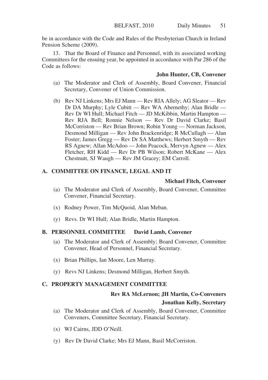be in accordance with the Code and Rules of the Presbyterian Church in Ireland Pension Scheme (2009).

13. That the Board of Finance and Personnel, with its associated working Committees for the ensuing year, be appointed in accordance with Par 286 of the Code as follows:

## **John Hunter, CB, Convener**

- (a) The Moderator and Clerk of Assembly, Board Convener, Financial Secretary, Convener of Union Commission.
- (b) Rev NJ Linkens; Mrs EJ Mann Rev RIA Allely; AG Sleator Rev Dr DA Murphy; Lyle Cubitt — Rev WA Abernethy; Alan Bridle — Rev Dr WI Hull; Michael Fitch — JD McKibbin, Martin Hampton — Rev RJA Bell; Ronnie Nelson — Rev Dr David Clarke; Basil McCorriston — Rev Brian Brown; Robin Young — Norman Jackson, Desmond Milligan — Rev John Brackenridge; R McCullagh — Alan Foster; James Gregg — Rev Dr SA Matthews; Herbert Smyth — Rev RS Agnew; Allan McAdoo — John Peacock, Mervyn Agnew — Alex Fletcher, RH Kidd — Rev Dr PB Wilson; Robert McKane — Alex Chestnutt, SJ Waugh — Rev JM Gracey; EM Carroll.

# **A. COMMITTEE ON FINANCE, LEGAL AND IT**

# **Michael Fitch, Convener**

- (a) The Moderator and Clerk of Assembly, Board Convener, Committee Convener, Financial Secretary.
- (x) Rodney Power, Tim McQuoid, Alan Meban.
- (y) Revs. Dr WI Hull; Alan Bridle, Martin Hampton.

## **B. PERSONNEL COMMITTEE David Lamb, Convener**

- (a) The Moderator and Clerk of Assembly; Board Convener, Committee Convener, Head of Personnel, Financial Secretary.
- (x) Brian Phillips, Ian Moore, Len Murray.
- (y) Revs NJ Linkens; Desmond Milligan, Herbert Smyth.

# **C. PROPERTY MANAGEMENT COMMITTEE**

# **Rev RA McLernon; JH Martin, Co-Conveners**

# **Jonathan Kelly, Secretary**

- (a) The Moderator and Clerk of Assembly, Board Convener, Committee Conveners, Committee Secretary, Financial Secretary.
- (x) WJ Cairns, JDD O'Neill.
- (y) Rev Dr David Clarke; Mrs EJ Mann, Basil McCorriston.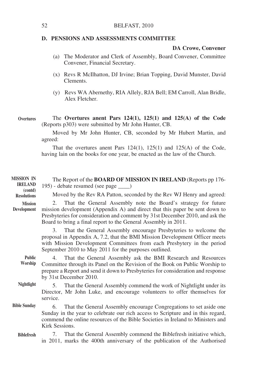#### **D. PENSIONS AND ASSESSMENTS COMMITTEE**

#### **DA Crowe, Convener**

- (a) The Moderator and Clerk of Assembly, Board Convener, Committee Convener, Financial Secretary.
- (x) Revs R McIlhatton, DJ Irvine; Brian Topping, David Munster, David Clements.
- (y) Revs WA Abernethy, RIA Allely, RJA Bell; EM Carroll, Alan Bridle, Alex Fletcher.

#### The **Overtures anent Pars 124(1), 125(1) and 125(A) of the Code** (Reports p303) were submitted by Mr John Hunter, CB. **Overtures**

Moved by Mr John Hunter, CB, seconded by Mr Hubert Martin, and agreed:

That the overtures anent Pars 124(1), 125(1) and 125(A) of the Code, having lain on the books for one year, be enacted as the law of the Church.

| <b>MISSION IN</b><br><b>IRELAND</b><br>(contd) | The Report of the <b>BOARD OF MISSION IN IRELAND</b> (Reports pp 176-<br>195) - debate resumed (see page _____)                                                                                                                                                                                     |
|------------------------------------------------|-----------------------------------------------------------------------------------------------------------------------------------------------------------------------------------------------------------------------------------------------------------------------------------------------------|
| <b>Resolutions</b>                             | Moved by the Rev RA Patton, seconded by the Rev WJ Henry and agreed:                                                                                                                                                                                                                                |
| <b>Mission</b><br>Development                  | 2. That the General Assembly note the Board's strategy for future<br>mission development (Appendix A) and direct that this paper be sent down to<br>Presbyteries for consideration and comment by 31st December 2010, and ask the<br>Board to bring a final report to the General Assembly in 2011. |
|                                                | That the General Assembly encourage Presbyteries to welcome the<br>3.<br>proposal in Appendix A, 7.2, that the BMI Mission Development Officer meets<br>with Mission Development Committees from each Presbytery in the period<br>September 2010 to May 2011 for the purposes outlined.             |
| <b>Public</b><br>Worship                       | That the General Assembly ask the BMI Research and Resources<br>4.<br>Committee through its Panel on the Revision of the Book on Public Worship to<br>prepare a Report and send it down to Presbyteries for consideration and response<br>by 31st December 2010.                                    |
| Nightlight                                     | That the General Assembly commend the work of Nightlight under its<br>5.<br>Director, Mr John Luke, and encourage volunteers to offer themselves for<br>service.                                                                                                                                    |
| <b>Bible Sunday</b>                            | That the General Assembly encourage Congregations to set aside one<br>6.<br>Sunday in the year to celebrate our rich access to Scripture and in this regard,<br>commend the online resources of the Bible Societies in Ireland to Ministers and<br>Kirk Sessions.                                   |
| <b>Biblefresh</b>                              | That the General Assembly commend the Biblefresh initiative which,<br>7.<br>in 2011, marks the 400th anniversary of the publication of the Authorised                                                                                                                                               |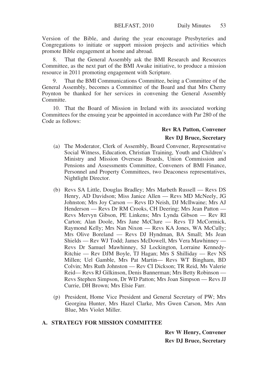Version of the Bible, and during the year encourage Presbyteries and Congregations to initiate or support mission projects and activities which promote Bible engagement at home and abroad.

8. That the General Assembly ask the BMI Research and Resources Committee, as the next part of the BMI Awake initiative, to produce a mission resource in 2011 promoting engagement with Scripture.

9. That the BMI Communications Committee, being a Committee of the General Assembly, becomes a Committee of the Board and that Mrs Cherry Poynton be thanked for her services in convening the General Assembly Committe.

10. That the Board of Mission in Ireland with its associated working Committees for the ensuing year be appointed in accordance with Par 280 of the Code as follows:

#### **Rev RA Patton, Convener**

#### **Rev DJ Bruce, Secretary**

- (a) The Moderator, Clerk of Assembly, Board Convener, Representative Social Witness, Education, Christian Training, Youth and Children's Ministry and Mission Overseas Boards, Union Commission and Pensions and Assessments Committee, Conveners of BMI Finance, Personnel and Property Committees, two Deaconess representatives, Nightlight Director.
- (b) Revs SA Little, Douglas Bradley; Mrs Marbeth Russell Revs DS Henry, AD Davidson; Miss Janice Allen — Revs MD McNeely, JG Johnston; Mrs Joy Carson — Revs ID Neish, DJ McIlwaine; Mrs AJ Henderson — Revs Dr RM Crooks, CH Deering; Mrs Jean Patton — Revs Mervyn Gibson, PE Linkens; Mrs Lynda Gibson — Rev RI Carton; Alan Doole, Mrs Jane McClure — Revs TJ McCormick, Raymond Kelly; Mrs Nan Nixon — Revs KA Jones, WA McCully; Mrs Olive Boreland — Revs DJ Hyndman, BA Small; Ms Jean Shields — Rev WJ Todd; James McDowell, Mrs Vera Mawhinney — Revs Dr Samuel Mawhinney, SJ Lockington, Lorraine Kennedy-Ritchie — Rev DJM Boyle, TJ Hagan; Mrs S Shilliday — Rev NS Millen; Uel Gamble, Mrs Pat Martin— Revs WT Bingham, BD Colvin; Mrs Ruth Johnston — Rev CI Dickson; TR Reid, Ms Valerie Reid— Revs RJ Gilkinson, Denis Bannerman; Mrs Betty Robinson — Revs Stephen Simpson, Dr WD Patton; Mrs Joan Simpson — Revs JJ Currie, DH Brown; Mrs Elsie Farr.
- (p) President, Home Vice President and General Secretary of PW; Mrs Georgina Hunter, Mrs Hazel Clarke, Mrs Gwen Carson, Mrs Ann Blue, Mrs Violet Miller.

# **A. STRATEGY FOR MISSION COMMITTEE**

**Rev W Henry, Convener Rev DJ Bruce, Secretary**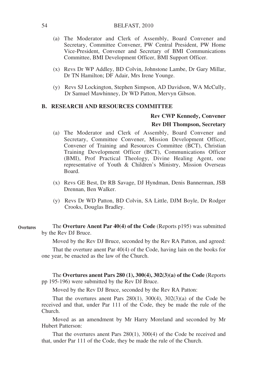#### BELFAST, 2010

- (a) The Moderator and Clerk of Assembly, Board Convener and Secretary, Committee Convener, PW Central President, PW Home Vice-President, Convener and Secretary of BMI Communications Committee, BMI Development Officer, BMI Support Officer.
- (x) Revs Dr WP Addley, BD Colvin, Johnstone Lambe, Dr Gary Millar, Dr TN Hamilton; DF Adair, Mrs Irene Younge.
- (y) Revs SJ Lockington, Stephen Simpson, AD Davidson, WA McCully, Dr Samuel Mawhinney, Dr WD Patton, Mervyn Gibson.

#### **B. RESEARCH AND RESOURCES COMMITTEE**

#### **Rev CWP Kennedy, Convener**

#### **Rev DH Thompson, Secretary**

- (a) The Moderator and Clerk of Assembly, Board Convener and Secretary, Committee Convener, Mission Development Officer, Convener of Training and Resources Committee (BCT), Christian Training Development Officer (BCT), Communications Officer (BMI), Prof Practical Theology, Divine Healing Agent, one representative of Youth & Children's Ministry, Mission Overseas Board.
- (x) Revs GE Best, Dr RB Savage, DJ Hyndman, Denis Bannerman, JSB Drennan, Ben Walker.
- (y) Revs Dr WD Patton, BD Colvin, SA Little, DJM Boyle, Dr Rodger Crooks, Douglas Bradley.
- The **Overture Anent Par 40(4) of the Code** (Reports p195) was submitted by the Rev DJ Bruce. **Overtures**

Moved by the Rev DJ Bruce, seconded by the Rev RA Patton, and agreed:

That the overture anent Par 40(4) of the Code, having lain on the books for one year, be enacted as the law of the Church.

The **Overtures anent Pars 280 (1), 300(4), 302(3)(a) of the Code** (Reports pp 195-196) were submitted by the Rev DJ Bruce.

Moved by the Rev DJ Bruce, seconded by the Rev RA Patton:

That the overtures anent Pars  $280(1)$ ,  $300(4)$ ,  $302(3)(a)$  of the Code be received and that, under Par 111 of the Code, they be made the rule of the Church.

Moved as an amendment by Mr Harry Moreland and seconded by Mr Hubert Patterson:

That the overtures anent Pars 280(1), 300(4) of the Code be received and that, under Par 111 of the Code, they be made the rule of the Church.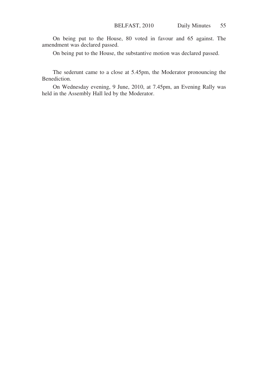On being put to the House, 80 voted in favour and 65 against. The amendment was declared passed.

On being put to the House, the substantive motion was declared passed.

The sederunt came to a close at 5.45pm, the Moderator pronouncing the Benediction.

On Wednesday evening, 9 June, 2010, at 7.45pm, an Evening Rally was held in the Assembly Hall led by the Moderator.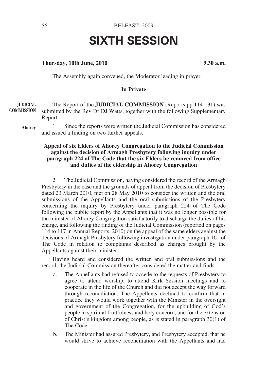# **SIXTH SESSION**

#### **Thursday, 10th June, 2010 9.30 a.m.**

The Assembly again convened, the Moderator leading in prayer.

# **In Private**

The Report of the **JUDICIAL COMMISSION** (Reports pp 114-131) was submitted by the Rev Dr DJ Watts, together with the following Supplementary Report: **JUDICIAL COMMISSION**

**Ahorey**

1. Since the reports were written the Judicial Commission has considered and issued a finding on two further appeals.

#### **Appeal of six Elders of Ahorey Congregation to the Judicial Commission against the decision of Armagh Presbytery following inquiry under paragraph 224 of The Code that the six Elders be removed from office and duties of the eldership in Ahorey Congregation**

2. The Judicial Commission, having considered the record of the Armagh Presbytery in the case and the grounds of appeal from the decision of Presbytery dated 23 March 2010, met on 28 May 2010 to consider the written and the oral submissions of the Appellants and the oral submissions of the Presbytery concerning the inquiry by Presbytery under paragraph 224 of The Code following the public report by the Appellants that it was no longer possible for the minister of Ahorey Congregation satisfactorily to discharge the duties of his charge, and following the finding of the Judicial Commission (reported on pages 114 to 117 in Annual Reports, 2010) on the appeal of the same elders against the decisions of Armagh Presbytery following investigation under paragraph 161 of The Code in relation to complaints described as charges brought by the Appellants against their minister.

Having heard and considered the written and oral submissions and the record, the Judicial Commission thereafter considered the matter and finds:

- a. The Appellants had refused to accede to the requests of Presbytery to agree to attend worship, to attend Kirk Session meetings and to cooperate in the life of the Church and did not accept the way forward through reconciliation. The Appellants declined to confirm that in practice they would work together with the Minister in the oversight and government of the Congregation, for the upbuilding of God's people in spiritual fruitfulness and holy concord, and for the extension of Christ's kingdom among people, as is stated in paragraph 30(1) of The Code.
- b. The Minister had assured Presbytery, and Presbytery accepted, that he would strive to achieve reconciliation with the Appellants and had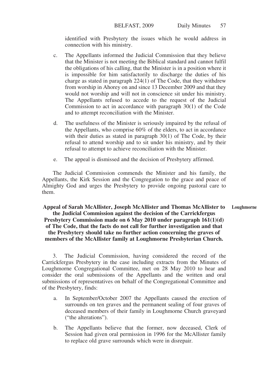identified with Presbytery the issues which he would address in connection with his ministry.

- c. The Appellants informed the Judicial Commission that they believe that the Minister is not meeting the Biblical standard and cannot fulfil the obligations of his calling, that the Minister is in a position where it is impossible for him satisfactorily to discharge the duties of his charge as stated in paragraph 224(1) of The Code, that they withdrew from worship in Ahorey on and since 13 December 2009 and that they would not worship and will not in conscience sit under his ministry. The Appellants refused to accede to the request of the Judicial Commission to act in accordance with paragraph 30(1) of the Code and to attempt reconciliation with the Minister.
- d. The usefulness of the Minister is seriously impaired by the refusal of the Appellants, who comprise 60% of the elders, to act in accordance with their duties as stated in paragraph 30(1) of The Code, by their refusal to attend worship and to sit under his ministry, and by their refusal to attempt to achieve reconciliation with the Minister.
- e. The appeal is dismissed and the decision of Presbytery affirmed.

The Judicial Commission commends the Minister and his family, the Appellants, the Kirk Session and the Congregation to the grace and peace of Almighty God and urges the Presbytery to provide ongoing pastoral care to them.

**Appeal of Sarah McAllister, Joseph McAllister and Thomas McAllister to the Judicial Commission against the decision of the Carrickfergus Presbytery Commission made on 6 May 2010 under paragraph 161(1)(d) of The Code, that the facts do not call for further investigation and that the Presbytery should take no further action concerning the graves of members of the McAllister family at Loughmorne Presbyterian Church. Loughmorne**

3. The Judicial Commission, having considered the record of the Carrickfergus Presbytery in the case including extracts from the Minutes of Loughmorne Congregational Committee, met on 28 May 2010 to hear and consider the oral submissions of the Appellants and the written and oral submissions of representatives on behalf of the Congregational Committee and of the Presbytery, finds:

- a. In September/October 2007 the Appellants caused the erection of surrounds on ten graves and the permanent sealing of four graves of deceased members of their family in Loughmorne Church graveyard ("the alterations").
- b. The Appellants believe that the former, now deceased, Clerk of Session had given oral permission in 1996 for the McAllister family to replace old grave surrounds which were in disrepair.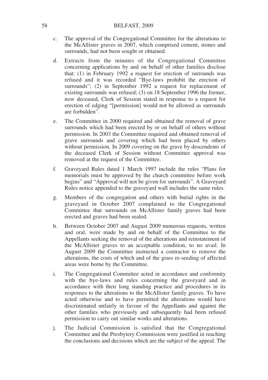#### 58 BELFAST, 2009

- c. The approval of the Congregational Committee for the alterations to the McAllister graves in 2007, which comprised cement, stones and surrounds, had not been sought or obtained.
- d. Extracts from the minutes of the Congregational Committee concerning applications by and on behalf of other families disclose that: (1) in February 1992 a request for erection of surrounds was refused and it was recorded "Bye-laws prohibit the erection of surrounds"; (2) in September 1992 a request for replacement of existing surrounds was refused; (3) on 18 September 1996 the former, now deceased, Clerk of Session stated in response to a request for erection of edging "[permission] would not be allowed as surrounds are forbidden".
- e. The Committee in 2000 required and obtained the removal of grave surrounds which had been erected by or on behalf of others without permission. In 2003 the Committee required and obtained removal of grave surrounds and covering which had been placed by others without permission. In 2009 covering on the grave by descendents of the deceased Clerk of Session without Committee approval was removed at the request of the Committee.
- f. Graveyard Rules dated 1 March 1997 include the rules "Plans for memorials must be approved by the church committee before work begins" and "Approval will not be given for surrounds". A Graveyard Rules notice appended to the graveyard wall includes the same rules.
- g. Members of the congregation and others with burial rights in the graveyard in October 2007 complained to the Congregational Committee that surrounds on McAllister family graves had been erected and graves had been sealed.
- h. Between October 2007 and August 2009 numerous requests, written and oral, were made by and on behalf of the Committee to the Appellants seeking the removal of the alterations and reinstatement of the McAllister graves to an acceptable condition, to no avail. In August 2009 the Committee instructed a contractor to remove the alterations, the costs of which and of the grass re-seeding of affected areas were borne by the Committee.
- i. The Congregational Committee acted in accordance and conformity with the bye-laws and rules concerning the graveyard and in accordance with their long standing practice and procedures in its responses to the alterations to the McAllister family graves. To have acted otherwise and to have permitted the alterations would have discriminated unfairly in favour of the Appellants and against the other families who previously and subsequently had been refused permission to carry out similar works and alterations.
- j. The Judicial Commission is satisfied that the Congregational Committee and the Presbytery Commission were justified in reaching the conclusions and decisions which are the subject of the appeal. The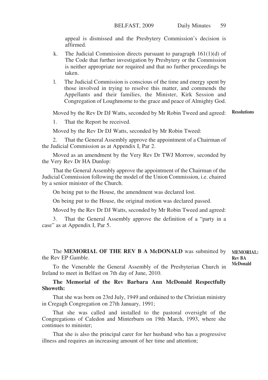appeal is dismissed and the Presbytery Commission's decision is affirmed.

- k. The Judicial Commission directs pursuant to paragraph  $161(1)(d)$  of The Code that further investigation by Presbytery or the Commission is neither appropriate nor required and that no further proceedings be taken.
- l. The Judicial Commission is conscious of the time and energy spent by those involved in trying to resolve this matter, and commends the Appellants and their families, the Minister, Kirk Session and Congregation of Loughmorne to the grace and peace of Almighty God.

Moved by the Rev Dr DJ Watts, seconded by Mr Robin Tweed and agreed: **Resolutions**

1. That the Report be received.

Moved by the Rev Dr DJ Watts, seconded by Mr Robin Tweed:

That the General Assembly approve the appointment of a Chairman of the Judicial Commission as at Appendix I, Par 2.

Moved as an amendment by the Very Rev Dr TWJ Morrow, seconded by the Very Rev Dr HA Dunlop:

That the General Assembly approve the appointment of the Chairman of the Judicial Commission following the model of the Union Commission, i.e. chaired by a senior minister of the Church.

On being put to the House, the amendment was declared lost.

On being put to the House, the original motion was declared passed.

Moved by the Rev Dr DJ Watts, seconded by Mr Robin Tweed and agreed:

3. That the General Assembly approve the definition of a "party in a case" as at Appendix I, Par 5.

#### The **MEMORIAL OF THE REV B A McDONALD** was submitted by the Rev EP Gamble. **MEMORIAL: Rev BA**

**McDonald**

To the Venerable the General Assembly of the Presbyterian Church in Ireland to meet in Belfast on 7th day of June, 2010.

## **The Memorial of the Rev Barbara Ann McDonald Respectfully Showeth:**

That she was born on 23rd July, 1949 and ordained to the Christian ministry in Cregagh Congregation on 27th January, 1991;

That she was called and installed to the pastoral oversight of the Congregations of Caledon and Minterburn on 19th March, 1993, where she continues to minister;

That she is also the principal carer for her husband who has a progressive illness and requires an increasing amount of her time and attention;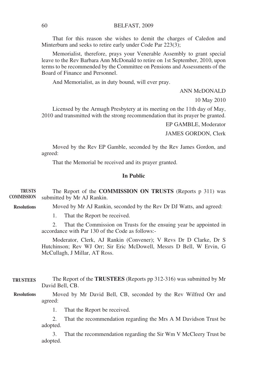That for this reason she wishes to demit the charges of Caledon and Minterburn and seeks to retire early under Code Par 223(3);

Memorialist, therefore, prays your Venerable Assembly to grant special leave to the Rev Barbara Ann McDonald to retire on 1st September, 2010, upon terms to be recommended by the Committee on Pensions and Assessments of the Board of Finance and Personnel.

And Memorialist, as in duty bound, will ever pray.

#### ANN McDONALD

10 May 2010

Licensed by the Armagh Presbytery at its meeting on the 11th day of May, 2010 and transmitted with the strong recommendation that its prayer be granted.

EP GAMBLE, Moderator

JAMES GORDON, Clerk

Moved by the Rev EP Gamble, seconded by the Rev James Gordon, and agreed:

That the Memorial be received and its prayer granted.

# **In Public**

| <b>TRUSTS</b><br><b>COMMISSION</b> | The Report of the COMMISSION ON TRUSTS (Reports p 311) was<br>submitted by Mr AJ Rankin.                                                                                  |  |
|------------------------------------|---------------------------------------------------------------------------------------------------------------------------------------------------------------------------|--|
| <b>Resolutions</b>                 | Moved by Mr AJ Rankin, seconded by the Rev Dr DJ Watts, and agreed:                                                                                                       |  |
|                                    | That the Report be received.<br>1.                                                                                                                                        |  |
|                                    | That the Commission on Trusts for the ensuing year be appointed in<br>2.<br>accordance with Par 130 of the Code as follows:-                                              |  |
|                                    | Moderator, Clerk, AJ Rankin (Convener); V Revs Dr D Clarke, Dr S<br>Hutchinson; Rev WJ Orr; Sir Eric McDowell, Messrs D Bell, W Ervin, G<br>McCullagh, J Millar, AT Ross. |  |
| <b>TRUSTEES</b>                    | The Report of the <b>TRUSTEES</b> (Reports pp 312-316) was submitted by Mr<br>David Bell, CB.                                                                             |  |
| <b>Resolutions</b>                 | Moved by Mr David Bell, CB, seconded by the Rev Wilfred Orr and<br>agreed:                                                                                                |  |
|                                    | That the Report be received.                                                                                                                                              |  |

2. That the recommendation regarding the Mrs A M Davidson Trust be adopted.

3. That the recommendation regarding the Sir Wm V McCleery Trust be adopted.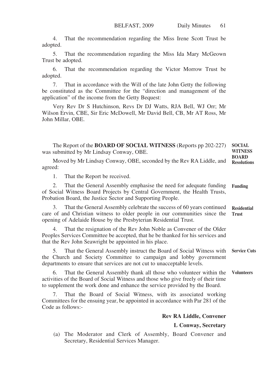4. That the recommendation regarding the Miss Irene Scott Trust be adopted.

5. That the recommendation regarding the Miss Ida Mary McGeown Trust be adopted.

6. That the recommendation regarding the Victor Morrow Trust be adopted.

7. That in accordance with the Will of the late John Getty the following be constituted as the Committee for the "direction and management of the application" of the income from the Getty Bequest:

Very Rev Dr S Hutchinson, Revs Dr DJ Watts, RJA Bell, WJ Orr; Mr Wilson Ervin, CBE, Sir Eric McDowell, Mr David Bell, CB, Mr AT Ross, Mr John Millar, OBE.

The Report of the **BOARD OF SOCIAL WITNESS** (Reports pp 202-227) was submitted by Mr Lindsay Conway, OBE. **SOCIAL WITNESS BOARD**

Moved by Mr Lindsay Conway, OBE, seconded by the Rev RA Liddle, and agreed: **Resolutions**

1. That the Report be received.

2. That the General Assembly emphasise the need for adequate funding of Social Witness Board Projects by Central Government, the Health Trusts, Probation Board, the Justice Sector and Supporting People. **Funding**

3. That the General Assembly celebrate the success of 60 years continued care of and Christian witness to older people in our communities since the opening of Adelaide House by the Presbyterian Residential Trust. **Residential Trust**

4. That the resignation of the Rev John Noble as Convener of the Older Peoples Services Committee be accepted, that he be thanked for his services and that the Rev John Seawright be appointed in his place.

5. That the General Assembly instruct the Board of Social Witness with the Church and Society Committee to campaign and lobby government departments to ensure that services are not cut to unacceptable levels. **Service Cuts**

6. That the General Assembly thank all those who volunteer within the activities of the Board of Social Witness and those who give freely of their time to supplement the work done and enhance the service provided by the Board. **Volunteers**

7. That the Board of Social Witness, with its associated working Committees for the ensuing year, be appointed in accordance with Par 281 of the Code as follows:-

**Rev RA Liddle, Convener**

**L Conway, Secretary**

(a) The Moderator and Clerk of Assembly, Board Convener and Secretary, Residential Services Manager.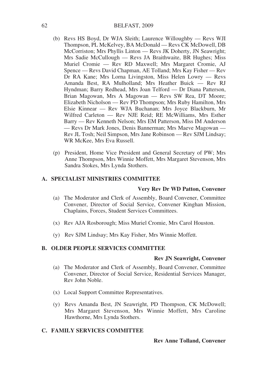#### BELFAST, 2009

- (b) Revs HS Boyd, Dr WJA Sleith; Laurence Willoughby Revs WJI Thompson, PL McKelvey, BA McDonald — Revs CK McDowell, DB McCorriston; Mrs Phyllis Linton — Revs JK Doherty, JN Seawright; Mrs Sadie McCullough — Revs JA Braithwaite, BR Hughes; Miss Muriel Cromie — Rev RD Maxwell; Mrs Margaret Cromie, AJ Spence — Revs David Chapman, AE Tolland; Mrs Kay Fisher — Rev Dr RA Kane; Mrs Lorna Livingston, Miss Helen Lowry — Revs Amanda Best, RA Mulholland; Mrs Heather Buick — Rev RJ Hyndman; Barry Redhead, Mrs Joan Telford — Dr Diana Patterson, Brian Magowan, Mrs A Magowan — Revs SW Rea, DT Moore; Elizabeth Nicholson — Rev PD Thompson; Mrs Ruby Hamilton, Mrs Elsie Kinnear — Rev WJA Buchanan; Mrs Joyce Blackburn, Mr Wilfred Carleton — Rev NJE Reid; RE McWilliams, Mrs Esther Barry — Rev Kenneth Nelson; Mrs EM Patterson, Miss IM Anderson — Revs Dr Mark Jones, Denis Bannerman; Mrs Maeve Magowan — Rev JL Tosh; Neil Simpson, Mrs Jane Robinson — Rev SJM Lindsay; WR McKee, Mrs Eva Russell.
- (p) President, Home Vice President and General Secretary of PW; Mrs Anne Thompson, Mrs Winnie Moffett, Mrs Margaret Stevenson, Mrs Sandra Stokes, Mrs Lynda Stothers.

## **A. SPECIALIST MINISTRIES COMMITTEE**

#### **Very Rev Dr WD Patton, Convener**

- (a) The Moderator and Clerk of Assembly, Board Convener, Committee Convener, Director of Social Service, Convener Kinghan Mission, Chaplains, Forces, Student Services Committees.
- (x) Rev AJA Rosborough; Miss Muriel Cromie, Mrs Carol Houston.
- (y) Rev SJM Lindsay; Mrs Kay Fisher, Mrs Winnie Moffett.

#### **B. OLDER PEOPLE SERVICES COMMITTEE**

#### **Rev JN Seawright, Convener**

- (a) The Moderator and Clerk of Assembly, Board Convener, Committee Convener, Director of Social Service, Residential Services Manager, Rev John Noble.
- (x) Local Support Committee Representatives.
- (y) Revs Amanda Best, JN Seawright, PD Thompson, CK McDowell; Mrs Margaret Stevenson, Mrs Winnie Moffett, Mrs Caroline Hawthorne, Mrs Lynda Stothers.

#### **C. FAMILY SERVICES COMMITTEE**

#### **Rev Anne Tolland, Convener**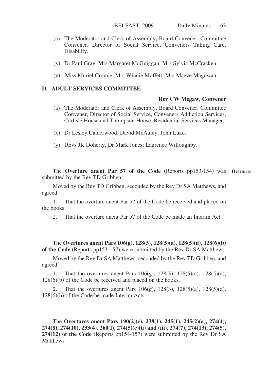- (a) The Moderator and Clerk of Assembly, Board Convener, Committee Convener, Director of Social Service, Conveners Taking Care, Disability.
- (x) Dr Paul Gray, Mrs Margaret McGuiggan, Mrs Sylvia McCracken.
- (y) Miss Muriel Cromie, Mrs Winnie Moffett, Mrs Maeve Magowan.

# **D. ADULT SERVICES COMMITTEE**

#### **Rev CW Megaw, Convener**

- (a) The Moderator and Clerk of Assembly, Board Convener, Committee Convener, Director of Social Service, Conveners Addiction Services, Carlisle House and Thompson House, Residential Services Manager.
- (x) Dr Lesley Calderwood, David McAuley, John Luke.
- (y) Revs JK Doherty, Dr Mark Jones; Laurence Willoughby.

The **Overture anent Par 57 of the Code** (Reports pp153-154) was **Overtures**submitted by the Rev TD Gribben.

Moved by the Rev TD Gribben, seconded by the Rev Dr SA Matthews, and agreed:

1. That the overture anent Par 57 of the Code be received and placed on the books.

2. That the overture anent Par 57 of the Code be made an Interim Act.

The **Overtures anent Pars 106(g), 128(3), 128(5)(a), 128(5)(d), 128(6)(b) of the Code** (Reports pp153-157) were submitted by the Rev Dr SA Matthews.

Moved by the Rev Dr SA Matthews, seconded by the Rev TD Gribben, and agreed:

1. That the overtures anent Pars 106(g), 128(3), 128(5)(a), 128(5)(d), 128(6)(b) of the Code be received and placed on the books.

2. That the overtures anent Pars 106(g), 128(3), 128(5)(a), 128(5)(d), 128(6)(b) of the Code be made Interim Acts.

The **Overtures anent Pars 190(2)(c), 238(1), 245(1), 245(2)(a), 274(4), 274(8), 274(10), 233(4), 260(f), 274(5)(c)(ii) and (iii), 274(7), 274(13), 274(5), 274(12) of the Code** (Reports pp154-157) were submitted by the Rev Dr SA **Matthews**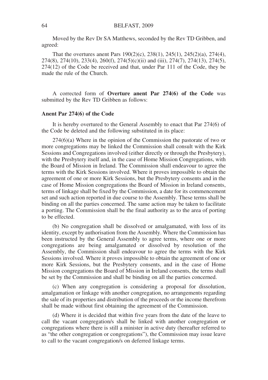Moved by the Rev Dr SA Matthews, seconded by the Rev TD Gribben, and agreed:

That the overtures anent Pars 190(2)(c), 238(1), 245(1), 245(2)(a), 274(4), 274(8), 274(10), 233(4), 260(f), 274(5)(c)(ii) and (iii), 274(7), 274(13), 274(5), 274(12) of the Code be received and that, under Par 111 of the Code, they be made the rule of the Church.

A corrected form of **Overture anent Par 274(6) of the Code** was submitted by the Rev TD Gribben as follows:

#### **Anent Par 274(6) of the Code**

It is hereby overtured to the General Assembly to enact that Par 274(6) of the Code be deleted and the following substituted in its place:

274(6)(a) Where in the opinion of the Commission the pastorate of two or more congregations may be linked the Commission shall consult with the Kirk Sessions and Congregations involved (either directly or through the Presbytery), with the Presbytery itself and, in the case of Home Mission Congregations, with the Board of Mission in Ireland. The Commission shall endeavour to agree the terms with the Kirk Sessions involved. Where it proves impossible to obtain the agreement of one or more Kirk Sessions, but the Presbytery consents and in the case of Home Mission congregations the Board of Mission in Ireland consents, terms of linkage shall be fixed by the Commission, a date for its commencement set and such action reported in due course to the Assembly. These terms shall be binding on all the parties concerned. The same action may be taken to facilitate a porting. The Commission shall be the final authority as to the area of porting to be effected.

(b) No congregation shall be dissolved or amalgamated, with loss of its identity, except by authorisation from the Assembly. Where the Commission has been instructed by the General Assembly to agree terms, where one or more congregations are being amalgamated or dissolved by resolution of the Assembly, the Commission shall endeavour to agree the terms with the Kirk Sessions involved. Where it proves impossible to obtain the agreement of one or more Kirk Sessions, but the Presbytery consents, and in the case of Home Mission congregations the Board of Mission in Ireland consents, the terms shall be set by the Commission and shall be binding on all the parties concerned.

(c) When any congregation is considering a proposal for dissolution, amalgamation or linkage with another congregation, no arrangements regarding the sale of its properties and distribution of the proceeds or the income therefrom shall be made without first obtaining the agreement of the Commission.

(d) Where it is decided that within five years from the date of the leave to call the vacant congregation/s shall be linked with another congregation or congregations where there is still a minister in active duty (hereafter referred to as "the other congregation or congregations"), the Commission may issue leave to call to the vacant congregation/s on deferred linkage terms.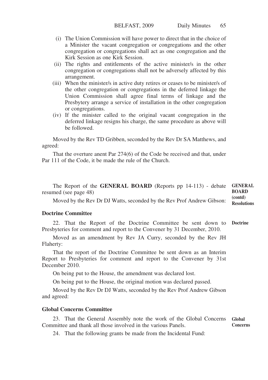- (i) The Union Commission will have power to direct that in the choice of a Minister the vacant congregation or congregations and the other congregation or congregations shall act as one congregation and the Kirk Session as one Kirk Session.
- (ii) The rights and entitlements of the active minister/s in the other congregation or congregations shall not be adversely affected by this arrangement.
- (iii) When the minister/s in active duty retires or ceases to be minister/s of the other congregation or congregations in the deferred linkage the Union Commission shall agree final terms of linkage and the Presbytery arrange a service of installation in the other congregation or congregations.
- (iv) If the minister called to the original vacant congregation in the deferred linkage resigns his charge, the same procedure as above will be followed.

Moved by the Rev TD Gribben, seconded by the Rev Dr SA Matthews, and agreed:

That the overture anent Par 274(6) of the Code be received and that, under Par 111 of the Code, it be made the rule of the Church.

The Report of the **GENERAL BOARD** (Reports pp 14-113) - debate resumed (see page 48) **GENERAL BOARD (contd)**

Moved by the Rev Dr DJ Watts, seconded by the Rev Prof Andrew Gibson: **Resolutions**

#### **Doctrine Committee**

22. That the Report of the Doctrine Committee be sent down to Presbyteries for comment and report to the Convener by 31 December, 2010. **Doctrine**

Moved as an amendment by Rev JA Curry, seconded by the Rev JH Flaherty:

That the report of the Doctrine Committee be sent down as an Interim Report to Presbyteries for comment and report to the Convener by 31st December 2010.

On being put to the House, the amendment was declared lost.

On being put to the House, the original motion was declared passed.

Moved by the Rev Dr DJ Watts, seconded by the Rev Prof Andrew Gibson and agreed:

#### **Global Concerns Committee**

23. That the General Assembly note the work of the Global Concerns Committee and thank all those involved in the various Panels. **Global Concerns**

24. That the following grants be made from the Incidental Fund: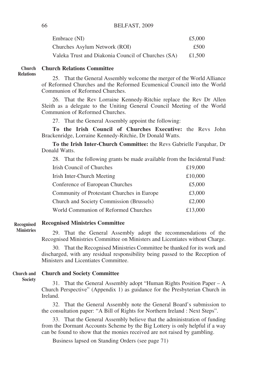| Embrace (NI)                                       | £5,000 |
|----------------------------------------------------|--------|
| Churches Asylum Network (ROI)                      | £500   |
| Valeka Trust and Diakonia Council of Churches (SA) | £1.500 |

#### **Church Relations Committee Church Relations**

25. That the General Assembly welcome the merger of the World Alliance of Reformed Churches and the Reformed Ecumenical Council into the World Communion of Reformed Churches.

26. That the Rev Lorraine Kennedy-Ritchie replace the Rev Dr Allen Sleith as a delegate to the Uniting General Council Meeting of the World Communion of Reformed Churches.

27. That the General Assembly appoint the following:

**To the Irish Council of Churches Executive:** the Revs John Brackenridge, Lorraine Kennedy-Ritchie, Dr Donald Watts.

**To the Irish Inter-Church Committee:** the Revs Gabrielle Farquhar, Dr Donald Watts.

28. That the following grants be made available from the Incidental Fund:

| Irish Council of Churches                  | £19,000 |
|--------------------------------------------|---------|
| Irish Inter-Church Meeting                 | £10,000 |
| Conference of European Churches            | £5,000  |
| Community of Protestant Churches in Europe | £3,000  |
| Church and Society Commission (Brussels)   | £2,000  |
| World Communion of Reformed Churches       | £13,000 |

**Recognised Ministries Committee Recognised**

**Ministries**

29. That the General Assembly adopt the recommendations of the Recognised Ministries Committee on Ministers and Licentiates without Charge.

30. That the Recognised Ministries Committee be thanked for its work and discharged, with any residual responsibility being passed to the Reception of Ministers and Licentiates Committee.

#### **Church and Society Committee Church and**

**Society**

31. That the General Assembly adopt "Human Rights Position Paper – A Church Perspective" (Appendix 1) as guidance for the Presbyterian Church in Ireland.

32. That the General Assembly note the General Board's submission to the consultation paper: "A Bill of Rights for Northern Ireland : Next Steps".

33. That the General Assembly believe that the administration of funding from the Dormant Accounts Scheme by the Big Lottery is only helpful if a way can be found to show that the monies received are not raised by gambling.

Business lapsed on Standing Orders (see page 71)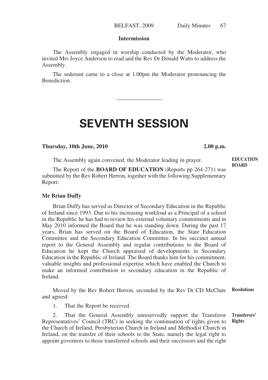#### **Intermission**

The Assembly engaged in worship conducted by the Moderator, who invited Mrs Joyce Anderson to read and the Rev Dr Donald Watts to address the Assembly.

The sederunt came to a close at 1.00pm the Moderator pronouncing the **Benediction** 

————————

# **SEVENTH SESSION**

#### **Thursday, 10th June, 2010 2.00 p.m.**

**EDUCATION BOARD**

The Assembly again convened, the Moderator leading in prayer.

The Report of the **BOARD OF EDUCATION** (Reports pp 264-271) was submitted by the Rev Robert Herron, together with the following Supplementary Report:

#### **Mr Brian Duffy**

Brian Duffy has served as Director of Secondary Education in the Republic of Ireland since 1993. Due to his increasing workload as a Principal of a school in the Republic he has had to review his external voluntary commitments and in May 2010 informed the Board that he was standing down. During the past 17 years, Brian has served on the Board of Education, the State Education Committee and the Secondary Education Committee. In his succinct annual report to the General Assembly and regular contributions to the Board of Education he kept the Church appraised of developments in Secondary Education in the Republic of Ireland. The Board thanks him for his commitment, valuable insights and professional expertise which have enabled the Church to make an informed contribution to secondary education in the Republic of Ireland.

Moved by the Rev Robert Herron, seconded by the Rev Dr CD McClure and agreed: **Resolutions**

1. That the Report be received.

2. That the General Assembly unreservedly support the Transferor Representatives' Council (TRC) in seeking the continuation of rights given to the Church of Ireland, Presbyterian Church in Ireland and Methodist Church in Ireland, on the transfer of their schools to the State, namely the legal right to appoint governors to those transferred schools and their successors and the right **Transferors' Rights**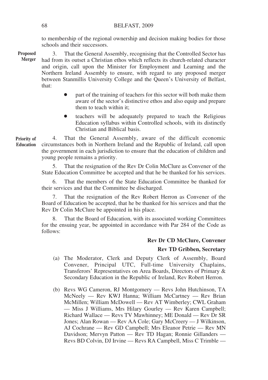to membership of the regional ownership and decision making bodies for those schools and their successors.

3. That the General Assembly, recognising that the Controlled Sector has had from its outset a Christian ethos which reflects its church-related character and origin, call upon the Minister for Employment and Learning and the Northern Ireland Assembly to ensure, with regard to any proposed merger between Stanmillis University College and the Queen's University of Belfast, that: **Proposed Merger**

- part of the training of teachers for this sector will both make them aware of the sector's distinctive ethos and also equip and prepare them to teach within it;
- teachers will be adequately prepared to teach the Religious Education syllabus within Controlled schools, with its distinctly Christian and Biblical basis.

4. That the General Assembly, aware of the difficult economic circumstances both in Northern Ireland and the Republic of Ireland, call upon the government in each jurisdiction to ensure that the education of children and young people remains a priority. **Priority of Education**

> 5. That the resignation of the Rev Dr Colin McClure as Convener of the State Education Committee be accepted and that he be thanked for his services.

> 6. That the members of the State Education Committee be thanked for their services and that the Committee be discharged.

> 7. That the resignation of the Rev Robert Herron as Convener of the Board of Education be accepted, that he be thanked for his services and that the Rev Dr Colin McClure be appointed in his place.

> 8. That the Board of Education, with its associated working Committees for the ensuing year, be appointed in accordance with Par 284 of the Code as follows:

# **Rev Dr CD McClure, Convener**

# **Rev TD Gribben, Secretary**

- (a) The Moderator, Clerk and Deputy Clerk of Assembly, Board Convener, Principal UTC, Full-time University Chaplains, Transferors' Representatives on Area Boards, Directors of Primary & Secondary Education in the Republic of Ireland, Rev Robert Herron.
- (b) Revs WG Cameron, RJ Montgomery Revs John Hutchinson, TA McNeely — Rev KWJ Hanna; William McCartney — Rev Brian McMillen; William McDowell — Rev AT Wimberley; CWL Graham — Miss J Williams, Mrs Hilary Gourley — Rev Karen Campbell; Richard Wallace — Revs TV Mawhinney; ME Donald — Rev Dr SR Jones; Alan Rowan — Rev AA Cole; Gary McCreery — J Wilkinson, AJ Cochrane — Rev GD Campbell; Mrs Eleanor Petrie — Rev MN Davidson; Mervyn Patton — Rev TD Hagan; Ronnie Gillanders — Revs BD Colvin, DJ Irvine — Revs RA Campbell, Miss C Trimble —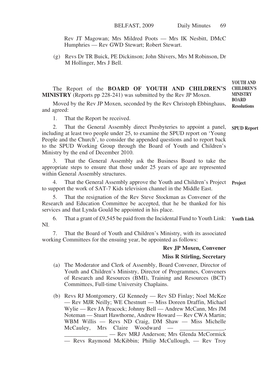Rev JT Magowan; Mrs Mildred Poots — Mrs IK Nesbitt, DMcC Humphries — Rev GWD Stewart; Robert Stewart.

(g) Revs Dr TR Buick, PE Dickinson; John Shivers, Mrs M Robinson, Dr M Hollinger, Mrs J Bell.

The Report of the **BOARD OF YOUTH AND CHILDREN'S MINISTRY** (Reports pp 228-241) was submitted by the Rev JP Moxen. **CHILDREN'S MINISTRY BOARD**

Moved by the Rev JP Moxen, seconded by the Rev Christoph Ebbinghaus, and agreed: **Resolutions**

1. That the Report be received.

2. That the General Assembly direct Presbyteries to appoint a panel, including at least two people under 25, to examine the SPUD report on 'Young People and the Church', to consider the appended questions and to report back to the SPUD Working Group through the Board of Youth and Children's Ministry by the end of December 2010. **SPUD Report**

3. That the General Assembly ask the Business Board to take the appropriate steps to ensure that those under 25 years of age are represented within General Assembly structures.

4. That the General Assembly approve the Youth and Children's Project **Project** to support the work of SAT-7 Kids television channel in the Middle East.

5. That the resignation of the Rev Steve Stockman as Convener of the Research and Education Committee be accepted, that he be thanked for his services and that Lynda Gould be appointed in his place.

6. That a grant of £9,545 be paid from the Incidental Fund to Youth Link: **Youth Link**NI.

7. That the Board of Youth and Children's Ministry, with its associated working Committees for the ensuing year, be appointed as follows:

#### **Rev JP Moxen, Convener**

**YOUTH AND**

#### **Miss R Stirling, Secretary**

- (a) The Moderator and Clerk of Assembly, Board Convener, Director of Youth and Children's Ministry, Director of Programmes, Conveners of Research and Resources (BMI), Training and Resources (BCT) Committees, Full-time University Chaplains.
- (b) Revs RJ Montgomery, GJ Kennedy Rev SD Finlay; Noel McKee — Rev MJR Neilly; WE Chestnutt — Miss Doreen Draffin, Michael Wylie — Rev JA Peacock; Johnny Bell — Andrew McCann, Mrs JM Noteman — Stuart Hawthorne, Andrew Howard — Rev CWA Martin; WBM Willis — Revs ND Craig, DM Shaw — Miss Michelle McCauley, Mrs Claire Woodward — — Rev MRJ Anderson; Mrs Glenda McCormick — Revs Raymond McKibbin; Philip McCullough, — Rev Troy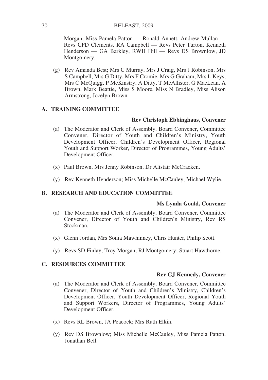Morgan, Miss Pamela Patton — Ronald Annett, Andrew Mullan — Revs CFD Clements, RA Campbell — Revs Peter Turton, Kenneth Henderson — GA Barkley, RWH Hill — Revs DS Brownlow, JD Montgomery.

(g) Rev Amanda Best; Mrs C Murray, Mrs J Craig, Mrs J Robinson, Mrs S Campbell, Mrs G Ditty, Mrs F Cromie, Mrs G Graham, Mrs L Keys, Mrs C McQuigg, P McKinstry, A Ditty, T McAllister, G MacLean, A Brown, Mark Beattie, Miss S Moore, Miss N Bradley, Miss Alison Armstrong, Jocelyn Brown.

# **A. TRAINING COMMITTEE**

# **Rev Christoph Ebbinghaus, Convener**

- (a) The Moderator and Clerk of Assembly, Board Convener, Committee Convener, Director of Youth and Children's Ministry, Youth Development Officer, Children's Development Officer, Regional Youth and Support Worker, Director of Programmes, Young Adults' Development Officer.
- (x) Paul Brown, Mrs Jenny Robinson, Dr Alistair McCracken.
- (y) Rev Kenneth Henderson; Miss Michelle McCauley, Michael Wylie.

# **B. RESEARCH AND EDUCATION COMMITTEE**

## **Ms Lynda Gould, Convener**

- (a) The Moderator and Clerk of Assembly, Board Convener, Committee Convener, Director of Youth and Children's Ministry, Rev RS Stockman.
- (x) Glenn Jordan, Mrs Sonia Mawhinney, Chris Hunter, Philip Scott.
- (y) Revs SD Finlay, Troy Morgan, RJ Montgomery; Stuart Hawthorne.

# **C. RESOURCES COMMITTEE**

## **Rev GJ Kennedy, Convener**

- (a) The Moderator and Clerk of Assembly, Board Convener, Committee Convener, Director of Youth and Children's Ministry, Children's Development Officer, Youth Development Officer, Regional Youth and Support Workers, Director of Programmes, Young Adults' Development Officer.
- (x) Revs RL Brown, JA Peacock; Mrs Ruth Elkin.
- (y) Rev DS Brownlow; Miss Michelle McCauley, Miss Pamela Patton, Jonathan Bell.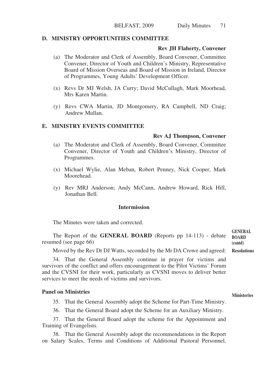#### **D. MINISTRY OPPORTUNITIES COMMITTEE**

#### **Rev JH Flaherty, Convener**

- (a) The Moderator and Clerk of Assembly, Board Convener, Committee Convener, Director of Youth and Children's Ministry, Representative Board of Mission Overseas and Board of Mission in Ireland, Director of Programmes, Young Adults' Development Officer.
- (x) Revs Dr MJ Welsh, JA Curry; David McCullagh, Mark Moorhead, Mrs Karen Martin.
- (y) Revs CWA Martin, JD Montgomery, RA Campbell, ND Craig; Andrew Mullan.

#### **E. MINISTRY EVENTS COMMITTEE**

#### **Rev AJ Thompson, Convener**

- (a) The Moderator and Clerk of Assembly, Board Convener, Committee Convener, Director of Youth and Children's Ministry, Director of Programmes.
- (x) Michael Wylie, Alan Meban, Robert Penney, Nick Cooper, Mark Moorehead.
- (y) Rev MRJ Anderson; Andy McCann, Andrew Howard, Rick Hill, Jonathan Bell.

#### **Intermission**

The Minutes were taken and corrected.

| The Report of the <b>GENERAL BOARD</b> (Reports pp 14-113) - debate<br>resumed (see page 66) | <b>GENERAL</b><br><b>BOARD</b><br>(contd) |
|----------------------------------------------------------------------------------------------|-------------------------------------------|
| Moved by the Rev Dr DJ Watts, seconded by the Mr DA Crowe and agreed: Resolutions            |                                           |

34. That the General Assembly continue in prayer for victims and survivors of the conflict and offers encouragement to the Pilot Victims' Forum and the CVSNI for their work, particularly as CVSNI moves to deliver better services to meet the needs of victims and survivors.

#### **Panel on Ministries**

35. That the General Assembly adopt the Scheme for Part-Time Ministry.

36. That the General Board adopt the Scheme for an Auxiliary Ministry.

37. That the General Board adopt the scheme for the Appointment and Training of Evangelists.

38. That the General Assembly adopt the recommendations in the Report on Salary Scales, Terms and Conditions of Additional Pastoral Personnel,

## **Ministeries**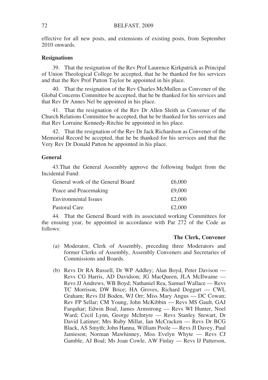effective for all new posts, and extensions of existing posts, from September 2010 onwards.

## **Resignations**

39. That the resignation of the Rev Prof Laurence Kirkpatrick as Principal of Union Theological College be accepted, that he be thanked for his services and that the Rev Prof Patton Taylor be appointed in his place.

40. That the resignation of the Rev Charles McMullen as Convener of the Global Concerns Committee be accepted, that he be thanked for his services and that Rev Dr Annes Nel be appointed in his place.

41. That the resignation of the Rev Dr Allen Sleith as Convener of the Church Relations Committee be accepted, that he be thanked for his services and that Rev Lorraine Kennedy-Ritchie be appointed in his place.

42. That the resignation of the Rev Dr Jack Richardson as Convener of the Memorial Record be accepted, that he be thanked for his services and that the Very Rev Dr Donald Patton be appointed in his place.

## **General**

43.That the General Assembly approve the following budget from the Incidental Fund:

| £6,000 |
|--------|
| £9,000 |
| £2,000 |
| £2,000 |
|        |

44. That the General Board with its associated working Committees for the ensuing year, be appointed in accordance with Par 272 of the Code as follows:

# **The Clerk, Convener**

- (a) Moderator, Clerk of Assembly, preceding three Moderators and former Clerks of Assembly, Assembly Conveners and Secretaries of Commissions and Boards.
- (b) Revs Dr RA Russell, Dr WP Addley; Alan Boyd, Peter Davison Revs CG Harris, AD Davidson; JG MacQueen, JLA McIlwaine — Revs JJ Andrews, WB Boyd; Nathaniel Rea, Samuel Wallace — Revs TC Morrison, DW Brice; HA Groves, Richard Doggart — CWL Graham; Revs DJ Boden, WJ Orr; Miss Mary Angus — DC Cowan; Rev FP Sellar; CM Young, John McKibbin — Revs MS Gault, GAJ Farquhar; Edwin Boal, James Armstrong — Revs WI Hunter, Noel Ward; Cecil Lynn, George McIntyre — Revs Stanley Stewart, Dr David Latimer; Mrs Ruby Millar, Ian McCracken — Revs Dr BCG Black, AS Smyth; John Hanna, William Poole — Revs JI Davey, Paul Jamieson; Norman Mawhinney, Miss Evelyn Whyte — Revs CJ Gamble, AJ Boal; Ms Joan Cowle, AW Finlay — Revs IJ Patterson,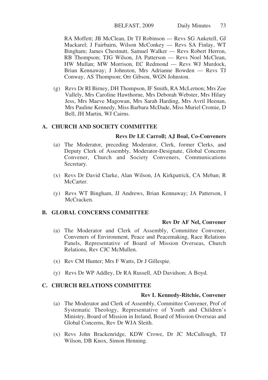RA Moffett; JB McClean, Dr TJ Robinson — Revs SG Anketell, GJ Mackarel; J Fairbairn, Wilson McConkey — Revs SA Finlay, WT Bingham; James Chestnutt, Samuel Walker — Revs Robert Herron, RB Thompson; TJG Wilson, JA Patterson — Revs Noel McClean, HW Mullan; MW Morrison, EC Redmond — Revs WJ Murdock, Brian Kennaway; J Johnston, Mrs Adrianne Bowden — Revs TJ Conway, AS Thompson; Orr Gibson, WGN Johnston.

(g) Revs Dr RI Birney, DH Thompson, IF Smith, RA McLernon; Mrs Zoe Vallely, Mrs Caroline Hawthorne, Mrs Deborah Webster, Mrs Hilary Jess, Mrs Maeve Magowan, Mrs Sarah Harding, Mrs Avril Heenan, Mrs Pauline Kennedy, Miss Barbara McDade, Miss Muriel Cromie, D Bell, JH Martin, WJ Cairns.

## **A. CHURCH AND SOCIETY COMMITTEE**

# **Revs Dr LE Carroll; AJ Boal, Co-Conveners**

- (a) The Moderator, preceding Moderator, Clerk, former Clerks, and Deputy Clerk of Assembly, Moderator-Designate, Global Concerns Convener, Church and Society Conveners, Communications Secretary.
- (x) Revs Dr David Clarke, Alan Wilson, JA Kirkpatrick, CA Meban; R McCarter.
- (y) Revs WT Bingham, JJ Andrews, Brian Kennaway; JA Patterson, I McCracken.

#### **B. GLOBAL CONCERNS COMMITTEE**

#### **Rev Dr AF Nel, Convener**

- (a) The Moderator and Clerk of Assembly, Committee Convener, Conveners of Environment, Peace and Peacemaking, Race Relations Panels, Representative of Board of Mission Overseas, Church Relations, Rev CJC McMullen.
- (x) Rev CM Hunter; Mrs F Watts, Dr J Gillespie.
- (y) Revs Dr WP Addley, Dr RA Russell, AD Davidson; A Boyd.

#### **C. CHURCH RELATIONS COMMITTEE**

#### **Rev L Kennedy-Ritchie, Convener**

- (a) The Moderator and Clerk of Assembly, Committee Convener, Prof of Systematic Theology, Representative of Youth and Children's Ministry, Board of Mission in Ireland, Board of Mission Overseas and Global Concerns, Rev Dr WJA Sleith.
- (x) Revs John Brackenridge, KDW Crowe, Dr JC McCullough, TJ Wilson, DB Knox, Simon Henning.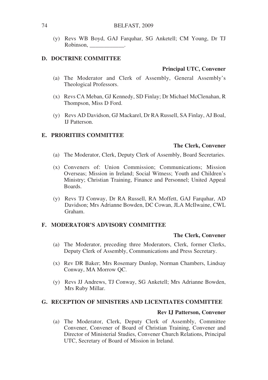(y) Revs WB Boyd, GAJ Farquhar, SG Anketell; CM Young, Dr TJ Robinson, \_\_\_\_\_\_\_\_\_\_\_\_.

#### **D. DOCTRINE COMMITTEE**

#### **Principal UTC, Convener**

- (a) The Moderator and Clerk of Assembly, General Assembly's Theological Professors.
- (x) Revs CA Meban, GJ Kennedy, SD Finlay; Dr Michael McClenahan, R Thompson, Miss D Ford.
- (y) Revs AD Davidson, GJ Mackarel, Dr RA Russell, SA Finlay, AJ Boal, IJ Patterson.

## **E. PRIORITIES COMMITTEE**

#### **The Clerk, Convener**

- (a) The Moderator, Clerk, Deputy Clerk of Assembly, Board Secretaries.
- (x) Conveners of: Union Commission; Communications; Mission Overseas; Mission in Ireland; Social Witness; Youth and Children's Ministry; Christian Training, Finance and Personnel; United Appeal Boards.
- (y) Revs TJ Conway, Dr RA Russell, RA Moffett, GAJ Farquhar, AD Davidson; Mrs Adrianne Bowden, DC Cowan, JLA McIlwaine, CWL Graham.

#### **F. MODERATOR'S ADVISORY COMMITTEE**

#### **The Clerk, Convener**

- (a) The Moderator, preceding three Moderators, Clerk, former Clerks, Deputy Clerk of Assembly, Communications and Press Secretary.
- (x) Rev DR Baker; Mrs Rosemary Dunlop, Norman Chambers, Lindsay Conway, MA Morrow QC.
- (y) Revs JJ Andrews, TJ Conway, SG Anketell; Mrs Adrianne Bowden, Mrs Ruby Millar.

# **G. RECEPTION OF MINISTERS AND LICENTIATES COMMITTEE**

#### **Rev IJ Patterson, Convener**

(a) The Moderator, Clerk, Deputy Clerk of Assembly, Committee Convener, Convener of Board of Christian Training, Convener and Director of Ministerial Studies, Convener Church Relations, Principal UTC, Secretary of Board of Mission in Ireland.

74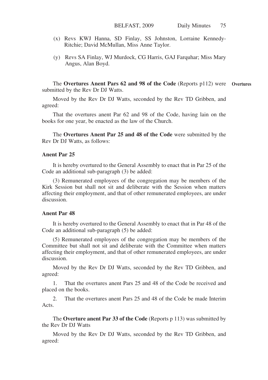- (x) Revs KWJ Hanna, SD Finlay, SS Johnston, Lorraine Kennedy-Ritchie; David McMullan, Miss Anne Taylor.
- (y) Revs SA Finlay, WJ Murdock, CG Harris, GAJ Farquhar; Miss Mary Angus, Alan Boyd.

The **Overtures Anent Pars 62 and 98 of the Code** (Reports p112) were Overtures submitted by the Rev Dr DJ Watts.

Moved by the Rev Dr DJ Watts, seconded by the Rev TD Gribben, and agreed:

That the overtures anent Par 62 and 98 of the Code, having lain on the books for one year, be enacted as the law of the Church.

The **Overtures Anent Par 25 and 48 of the Code** were submitted by the Rev Dr DJ Watts, as follows:

#### **Anent Par 25**

It is hereby overtured to the General Assembly to enact that in Par 25 of the Code an additional sub-paragraph (3) be added:

(3) Remunerated employees of the congregation may be members of the Kirk Session but shall not sit and deliberate with the Session when matters affecting their employment, and that of other remunerated employees, are under discussion.

#### **Anent Par 48**

It is hereby overtured to the General Assembly to enact that in Par 48 of the Code an additional sub-paragraph (5) be added:

(5) Remunerated employees of the congregation may be members of the Committee but shall not sit and deliberate with the Committee when matters affecting their employment, and that of other remunerated employees, are under discussion.

Moved by the Rev Dr DJ Watts, seconded by the Rev TD Gribben, and agreed:

1. That the overtures anent Pars 25 and 48 of the Code be received and placed on the books.

2. That the overtures anent Pars 25 and 48 of the Code be made Interim Acts.

The **Overture anent Par 33 of the Code** (Reports p 113) was submitted by the Rev Dr DJ Watts

Moved by the Rev Dr DJ Watts, seconded by the Rev TD Gribben, and agreed: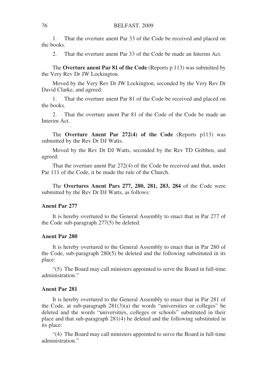1. That the overture anent Par 33 of the Code be received and placed on the books.

2. That the overture anent Par 33 of the Code be made an Interim Act.

The **Overture anent Par 81 of the Code** (Reports p 113) was submitted by the Very Rev Dr JW Lockington.

Moved by the Very Rev Dr JW Lockington, seconded by the Very Rev Dr David Clarke, and agreed:

1. That the overture anent Par 81 of the Code be received and placed on the books.

2. That the overture anent Par 81 of the Code of the Code be made an Interim Act.

The **Overture Anent Par 272(4) of the Code** (Reports p113) was submitted by the Rev Dr DJ Watts.

Moved by the Rev Dr DJ Watts, seconded by the Rev TD Gribben, and agreed:

That the overture anent Par 272(4) of the Code be received and that, under Par 111 of the Code, it be made the rule of the Church.

The **Overtures Anent Pars 277, 280, 281, 283, 284** of the Code were submitted by the Rev Dr DJ Watts, as follows:

## **Anent Par 277**

It is hereby overtured to the General Assembly to enact that in Par 277 of the Code sub-paragraph 277(5) be deleted.

## **Anent Par 280**

It is hereby overtured to the General Assembly to enact that in Par 280 of the Code, sub-paragraph 280(5) be deleted and the following substituted in its place:

"(5) The Board may call ministers appointed to serve the Board in full-time administration."

#### **Anent Par 281**

It is hereby overtured to the General Assembly to enact that in Par 281 of the Code, at sub-paragraph  $281(3)(a)$  the words "universities or colleges" be deleted and the words "universities, colleges or schools" substituted in their place and that sub-paragraph 281(4) be deleted and the following substituted in its place:

"(4) The Board may call ministers appointed to serve the Board in full-time administration."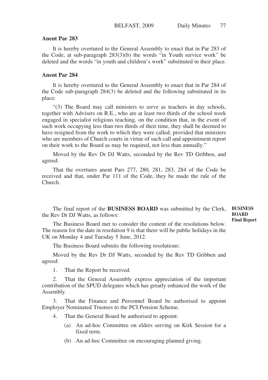#### **Anent Par 283**

It is hereby overtured to the General Assembly to enact that in Par 283 of the Code, at sub-paragraph 283(3)(b) the words "in Youth service work" be deleted and the words "in youth and children's work" substituted in their place.

#### **Anent Par 284**

It is hereby overtured to the General Assembly to enact that in Par 284 of the Code sub-paragraph 284(3) be deleted and the following substituted in its place:

"(3) The Board may call ministers to serve as teachers in day schools, together with Advisers on R.E., who are at least two thirds of the school week engaged in specialist religious teaching, on the condition that, in the event of such work occupying less than two thirds of their time, they shall be deemed to have resigned from the work to which they were called; provided that ministers who are members of Church courts in virtue of such call and appointment report on their work to the Board as may be required, not less than annually."

Moved by the Rev Dr DJ Watts, seconded by the Rev TD Gribben, and agreed:

That the overtures anent Pars 277, 280, 281, 283, 284 of the Code be received and that, under Par 111 of the Code, they be made the rule of the Church.

The final report of the **BUSINESS BOARD** was submitted by the Clerk, the Rev Dr DJ Watts, as follows:

**BUSINESS BOARD Final Report**

The Business Board met to consider the content of the resolutions below. The reason for the date in resolution 9 is that there will be public holidays in the UK on Monday 4 and Tuesday 5 June, 2012.

The Business Board submits the following resolutions:

Moved by the Rev Dr DJ Watts, seconded by the Rev TD Gribben and agreed:

1. That the Report be received.

2. That the General Assembly express appreciation of the important contribution of the SPUD delegates which has greatly enhanced the work of the Assembly.

3. That the Finance and Personnel Board be authorised to appoint Employer Nominated Trustees to the PCI Pension Scheme.

- 4. That the General Board be authorised to appoint:
	- (a) An ad-hoc Committee on elders serving on Kirk Session for a fixed term.
	- (b) An ad-hoc Committee on encouraging planned giving.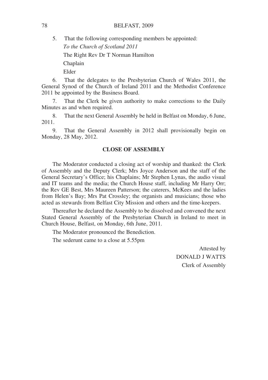5. That the following corresponding members be appointed:

*To the Church of Scotland 2011*

The Right Rev Dr T Norman Hamilton

Chaplain

Elder

6. That the delegates to the Presbyterian Church of Wales 2011, the General Synod of the Church of Ireland 2011 and the Methodist Conference 2011 be appointed by the Business Board.

7. That the Clerk be given authority to make corrections to the Daily Minutes as and when required.

8. That the next General Assembly be held in Belfast on Monday, 6 June, 2011.

9. That the General Assembly in 2012 shall provisionally begin on Monday, 28 May, 2012.

## **CLOSE OF ASSEMBLY**

The Moderator conducted a closing act of worship and thanked: the Clerk of Assembly and the Deputy Clerk; Mrs Joyce Anderson and the staff of the General Secretary's Office; his Chaplains; Mr Stephen Lynas, the audio visual and IT teams and the media; the Church House staff, including Mr Harry Orr; the Rev GE Best, Mrs Maureen Patterson; the caterers, McKees and the ladies from Helen's Bay; Mrs Pat Crossley; the organists and musicians; those who acted as stewards from Belfast City Mission and others and the time-keepers.

Thereafter he declared the Assembly to be dissolved and convened the next Stated General Assembly of the Presbyterian Church in Ireland to meet in Church House, Belfast, on Monday, 6th June, 2011.

The Moderator pronounced the Benediction.

The sederunt came to a close at 5.55pm

Attested by DONALD J WATTS Clerk of Assembly

78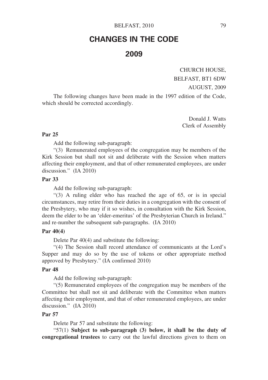# **CHANGES IN THE CODE 2009**

CHURCH HOUSE,

BELFAST, BT1 6DW

AUGUST, 2009

The following changes have been made in the 1997 edition of the Code, which should be corrected accordingly.

> Donald J. Watts Clerk of Assembly

## **Par 25**

Add the following sub-paragraph:

"(3) Remunerated employees of the congregation may be members of the Kirk Session but shall not sit and deliberate with the Session when matters affecting their employment, and that of other remunerated employees, are under discussion." (IA 2010)

### **Par 33**

Add the following sub-paragraph:

"(3) A ruling elder who has reached the age of 65, or is in special circumstances, may retire from their duties in a congregation with the consent of the Presbytery, who may if it so wishes, in consultation with the Kirk Session, deem the elder to be an 'elder-emeritus' of the Presbyterian Church in Ireland." and re-number the subsequent sub-paragraphs. (IA 2010)

#### **Par 40(4)**

Delete Par 40(4) and substitute the following:

"(4) The Session shall record attendance of communicants at the Lord's Supper and may do so by the use of tokens or other appropriate method approved by Presbytery." (IA confirmed 2010)

## **Par 48**

Add the following sub-paragraph:

"(5) Remunerated employees of the congregation may be members of the Committee but shall not sit and deliberate with the Committee when matters affecting their employment, and that of other remunerated employees, are under discussion." (IA 2010)

## **Par 57**

Delete Par 57 and substitute the following:

"57(1) **Subject to sub-paragraph (3) below, it shall be the duty of congregational trustees** to carry out the lawful directions given to them on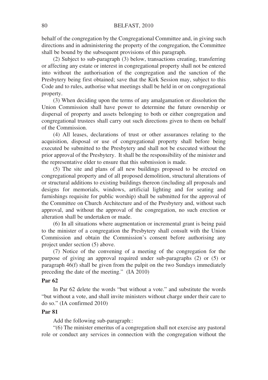behalf of the congregation by the Congregational Committee and, in giving such directions and in administering the property of the congregation, the Committee shall be bound by the subsequent provisions of this paragraph.

(2) Subject to sub-paragraph (3) below, transactions creating, transferring or affecting any estate or interest in congregational property shall not be entered into without the authorisation of the congregation and the sanction of the Presbytery being first obtained; save that the Kirk Session may, subject to this Code and to rules, authorise what meetings shall be held in or on congregational property.

(3) When deciding upon the terms of any amalgamation or dissolution the Union Commission shall have power to determine the future ownership or dispersal of property and assets belonging to both or either congregation and congregational trustees shall carry out such directions given to them on behalf of the Commission.

(4) All leases, declarations of trust or other assurances relating to the acquisition, disposal or use of congregational property shall before being executed be submitted to the Presbytery and shall not be executed without the prior approval of the Presbytery. It shall be the responsibility of the minister and the representative elder to ensure that this submission is made.

(5) The site and plans of all new buildings proposed to be erected on congregational property and of all proposed demolition, structural alterations of or structural additions to existing buildings thereon (including all proposals and designs for memorials, windows, artificial lighting and for seating and furnishings requisite for public worship) shall be submitted for the approval of the Committee on Church Architecture and of the Presbytery and, without such approval, and without the approval of the congregation, no such erection or alteration shall be undertaken or made.

(6) In all situations where augmentation or incremental grant is being paid to the minister of a congregation the Presbytery shall consult with the Union Commission and obtain the Commission's consent before authorising any project under section (5) above.

(7) Notice of the convening of a meeting of the congregation for the purpose of giving an approval required under sub-paragraphs (2) or (5) or paragraph 46(f) shall be given from the pulpit on the two Sundays immediately preceding the date of the meeting." (IA 2010)

### **Par 62**

In Par 62 delete the words "but without a vote." and substitute the words "but without a vote, and shall invite ministers without charge under their care to do so." (IA confirmed 2010)

#### **Par 81**

Add the following sub-paragraph::

"(6) The minister emeritus of a congregation shall not exercise any pastoral role or conduct any services in connection with the congregation without the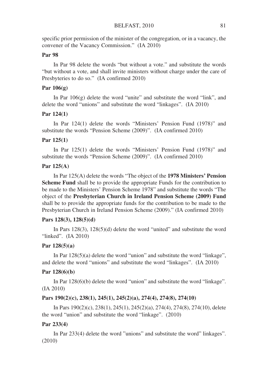specific prior permission of the minister of the congregation, or in a vacancy, the convener of the Vacancy Commission." (IA 2010)

## **Par 98**

In Par 98 delete the words "but without a vote." and substitute the words "but without a vote, and shall invite ministers without charge under the care of Presbyteries to do so." (IA confirmed 2010)

### **Par 106(g)**

In Par  $106(g)$  delete the word "unite" and substitute the word "link", and delete the word "unions" and substitute the word "linkages". (IA 2010)

#### **Par 124(1)**

In Par 124(1) delete the words "Ministers' Pension Fund (1978)" and substitute the words "Pension Scheme (2009)". (IA confirmed 2010)

#### **Par 125(1)**

In Par 125(1) delete the words "Ministers' Pension Fund (1978)" and substitute the words "Pension Scheme (2009)". (IA confirmed 2010)

#### **Par 125(A)**

In Par 125(A) delete the words "The object of the **1978 Ministers' Pension Scheme Fund** shall be to provide the appropriate Funds for the contribution to be made to the Ministers' Pension Scheme 1978" and substitute the words "The object of the **Presbyterian Church in Ireland Pension Scheme (2009) Fund** shall be to provide the appropriate funds for the contribution to be made to the Presbyterian Church in Ireland Pension Scheme (2009)." (IA confirmed 2010)

#### **Pars 128(3), 128(5)(d)**

In Pars 128(3), 128(5)(d) delete the word "united" and substitute the word "linked". (IA 2010)

#### **Par 128(5)(a)**

In Par 128(5)(a) delete the word "union" and substitute the word "linkage", and delete the word "unions" and substitute the word "linkages". (IA 2010)

#### **Par 128(6)(b)**

In Par 128(6)(b) delete the word "union" and substitute the word "linkage". (IA 2010)

#### **Pars 190(2)(c), 238(1), 245(1), 245(2)(a), 274(4), 274(8), 274(10)**

In Pars 190(2)(c), 238(1), 245(1), 245(2)(a), 274(4), 274(8), 274(10), delete the word "union" and substitute the word "linkage". (2010)

#### **Par 233(4)**

In Par 233(4) delete the word "unions" and substitute the word" linkages". (2010)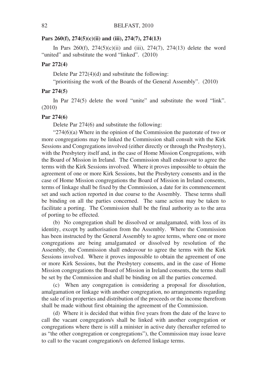#### **Pars 260(f), 274(5)(c)(ii) and (iii), 274(7), 274(13)**

In Pars  $260(f)$ ,  $274(5)(c)(ii)$  and (iii),  $274(7)$ ,  $274(13)$  delete the word "united" and substitute the word "linked". (2010)

#### **Par 272(4)**

Delete Par 272(4)(d) and substitute the following:

"prioritising the work of the Boards of the General Assembly". (2010)

#### **Par 274(5)**

In Par 274(5) delete the word "unite" and substitute the word "link". (2010)

#### **Par 274(6)**

Delete Par 274(6) and substitute the following:

" $274(6)(a)$  Where in the opinion of the Commission the pastorate of two or more congregations may be linked the Commission shall consult with the Kirk Sessions and Congregations involved (either directly or through the Presbytery), with the Presbytery itself and, in the case of Home Mission Congregations, with the Board of Mission in Ireland. The Commission shall endeavour to agree the terms with the Kirk Sessions involved. Where it proves impossible to obtain the agreement of one or more Kirk Sessions, but the Presbytery consents and in the case of Home Mission congregations the Board of Mission in Ireland consents, terms of linkage shall be fixed by the Commission, a date for its commencement set and such action reported in due course to the Assembly. These terms shall be binding on all the parties concerned. The same action may be taken to facilitate a porting. The Commission shall be the final authority as to the area of porting to be effected.

(b) No congregation shall be dissolved or amalgamated, with loss of its identity, except by authorisation from the Assembly. Where the Commission has been instructed by the General Assembly to agree terms, where one or more congregations are being amalgamated or dissolved by resolution of the Assembly, the Commission shall endeavour to agree the terms with the Kirk Sessions involved. Where it proves impossible to obtain the agreement of one or more Kirk Sessions, but the Presbytery consents, and in the case of Home Mission congregations the Board of Mission in Ireland consents, the terms shall be set by the Commission and shall be binding on all the parties concerned.

(c) When any congregation is considering a proposal for dissolution, amalgamation or linkage with another congregation, no arrangements regarding the sale of its properties and distribution of the proceeds or the income therefrom shall be made without first obtaining the agreement of the Commission.

(d) Where it is decided that within five years from the date of the leave to call the vacant congregation/s shall be linked with another congregation or congregations where there is still a minister in active duty (hereafter referred to as "the other congregation or congregations"), the Commission may issue leave to call to the vacant congregation/s on deferred linkage terms.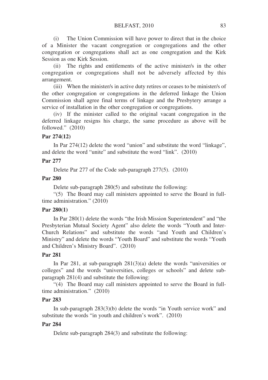(i) The Union Commission will have power to direct that in the choice of a Minister the vacant congregation or congregations and the other congregation or congregations shall act as one congregation and the Kirk Session as one Kirk Session.

(ii) The rights and entitlements of the active minister/s in the other congregation or congregations shall not be adversely affected by this arrangement.

(iii) When the minister/s in active duty retires or ceases to be minister/s of the other congregation or congregations in the deferred linkage the Union Commission shall agree final terms of linkage and the Presbytery arrange a service of installation in the other congregation or congregations.

(iv) If the minister called to the original vacant congregation in the deferred linkage resigns his charge, the same procedure as above will be followed." (2010)

## **Par 274(12)**

In Par 274(12) delete the word "union" and substitute the word "linkage", and delete the word "unite" and substitute the word "link". (2010)

## **Par 277**

Delete Par 277 of the Code sub-paragraph 277(5). (2010)

## **Par 280**

Delete sub-paragraph 280(5) and substitute the following:

"(5) The Board may call ministers appointed to serve the Board in fulltime administration." (2010)

## **Par 280(1)**

In Par 280(1) delete the words "the Irish Mission Superintendent" and "the Presbyterian Mutual Society Agent" also delete the words "Youth and Inter-Church Relations" and substitute the words "and Youth and Children's Ministry" and delete the words "Youth Board" and substitute the words "Youth and Children's Ministry Board". (2010)

## **Par 281**

In Par 281, at sub-paragraph 281(3)(a) delete the words "universities or colleges" and the words "universities, colleges or schools" and delete subparagraph 281(4) and substitute the following:

"(4) The Board may call ministers appointed to serve the Board in fulltime administration." (2010)

## **Par 283**

In sub-paragraph 283(3)(b) delete the words "in Youth service work" and substitute the words "in youth and children's work". (2010)

## **Par 284**

Delete sub-paragraph 284(3) and substitute the following: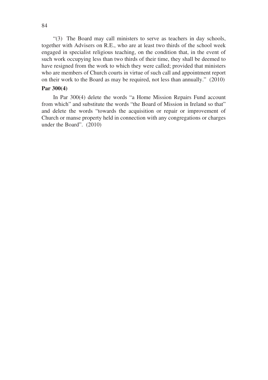"(3) The Board may call ministers to serve as teachers in day schools, together with Advisers on R.E., who are at least two thirds of the school week engaged in specialist religious teaching, on the condition that, in the event of such work occupying less than two thirds of their time, they shall be deemed to have resigned from the work to which they were called; provided that ministers who are members of Church courts in virtue of such call and appointment report on their work to the Board as may be required, not less than annually." (2010)

#### **Par 300(4)**

In Par 300(4) delete the words "a Home Mission Repairs Fund account from which" and substitute the words "the Board of Mission in Ireland so that" and delete the words "towards the acquisition or repair or improvement of Church or manse property held in connection with any congregations or charges under the Board". (2010)